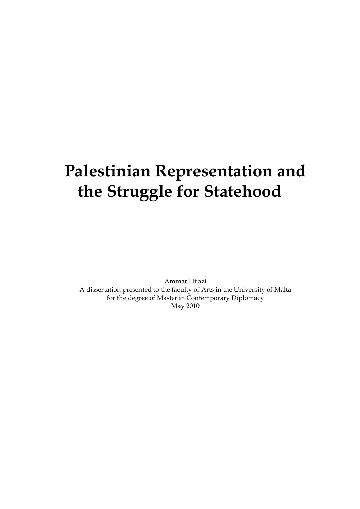# **Palestinian Representation and the Struggle for Statehood**

Ammar Hijazi A dissertation presented to the faculty of Arts in the University of Malta for the degree of Master in Contemporary Diplomacy May 2010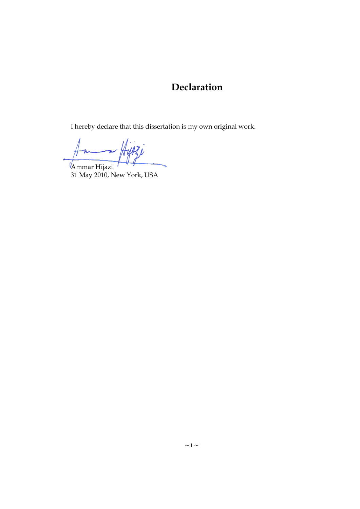### **Declaration**

I hereby declare that this dissertation is my own original work.

Ammar Hijazi

31 May 2010, New York, USA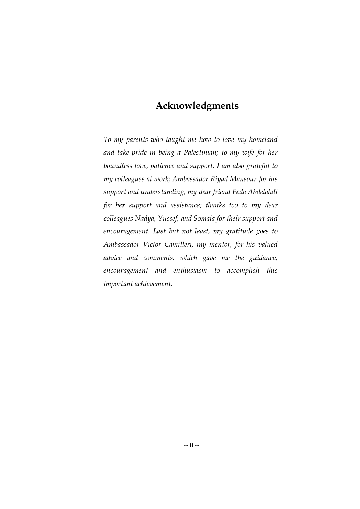### **Acknowledgments**

*To my parents who taught me how to love my homeland and take pride in being a Palestinian; to my wife for her boundless love, patience and support. I am also grateful to my colleagues at work; Ambassador Riyad Mansour for his support and understanding; my dear friend Feda Abdelahdi for her support and assistance; thanks too to my dear colleagues Nadya, Yussef, and Somaia for their support and encouragement. Last but not least, my gratitude goes to Ambassador Victor Camilleri, my mentor, for his valued advice and comments, which gave me the guidance, encouragement and enthusiasm to accomplish this important achievement.*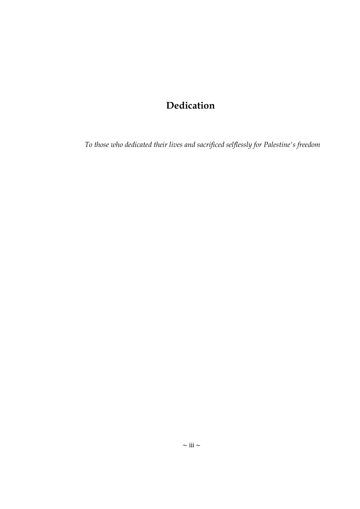# **Dedication**

*To those who dedicated their lives and sacrificed selflessly for Palestine's freedom*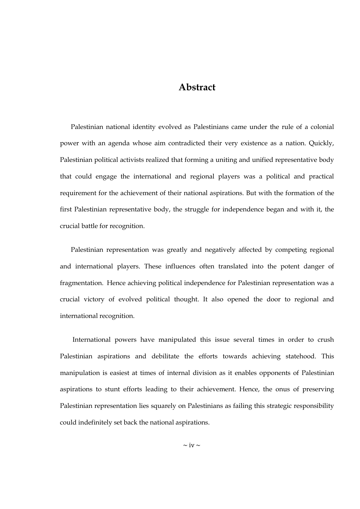#### **Abstract**

Palestinian national identity evolved as Palestinians came under the rule of a colonial power with an agenda whose aim contradicted their very existence as a nation. Quickly, Palestinian political activists realized that forming a uniting and unified representative body that could engage the international and regional players was a political and practical requirement for the achievement of their national aspirations. But with the formation of the first Palestinian representative body, the struggle for independence began and with it, the crucial battle for recognition.

Palestinian representation was greatly and negatively affected by competing regional and international players. These influences often translated into the potent danger of fragmentation. Hence achieving political independence for Palestinian representation was a crucial victory of evolved political thought. It also opened the door to regional and international recognition.

International powers have manipulated this issue several times in order to crush Palestinian aspirations and debilitate the efforts towards achieving statehood. This manipulation is easiest at times of internal division as it enables opponents of Palestinian aspirations to stunt efforts leading to their achievement. Hence, the onus of preserving Palestinian representation lies squarely on Palestinians as failing this strategic responsibility could indefinitely set back the national aspirations.

 $\sim$  iv  $\sim$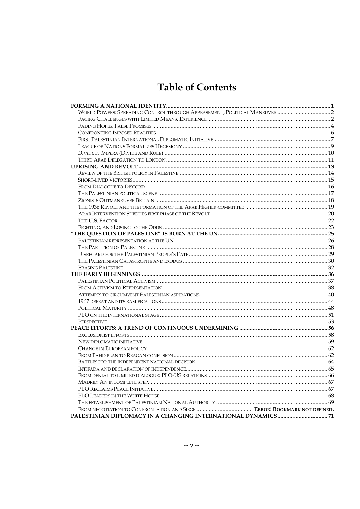# **Table of Contents**

<span id="page-5-0"></span>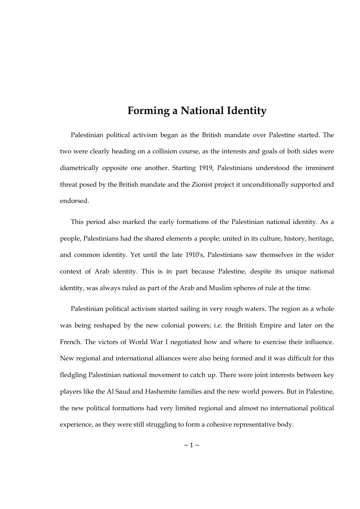### **Forming a National Identity**

Palestinian political activism began as the British mandate over Palestine started. The two were clearly heading on a collision course, as the interests and goals of both sides were diametrically opposite one another. Starting 1919, Palestinians understood the imminent threat posed by the British mandate and the Zionist project it unconditionally supported and endorsed.

This period also marked the early formations of the Palestinian national identity. As a people, Palestinians had the shared elements a people; united in its culture, history, heritage, and common identity. Yet until the late 1910's, Palestinians saw themselves in the wider context of Arab identity. This is in part because Palestine, despite its unique national identity, was always ruled as part of the Arab and Muslim spheres of rule at the time.

Palestinian political activism started sailing in very rough waters. The region as a whole was being reshaped by the new colonial powers; i.e. the British Empire and later on the French. The victors of World War I negotiated how and where to exercise their influence. New regional and international alliances were also being formed and it was difficult for this fledgling Palestinian national movement to catch up. There were joint interests between key players like the Al Saud and Hashemite families and the new world powers. But in Palestine, the new political formations had very limited regional and almost no international political experience, as they were still struggling to form a cohesive representative body.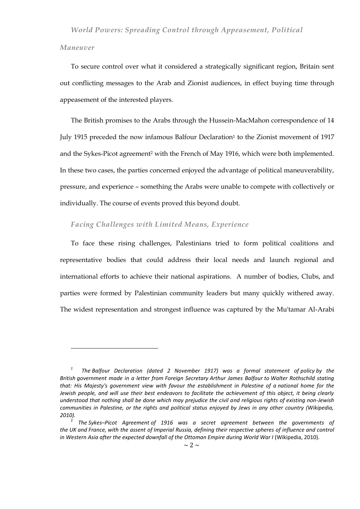#### <span id="page-7-0"></span>*Maneuver*

 $\overline{a}$ 

To secure control over what it considered a strategically significant region, Britain sent out conflicting messages to the Arab and Zionist audiences, in effect buying time through appeasement of the interested players.

The British promises to the Arabs through the Hussein-MacMahon correspondence of 14 July 1915 preceded the now infamous Balfour Declaration<sup>1</sup> to the Zionist movement of 1917 and the Sykes-Picot agreement<sup>2</sup> with the French of May 1916, which were both implemented. In these two cases, the parties concerned enjoyed the advantage of political maneuverability, pressure, and experience – something the Arabs were unable to compete with collectively or individually. The course of events proved this beyond doubt.

#### <span id="page-7-1"></span>*Facing Challenges with Limited Means, Experience*

To face these rising challenges, Palestinians tried to form political coalitions and representative bodies that could address their local needs and launch regional and international efforts to achieve their national aspirations. A number of bodies, Clubs, and parties were formed by Palestinian community leaders but many quickly withered away. The widest representation and strongest influence was captured by the Mu'tamar Al-Arabi

*<sup>1</sup> The Balfour Declaration (dated 2 November 1917) was a formal statement of policy by the British government made in a letter from Foreign Secretary Arthur James Balfour to Walter Rothschild stating that: His Majesty's government view with favour the establishment in Palestine of a national home for the*  Jewish people, and will use their best endeavors to facilitate the achievement of this object, it being clearly *understood that nothing shall be done which may prejudice the civil and religious rights of existing non-Jewish communities in Palestine, or the rights and political status enjoyed by Jews in any other country (Wikipedia, 2010).*

<sup>2</sup> *The Sykes–Picot Agreement of 1916 was a secret agreement between the governments of the UK and France, with the assent of Imperial Russia, defining their respective spheres of influence and control in Western Asia after the expected downfall of the Ottoman Empire during World War I* (Wikipedia, 2010).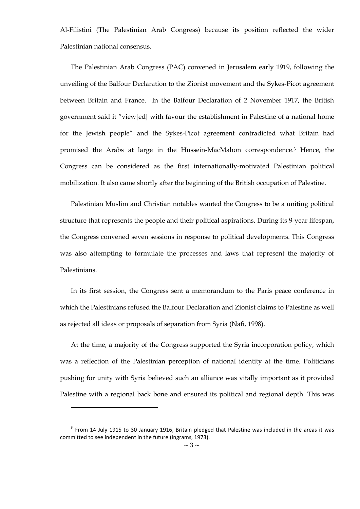Al-Filistini (The Palestinian Arab Congress) because its position reflected the wider Palestinian national consensus.

The Palestinian Arab Congress (PAC) convened in Jerusalem early 1919, following the unveiling of the Balfour Declaration to the Zionist movement and the Sykes-Picot agreement between Britain and France. In the Balfour Declaration of 2 November 1917, the British government said it "view[ed] with favour the establishment in Palestine of a national home for the Jewish people" and the Sykes-Picot agreement contradicted what Britain had promised the Arabs at large in the Hussein-MacMahon correspondence.<sup>3</sup> Hence, the Congress can be considered as the first internationally-motivated Palestinian political mobilization. It also came shortly after the beginning of the British occupation of Palestine.

Palestinian Muslim and Christian notables wanted the Congress to be a uniting political structure that represents the people and their political aspirations. During its 9-year lifespan, the Congress convened seven sessions in response to political developments. This Congress was also attempting to formulate the processes and laws that represent the majority of Palestinians.

In its first session, the Congress sent a memorandum to the Paris peace conference in which the Palestinians refused the Balfour Declaration and Zionist claims to Palestine as well as rejected all ideas or proposals of separation from Syria (Nafi, 1998).

At the time, a majority of the Congress supported the Syria incorporation policy, which was a reflection of the Palestinian perception of national identity at the time. Politicians pushing for unity with Syria believed such an alliance was vitally important as it provided Palestine with a regional back bone and ensured its political and regional depth. This was

 $\overline{a}$ 

 $3$  From 14 July 1915 to 30 January 1916, Britain pledged that Palestine was included in the areas it was committed to see independent in the future (Ingrams, 1973).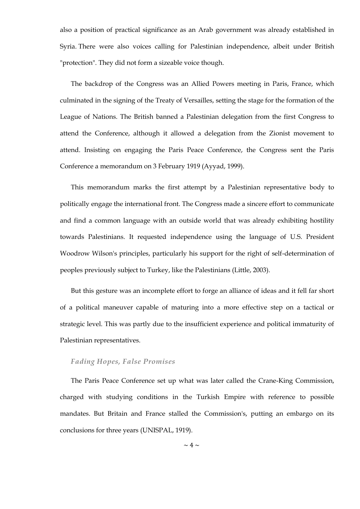also a position of practical significance as an Arab government was already established in Syria. There were also voices calling for Palestinian independence, albeit under British "protection". They did not form a sizeable voice though.

The backdrop of the Congress was an Allied Powers meeting in Paris, France, which culminated in the signing of the Treaty of Versailles, setting the stage for the formation of the League of Nations. The British banned a Palestinian delegation from the first Congress to attend the Conference, although it allowed a delegation from the Zionist movement to attend. Insisting on engaging the Paris Peace Conference, the Congress sent the Paris Conference a memorandum on 3 February 1919 (Ayyad, 1999).

This memorandum marks the first attempt by a Palestinian representative body to politically engage the international front. The Congress made a sincere effort to communicate and find a common language with an outside world that was already exhibiting hostility towards Palestinians. It requested independence using the language of U.S. President Woodrow Wilson's principles, particularly his support for the right of self-determination of peoples previously subject to Turkey, like the Palestinians (Little, 2003).

But this gesture was an incomplete effort to forge an alliance of ideas and it fell far short of a political maneuver capable of maturing into a more effective step on a tactical or strategic level. This was partly due to the insufficient experience and political immaturity of Palestinian representatives.

#### <span id="page-9-0"></span>*Fading Hopes, False Promises*

The Paris Peace Conference set up what was later called the Crane-King Commission, charged with studying conditions in the Turkish Empire with reference to possible mandates. But Britain and France stalled the Commission's, putting an embargo on its conclusions for three years (UNISPAL, 1919).

 $\sim$  4  $\sim$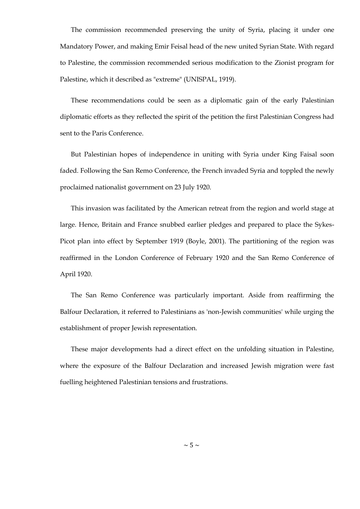The commission recommended preserving the unity of Syria, placing it under one Mandatory Power, and making Emir Feisal head of the new united Syrian State. With regard to Palestine, the commission recommended serious modification to the Zionist program for Palestine, which it described as "extreme" (UNISPAL, 1919).

These recommendations could be seen as a diplomatic gain of the early Palestinian diplomatic efforts as they reflected the spirit of the petition the first Palestinian Congress had sent to the Paris Conference.

But Palestinian hopes of independence in uniting with Syria under King Faisal soon faded. Following the San Remo Conference, the French invaded Syria and toppled the newly proclaimed nationalist government on 23 July 1920.

This invasion was facilitated by the American retreat from the region and world stage at large. Hence, Britain and France snubbed earlier pledges and prepared to place the Sykes-Picot plan into effect by September 1919 (Boyle, 2001). The partitioning of the region was reaffirmed in the London Conference of February 1920 and the San Remo Conference of April 1920.

The San Remo Conference was particularly important. Aside from reaffirming the Balfour Declaration, it referred to Palestinians as 'non-Jewish communities' while urging the establishment of proper Jewish representation.

<span id="page-10-0"></span>These major developments had a direct effect on the unfolding situation in Palestine, where the exposure of the Balfour Declaration and increased Jewish migration were fast fuelling heightened Palestinian tensions and frustrations.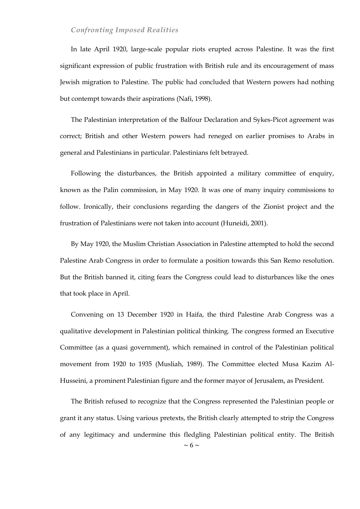#### *Confronting Imposed Realities*

In late April 1920, large-scale popular riots erupted across Palestine. It was the first significant expression of public frustration with British rule and its encouragement of mass Jewish migration to Palestine. The public had concluded that Western powers had nothing but contempt towards their aspirations (Nafi, 1998).

The Palestinian interpretation of the Balfour Declaration and Sykes-Picot agreement was correct; British and other Western powers had reneged on earlier promises to Arabs in general and Palestinians in particular. Palestinians felt betrayed.

Following the disturbances, the British appointed a military committee of enquiry, known as the Palin commission, in May 1920. It was one of many inquiry commissions to follow. Ironically, their conclusions regarding the dangers of the Zionist project and the frustration of Palestinians were not taken into account (Huneidi, 2001).

By May 1920, the Muslim Christian Association in Palestine attempted to hold the second Palestine Arab Congress in order to formulate a position towards this San Remo resolution. But the British banned it, citing fears the Congress could lead to disturbances like the ones that took place in April.

Convening on 13 December 1920 in Haifa, the third Palestine Arab Congress was a qualitative development in Palestinian political thinking. The congress formed an Executive Committee (as a quasi government), which remained in control of the Palestinian political movement from 1920 to 1935 (Musliah, 1989). The Committee elected Musa Kazim Al-Husseini, a prominent Palestinian figure and the former mayor of Jerusalem, as President.

The British refused to recognize that the Congress represented the Palestinian people or grant it any status. Using various pretexts, the British clearly attempted to strip the Congress of any legitimacy and undermine this fledgling Palestinian political entity. The British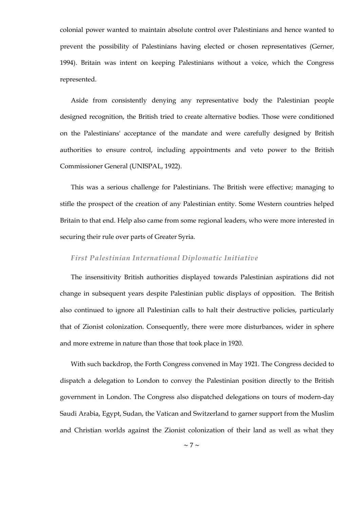colonial power wanted to maintain absolute control over Palestinians and hence wanted to prevent the possibility of Palestinians having elected or chosen representatives (Gerner, 1994). Britain was intent on keeping Palestinians without a voice, which the Congress represented.

Aside from consistently denying any representative body the Palestinian people designed recognition, the British tried to create alternative bodies. Those were conditioned on the Palestinians' acceptance of the mandate and were carefully designed by British authorities to ensure control, including appointments and veto power to the British Commissioner General (UNISPAL, 1922).

This was a serious challenge for Palestinians. The British were effective; managing to stifle the prospect of the creation of any Palestinian entity. Some Western countries helped Britain to that end. Help also came from some regional leaders, who were more interested in securing their rule over parts of Greater Syria.

#### <span id="page-12-0"></span>*First Palestinian International Diplomatic Initiative*

The insensitivity British authorities displayed towards Palestinian aspirations did not change in subsequent years despite Palestinian public displays of opposition. The British also continued to ignore all Palestinian calls to halt their destructive policies, particularly that of Zionist colonization. Consequently, there were more disturbances, wider in sphere and more extreme in nature than those that took place in 1920.

With such backdrop, the Forth Congress convened in May 1921. The Congress decided to dispatch a delegation to London to convey the Palestinian position directly to the British government in London. The Congress also dispatched delegations on tours of modern-day Saudi Arabia, Egypt, Sudan, the Vatican and Switzerland to garner support from the Muslim and Christian worlds against the Zionist colonization of their land as well as what they

 $\sim$  7  $\sim$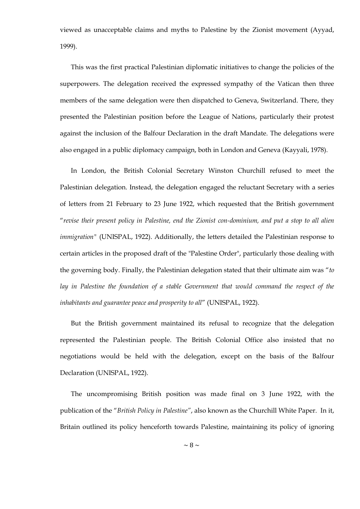viewed as unacceptable claims and myths to Palestine by the Zionist movement (Ayyad, 1999).

This was the first practical Palestinian diplomatic initiatives to change the policies of the superpowers. The delegation received the expressed sympathy of the Vatican then three members of the same delegation were then dispatched to Geneva, Switzerland. There, they presented the Palestinian position before the League of Nations, particularly their protest against the inclusion of the Balfour Declaration in the draft Mandate. The delegations were also engaged in a public diplomacy campaign, both in London and Geneva (Kayyali, 1978).

In London, the British Colonial Secretary Winston Churchill refused to meet the Palestinian delegation. Instead, the delegation engaged the reluctant Secretary with a series of letters from 21 February to 23 June 1922, which requested that the British government ―*revise their present policy in Palestine, end the Zionist con-dominium, and put a stop to all alien immigration"* (UNISPAL, 1922). Additionally, the letters detailed the Palestinian response to certain articles in the proposed draft of the "Palestine Order", particularly those dealing with the governing body. Finally, the Palestinian delegation stated that their ultimate aim was ―*to*  lay in Palestine the foundation of a stable Government that would command the respect of the inhabitants and guarantee peace and prosperity to all" (UNISPAL, 1922).

But the British government maintained its refusal to recognize that the delegation represented the Palestinian people. The British Colonial Office also insisted that no negotiations would be held with the delegation, except on the basis of the Balfour Declaration (UNISPAL, 1922).

The uncompromising British position was made final on 3 June 1922, with the publication of the ―*British Policy in Palestine"*, also known as the Churchill White Paper. In it, Britain outlined its policy henceforth towards Palestine, maintaining its policy of ignoring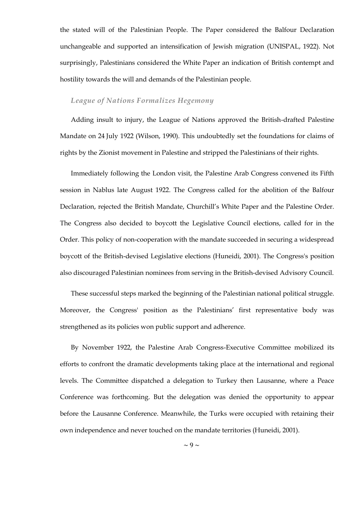the stated will of the Palestinian People. The Paper considered the Balfour Declaration unchangeable and supported an intensification of Jewish migration (UNISPAL, 1922). Not surprisingly, Palestinians considered the White Paper an indication of British contempt and hostility towards the will and demands of the Palestinian people.

#### <span id="page-14-0"></span>*League of Nations Formalizes Hegemony*

Adding insult to injury, the League of Nations approved the British-drafted Palestine Mandate on 24 July 1922 (Wilson, 1990). This undoubtedly set the foundations for claims of rights by the Zionist movement in Palestine and stripped the Palestinians of their rights.

Immediately following the London visit, the Palestine Arab Congress convened its Fifth session in Nablus late August 1922. The Congress called for the abolition of the Balfour Declaration, rejected the British Mandate, Churchill's White Paper and the Palestine Order. The Congress also decided to boycott the Legislative Council elections, called for in the Order. This policy of non-cooperation with the mandate succeeded in securing a widespread boycott of the British-devised Legislative elections (Huneidi, 2001). The Congress's position also discouraged Palestinian nominees from serving in the British-devised Advisory Council.

These successful steps marked the beginning of the Palestinian national political struggle. Moreover, the Congress' position as the Palestinians' first representative body was strengthened as its policies won public support and adherence.

By November 1922, the Palestine Arab Congress-Executive Committee mobilized its efforts to confront the dramatic developments taking place at the international and regional levels. The Committee dispatched a delegation to Turkey then Lausanne, where a Peace Conference was forthcoming. But the delegation was denied the opportunity to appear before the Lausanne Conference. Meanwhile, the Turks were occupied with retaining their own independence and never touched on the mandate territories (Huneidi, 2001).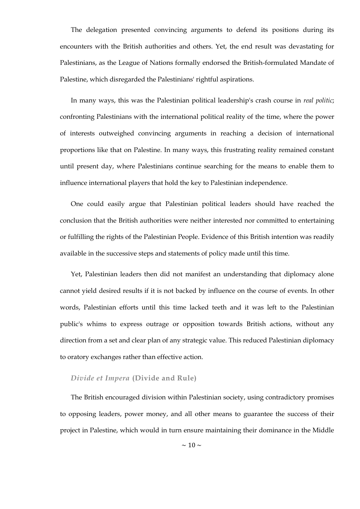The delegation presented convincing arguments to defend its positions during its encounters with the British authorities and others. Yet, the end result was devastating for Palestinians, as the League of Nations formally endorsed the British-formulated Mandate of Palestine, which disregarded the Palestinians' rightful aspirations.

In many ways, this was the Palestinian political leadership's crash course in *real politic*; confronting Palestinians with the international political reality of the time, where the power of interests outweighed convincing arguments in reaching a decision of international proportions like that on Palestine. In many ways, this frustrating reality remained constant until present day, where Palestinians continue searching for the means to enable them to influence international players that hold the key to Palestinian independence.

One could easily argue that Palestinian political leaders should have reached the conclusion that the British authorities were neither interested nor committed to entertaining or fulfilling the rights of the Palestinian People. Evidence of this British intention was readily available in the successive steps and statements of policy made until this time.

Yet, Palestinian leaders then did not manifest an understanding that diplomacy alone cannot yield desired results if it is not backed by influence on the course of events. In other words, Palestinian efforts until this time lacked teeth and it was left to the Palestinian public's whims to express outrage or opposition towards British actions, without any direction from a set and clear plan of any strategic value. This reduced Palestinian diplomacy to oratory exchanges rather than effective action.

#### <span id="page-15-0"></span>*Divide et Impera* **(Divide and Rule)**

The British encouraged division within Palestinian society, using contradictory promises to opposing leaders, power money, and all other means to guarantee the success of their project in Palestine, which would in turn ensure maintaining their dominance in the Middle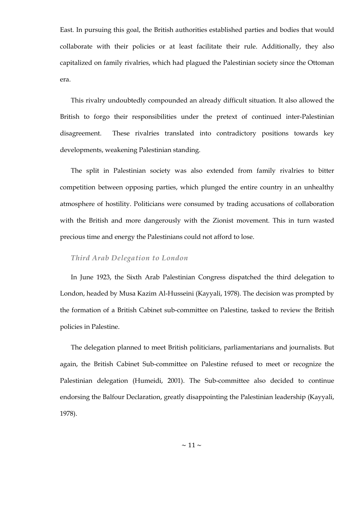East. In pursuing this goal, the British authorities established parties and bodies that would collaborate with their policies or at least facilitate their rule. Additionally, they also capitalized on family rivalries, which had plagued the Palestinian society since the Ottoman era.

This rivalry undoubtedly compounded an already difficult situation. It also allowed the British to forgo their responsibilities under the pretext of continued inter-Palestinian disagreement. These rivalries translated into contradictory positions towards key developments, weakening Palestinian standing.

The split in Palestinian society was also extended from family rivalries to bitter competition between opposing parties, which plunged the entire country in an unhealthy atmosphere of hostility. Politicians were consumed by trading accusations of collaboration with the British and more dangerously with the Zionist movement. This in turn wasted precious time and energy the Palestinians could not afford to lose.

#### <span id="page-16-0"></span>*Third Arab Delegation to London*

In June 1923, the Sixth Arab Palestinian Congress dispatched the third delegation to London, headed by Musa Kazim Al-Husseini (Kayyali, 1978). The decision was prompted by the formation of a British Cabinet sub-committee on Palestine, tasked to review the British policies in Palestine.

The delegation planned to meet British politicians, parliamentarians and journalists. But again, the British Cabinet Sub-committee on Palestine refused to meet or recognize the Palestinian delegation (Humeidi, 2001). The Sub-committee also decided to continue endorsing the Balfour Declaration, greatly disappointing the Palestinian leadership (Kayyali, 1978).

 $\sim$  11  $\sim$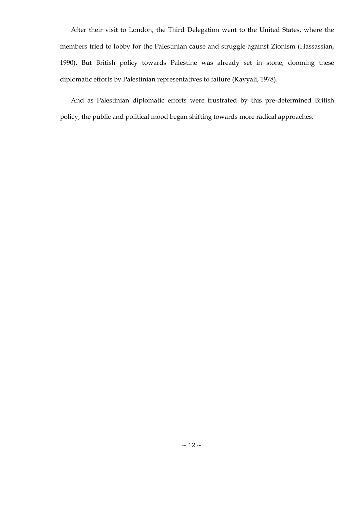After their visit to London, the Third Delegation went to the United States, where the members tried to lobby for the Palestinian cause and struggle against Zionism (Hassassian, 1990). But British policy towards Palestine was already set in stone, dooming these diplomatic efforts by Palestinian representatives to failure (Kayyali, 1978).

And as Palestinian diplomatic efforts were frustrated by this pre-determined British policy, the public and political mood began shifting towards more radical approaches.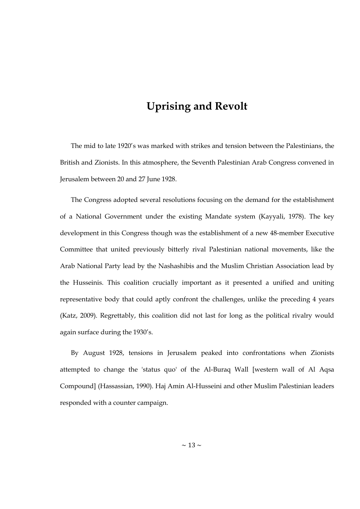# **Uprising and Revolt**

<span id="page-18-0"></span>The mid to late 1920's was marked with strikes and tension between the Palestinians, the British and Zionists. In this atmosphere, the Seventh Palestinian Arab Congress convened in Jerusalem between 20 and 27 June 1928.

The Congress adopted several resolutions focusing on the demand for the establishment of a National Government under the existing Mandate system (Kayyali, 1978). The key development in this Congress though was the establishment of a new 48-member Executive Committee that united previously bitterly rival Palestinian national movements, like the Arab National Party lead by the Nashashibis and the Muslim Christian Association lead by the Husseinis. This coalition crucially important as it presented a unified and uniting representative body that could aptly confront the challenges, unlike the preceding 4 years (Katz, 2009). Regrettably, this coalition did not last for long as the political rivalry would again surface during the 1930's.

By August 1928, tensions in Jerusalem peaked into confrontations when Zionists attempted to change the 'status quo' of the Al-Buraq Wall [western wall of Al Aqsa Compound] (Hassassian, 1990). Haj Amin Al-Husseini and other Muslim Palestinian leaders responded with a counter campaign.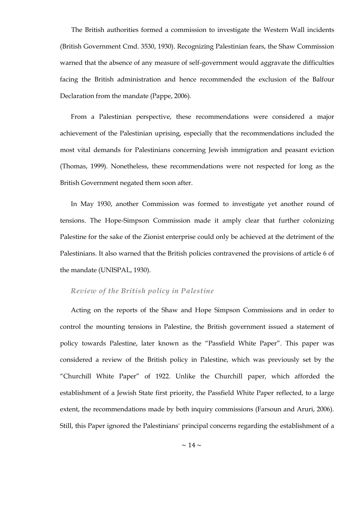The British authorities formed a commission to investigate the Western Wall incidents (British Government Cmd. 3530, 1930). Recognizing Palestinian fears, the Shaw Commission warned that the absence of any measure of self-government would aggravate the difficulties facing the British administration and hence recommended the exclusion of the Balfour Declaration from the mandate (Pappe, 2006).

From a Palestinian perspective, these recommendations were considered a major achievement of the Palestinian uprising, especially that the recommendations included the most vital demands for Palestinians concerning Jewish immigration and peasant eviction (Thomas, 1999). Nonetheless, these recommendations were not respected for long as the British Government negated them soon after.

In May 1930, another Commission was formed to investigate yet another round of tensions. The Hope-Simpson Commission made it amply clear that further colonizing Palestine for the sake of the Zionist enterprise could only be achieved at the detriment of the Palestinians. It also warned that the British policies contravened the provisions of article 6 of the mandate (UNISPAL, 1930).

#### <span id="page-19-0"></span>*Review of the British policy in Palestine*

Acting on the reports of the Shaw and Hope Simpson Commissions and in order to control the mounting tensions in Palestine, the British government issued a statement of policy towards Palestine, later known as the "Passfield White Paper". This paper was considered a review of the British policy in Palestine, which was previously set by the "Churchill White Paper" of 1922. Unlike the Churchill paper, which afforded the establishment of a Jewish State first priority, the Passfield White Paper reflected, to a large extent, the recommendations made by both inquiry commissions (Farsoun and Aruri, 2006). Still, this Paper ignored the Palestinians' principal concerns regarding the establishment of a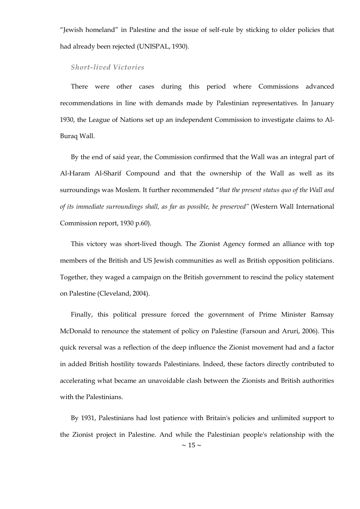"Jewish homeland" in Palestine and the issue of self-rule by sticking to older policies that had already been rejected (UNISPAL, 1930).

#### <span id="page-20-0"></span>*Short-lived Victories*

There were other cases during this period where Commissions advanced recommendations in line with demands made by Palestinian representatives. In January 1930, the League of Nations set up an independent Commission to investigate claims to Al-Buraq Wall.

By the end of said year, the Commission confirmed that the Wall was an integral part of Al-Haram Al-Sharif Compound and that the ownership of the Wall as well as its surroundings was Moslem. It further recommended "that the present status quo of the Wall and *of its immediate surroundings shall, as far as possible, be preserved"* (Western Wall International Commission report, 1930 p.60).

This victory was short-lived though. The Zionist Agency formed an alliance with top members of the British and US Jewish communities as well as British opposition politicians. Together, they waged a campaign on the British government to rescind the policy statement on Palestine (Cleveland, 2004).

Finally, this political pressure forced the government of Prime Minister Ramsay McDonald to renounce the statement of policy on Palestine (Farsoun and Aruri, 2006). This quick reversal was a reflection of the deep influence the Zionist movement had and a factor in added British hostility towards Palestinians. Indeed, these factors directly contributed to accelerating what became an unavoidable clash between the Zionists and British authorities with the Palestinians.

 $\sim$  15  $\sim$ By 1931, Palestinians had lost patience with Britain's policies and unlimited support to the Zionist project in Palestine. And while the Palestinian people's relationship with the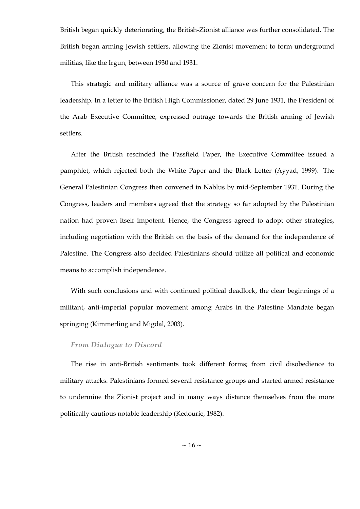British began quickly deteriorating, the British-Zionist alliance was further consolidated. The British began arming Jewish settlers, allowing the Zionist movement to form underground militias, like the Irgun, between 1930 and 1931.

This strategic and military alliance was a source of grave concern for the Palestinian leadership. In a letter to the British High Commissioner, dated 29 June 1931, the President of the Arab Executive Committee, expressed outrage towards the British arming of Jewish settlers.

After the British rescinded the Passfield Paper, the Executive Committee issued a pamphlet, which rejected both the White Paper and the Black Letter (Ayyad, 1999). The General Palestinian Congress then convened in Nablus by mid-September 1931. During the Congress, leaders and members agreed that the strategy so far adopted by the Palestinian nation had proven itself impotent. Hence, the Congress agreed to adopt other strategies, including negotiation with the British on the basis of the demand for the independence of Palestine. The Congress also decided Palestinians should utilize all political and economic means to accomplish independence.

With such conclusions and with continued political deadlock, the clear beginnings of a militant, anti-imperial popular movement among Arabs in the Palestine Mandate began springing (Kimmerling and Migdal, 2003).

#### <span id="page-21-0"></span>*From Dialogue to Discord*

The rise in anti-British sentiments took different forms; from civil disobedience to military attacks. Palestinians formed several resistance groups and started armed resistance to undermine the Zionist project and in many ways distance themselves from the more politically cautious notable leadership (Kedourie, 1982).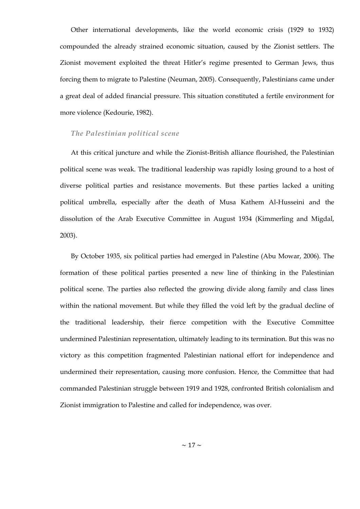Other international developments, like the world economic crisis (1929 to 1932) compounded the already strained economic situation, caused by the Zionist settlers. The Zionist movement exploited the threat Hitler's regime presented to German Jews, thus forcing them to migrate to Palestine (Neuman, 2005). Consequently, Palestinians came under a great deal of added financial pressure. This situation constituted a fertile environment for more violence (Kedourie, 1982).

#### <span id="page-22-0"></span>*The Palestinian political scene*

At this critical juncture and while the Zionist-British alliance flourished, the Palestinian political scene was weak. The traditional leadership was rapidly losing ground to a host of diverse political parties and resistance movements. But these parties lacked a uniting political umbrella, especially after the death of Musa Kathem Al-Husseini and the dissolution of the Arab Executive Committee in August 1934 (Kimmerling and Migdal, 2003).

By October 1935, six political parties had emerged in Palestine (Abu Mowar, 2006). The formation of these political parties presented a new line of thinking in the Palestinian political scene. The parties also reflected the growing divide along family and class lines within the national movement. But while they filled the void left by the gradual decline of the traditional leadership, their fierce competition with the Executive Committee undermined Palestinian representation, ultimately leading to its termination. But this was no victory as this competition fragmented Palestinian national effort for independence and undermined their representation, causing more confusion. Hence, the Committee that had commanded Palestinian struggle between 1919 and 1928, confronted British colonialism and Zionist immigration to Palestine and called for independence, was over.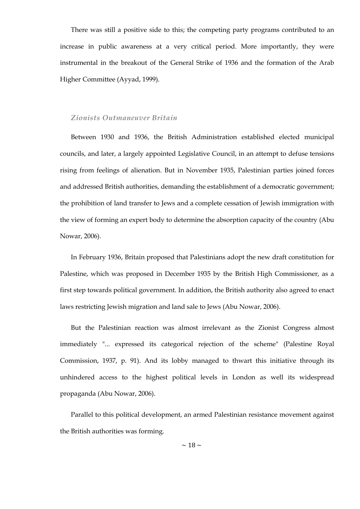There was still a positive side to this; the competing party programs contributed to an increase in public awareness at a very critical period. More importantly, they were instrumental in the breakout of the General Strike of 1936 and the formation of the Arab Higher Committee (Ayyad, 1999).

#### <span id="page-23-0"></span>*Zionists Outmaneuver Britain*

Between 1930 and 1936, the British Administration established elected municipal councils, and later, a largely appointed Legislative Council, in an attempt to defuse tensions rising from feelings of alienation. But in November 1935, Palestinian parties joined forces and addressed British authorities, demanding the establishment of a democratic government; the prohibition of land transfer to Jews and a complete cessation of Jewish immigration with the view of forming an expert body to determine the absorption capacity of the country (Abu Nowar, 2006).

In February 1936, Britain proposed that Palestinians adopt the new draft constitution for Palestine, which was proposed in December 1935 by the British High Commissioner, as a first step towards political government. In addition, the British authority also agreed to enact laws restricting Jewish migration and land sale to Jews (Abu Nowar, 2006).

But the Palestinian reaction was almost irrelevant as the Zionist Congress almost immediately "... expressed its categorical rejection of the scheme" (Palestine Royal Commission, 1937, p. 91). And its lobby managed to thwart this initiative through its unhindered access to the highest political levels in London as well its widespread propaganda (Abu Nowar, 2006).

Parallel to this political development, an armed Palestinian resistance movement against the British authorities was forming.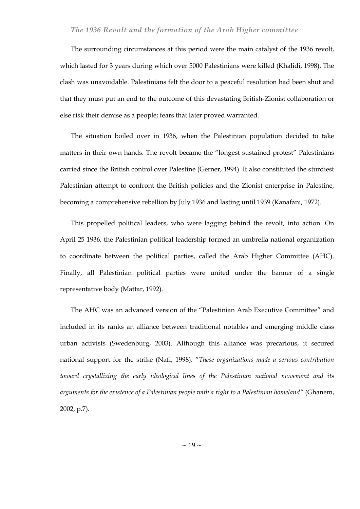#### <span id="page-24-0"></span>*The 1936 Revolt and the formation of the Arab Higher committee*

The surrounding circumstances at this period were the main catalyst of the 1936 revolt, which lasted for 3 years during which over 5000 Palestinians were killed (Khalidi, 1998). The clash was unavoidable. Palestinians felt the door to a peaceful resolution had been shut and that they must put an end to the outcome of this devastating British-Zionist collaboration or else risk their demise as a people; fears that later proved warranted.

The situation boiled over in 1936, when the Palestinian population decided to take matters in their own hands. The revolt became the "longest sustained protest" Palestinians carried since the British control over Palestine (Gerner, 1994). It also constituted the sturdiest Palestinian attempt to confront the British policies and the Zionist enterprise in Palestine, becoming a comprehensive rebellion by July 1936 and lasting until 1939 (Kanafani, 1972).

This propelled political leaders, who were lagging behind the revolt, into action. On April 25 1936, the Palestinian political leadership formed an umbrella national organization to coordinate between the political parties, called the Arab Higher Committee (AHC). Finally, all Palestinian political parties were united under the banner of a single representative body (Mattar, 1992).

The AHC was an advanced version of the "Palestinian Arab Executive Committee" and included in its ranks an alliance between traditional notables and emerging middle class urban activists (Swedenburg, 2003). Although this alliance was precarious, it secured national support for the strike (Nafi, 1998). "These organizations made a serious contribution *toward crystallizing the early ideological lines of the Palestinian national movement and its arguments for the existence of a Palestinian people with a right to a Palestinian homeland"* (Ghanem, 2002, p.7).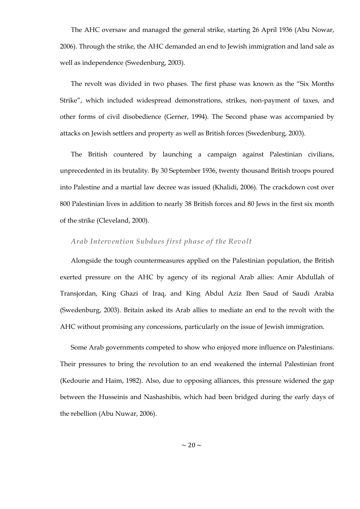The AHC oversaw and managed the general strike, starting 26 April 1936 (Abu Nowar, 2006). Through the strike, the AHC demanded an end to Jewish immigration and land sale as well as independence (Swedenburg, 2003).

The revolt was divided in two phases. The first phase was known as the "Six Months Strike", which included widespread demonstrations, strikes, non-payment of taxes, and other forms of civil disobedience (Gerner, 1994). The Second phase was accompanied by attacks on Jewish settlers and property as well as British forces (Swedenburg, 2003).

The British countered by launching a campaign against Palestinian civilians, unprecedented in its brutality. By 30 September 1936, twenty thousand British troops poured into Palestine and a martial law decree was issued (Khalidi, 2006). The crackdown cost over 800 Palestinian lives in addition to nearly 38 British forces and 80 Jews in the first six month of the strike (Cleveland, 2000).

#### <span id="page-25-0"></span>*Arab Intervention Subdues first phase of the Revolt*

Alongside the tough countermeasures applied on the Palestinian population, the British exerted pressure on the AHC by agency of its regional Arab allies: Amir Abdullah of Transjordan, King Ghazi of Iraq, and King Abdul Aziz Iben Saud of Saudi Arabia (Swedenburg, 2003). Britain asked its Arab allies to mediate an end to the revolt with the AHC without promising any concessions, particularly on the issue of Jewish immigration.

Some Arab governments competed to show who enjoyed more influence on Palestinians. Their pressures to bring the revolution to an end weakened the internal Palestinian front (Kedourie and Haim, 1982). Also, due to opposing alliances, this pressure widened the gap between the Husseinis and Nashashibis, which had been bridged during the early days of the rebellion (Abu Nuwar, 2006).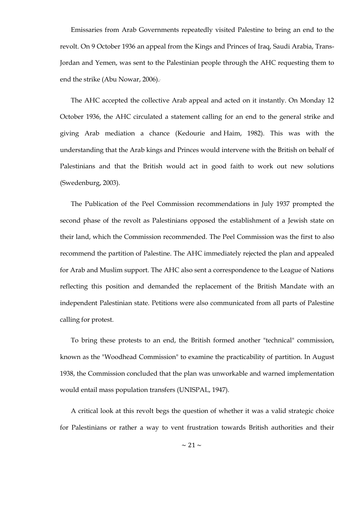Emissaries from Arab Governments repeatedly visited Palestine to bring an end to the revolt. On 9 October 1936 an appeal from the Kings and Princes of Iraq, Saudi Arabia, Trans-Jordan and Yemen, was sent to the Palestinian people through the AHC requesting them to end the strike (Abu Nowar, 2006).

The AHC accepted the collective Arab appeal and acted on it instantly. On Monday 12 October 1936, the AHC circulated a statement calling for an end to the general strike and giving Arab mediation a chance (Kedourie and Haim, 1982). This was with the understanding that the Arab kings and Princes would intervene with the British on behalf of Palestinians and that the British would act in good faith to work out new solutions (Swedenburg, 2003).

The Publication of the Peel Commission recommendations in July 1937 prompted the second phase of the revolt as Palestinians opposed the establishment of a Jewish state on their land, which the Commission recommended. The Peel Commission was the first to also recommend the partition of Palestine. The AHC immediately rejected the plan and appealed for Arab and Muslim support. The AHC also sent a correspondence to the League of Nations reflecting this position and demanded the replacement of the British Mandate with an independent Palestinian state. Petitions were also communicated from all parts of Palestine calling for protest.

To bring these protests to an end, the British formed another "technical" commission, known as the "Woodhead Commission" to examine the practicability of partition. In August 1938, the Commission concluded that the plan was unworkable and warned implementation would entail mass population transfers (UNISPAL, 1947).

A critical look at this revolt begs the question of whether it was a valid strategic choice for Palestinians or rather a way to vent frustration towards British authorities and their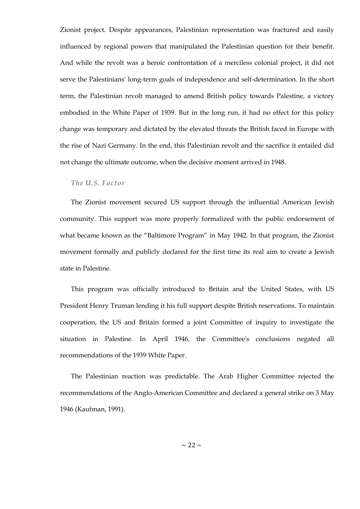Zionist project. Despite appearances, Palestinian representation was fractured and easily influenced by regional powers that manipulated the Palestinian question for their benefit. And while the revolt was a heroic confrontation of a merciless colonial project, it did not serve the Palestinians' long-term goals of independence and self-determination. In the short term, the Palestinian revolt managed to amend British policy towards Palestine, a victory embodied in the White Paper of 1939. But in the long run, it had no effect for this policy change was temporary and dictated by the elevated threats the British faced in Europe with the rise of Nazi Germany. In the end, this Palestinian revolt and the sacrifice it entailed did not change the ultimate outcome, when the decisive moment arrived in 1948.

#### <span id="page-27-0"></span>*The U.S. Factor*

The Zionist movement secured US support through the influential American Jewish community. This support was more properly formalized with the public endorsement of what became known as the "Baltimore Program" in May 1942. In that program, the Zionist movement formally and publicly declared for the first time its real aim to create a Jewish state in Palestine.

This program was officially introduced to Britain and the United States, with US President Henry Truman lending it his full support despite British reservations. To maintain cooperation, the US and Britain formed a joint Committee of inquiry to investigate the situation in Palestine. In April 1946, the Committee's conclusions negated all recommendations of the 1939 White Paper.

The Palestinian reaction was predictable. The Arab Higher Committee rejected the recommendations of the Anglo-American Committee and declared a general strike on 3 May 1946 (Kaufman, 1991).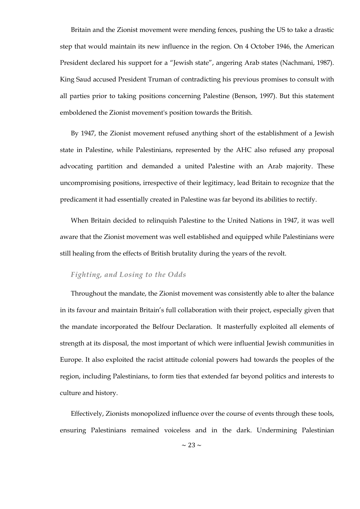Britain and the Zionist movement were mending fences, pushing the US to take a drastic step that would maintain its new influence in the region. On 4 October 1946, the American President declared his support for a "Jewish state", angering Arab states (Nachmani, 1987). King Saud accused President Truman of contradicting his previous promises to consult with all parties prior to taking positions concerning Palestine (Benson, 1997). But this statement emboldened the Zionist movement's position towards the British.

By 1947, the Zionist movement refused anything short of the establishment of a Jewish state in Palestine, while Palestinians, represented by the AHC also refused any proposal advocating partition and demanded a united Palestine with an Arab majority. These uncompromising positions, irrespective of their legitimacy, lead Britain to recognize that the predicament it had essentially created in Palestine was far beyond its abilities to rectify.

When Britain decided to relinquish Palestine to the United Nations in 1947, it was well aware that the Zionist movement was well established and equipped while Palestinians were still healing from the effects of British brutality during the years of the revolt.

#### <span id="page-28-0"></span>*Fighting, and Losing to the Odds*

Throughout the mandate, the Zionist movement was consistently able to alter the balance in its favour and maintain Britain's full collaboration with their project, especially given that the mandate incorporated the Belfour Declaration. It masterfully exploited all elements of strength at its disposal, the most important of which were influential Jewish communities in Europe. It also exploited the racist attitude colonial powers had towards the peoples of the region, including Palestinians, to form ties that extended far beyond politics and interests to culture and history.

Effectively, Zionists monopolized influence over the course of events through these tools, ensuring Palestinians remained voiceless and in the dark. Undermining Palestinian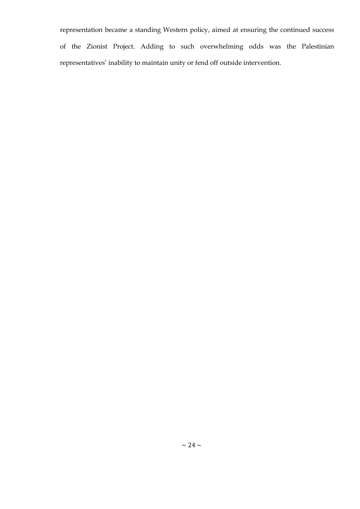representation became a standing Western policy, aimed at ensuring the continued success of the Zionist Project. Adding to such overwhelming odds was the Palestinian representatives' inability to maintain unity or fend off outside intervention.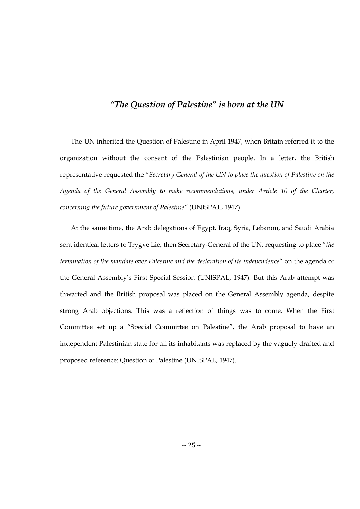#### *"The Question of Palestine" is born at the UN*

<span id="page-30-0"></span>The UN inherited the Question of Palestine in April 1947, when Britain referred it to the organization without the consent of the Palestinian people. In a letter, the British representative requested the "Secretary General of the UN to place the question of Palestine on the *Agenda of the General Assembly to make recommendations, under Article 10 of the Charter, concerning the future government of Palestine"* (UNISPAL, 1947).

At the same time, the Arab delegations of Egypt, Iraq, Syria, Lebanon, and Saudi Arabia sent identical letters to Trygve Lie, then Secretary-General of the UN, requesting to place "the *termination of the mandate over Palestine and the declaration of its independence"* on the agenda of the General Assembly's First Special Session (UNISPAL, 1947). But this Arab attempt was thwarted and the British proposal was placed on the General Assembly agenda, despite strong Arab objections. This was a reflection of things was to come. When the First Committee set up a "Special Committee on Palestine", the Arab proposal to have an independent Palestinian state for all its inhabitants was replaced by the vaguely drafted and proposed reference: Question of Palestine (UNISPAL, 1947).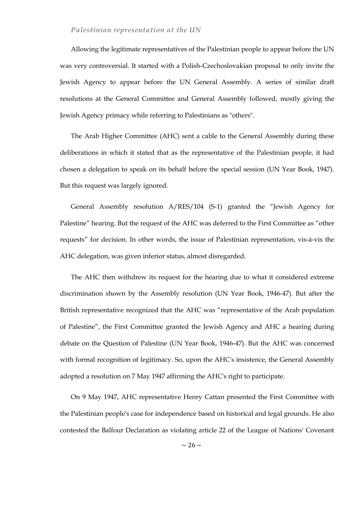#### <span id="page-31-0"></span>*Palestinian representation at the UN*

Allowing the legitimate representatives of the Palestinian people to appear before the UN was very controversial. It started with a Polish-Czechoslovakian proposal to only invite the Jewish Agency to appear before the UN General Assembly. A series of similar draft resolutions at the General Committee and General Assembly followed, mostly giving the Jewish Agency primacy while referring to Palestinians as "others".

The Arab Higher Committee (AHC) sent a cable to the General Assembly during these deliberations in which it stated that as the representative of the Palestinian people, it had chosen a delegation to speak on its behalf before the special session (UN Year Book, 1947). But this request was largely ignored.

General Assembly resolution A/RES/104 (S-1) granted the "Jewish Agency for Palestine" hearing. But the request of the AHC was deferred to the First Committee as "other requests" for decision. In other words, the issue of Palestinian representation, vis-à-vis the AHC delegation, was given inferior status, almost disregarded.

The AHC then withdrew its request for the hearing due to what it considered extreme discrimination shown by the Assembly resolution (UN Year Book, 1946-47). But after the British representative recognized that the AHC was "representative of the Arab population of Palestine", the First Committee granted the Jewish Agency and AHC a hearing during debate on the Question of Palestine (UN Year Book, 1946-47). But the AHC was concerned with formal recognition of legitimacy. So, upon the AHC's insistence, the General Assembly adopted a resolution on 7 May 1947 affirming the AHC's right to participate.

On 9 May 1947, AHC representative Henry Cattan presented the First Committee with the Palestinian people's case for independence based on historical and legal grounds. He also contested the Balfour Declaration as violating article 22 of the League of Nations' Covenant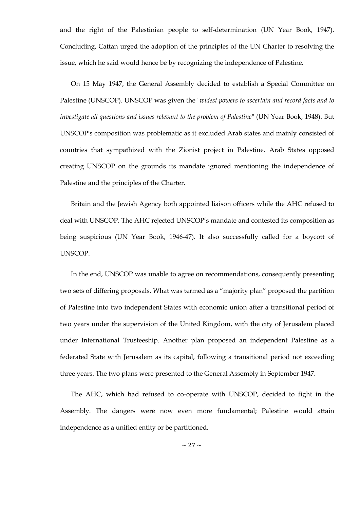and the right of the Palestinian people to self-determination (UN Year Book, 1947). Concluding, Cattan urged the adoption of the principles of the UN Charter to resolving the issue, which he said would hence be by recognizing the independence of Palestine.

On 15 May 1947, the General Assembly decided to establish a Special Committee on Palestine (UNSCOP). UNSCOP was given the "*widest powers to ascertain and record facts and to investigate all questions and issues relevant to the problem of Palestine*" (UN Year Book, 1948). But UNSCOP's composition was problematic as it excluded Arab states and mainly consisted of countries that sympathized with the Zionist project in Palestine. Arab States opposed creating UNSCOP on the grounds its mandate ignored mentioning the independence of Palestine and the principles of the Charter.

Britain and the Jewish Agency both appointed liaison officers while the AHC refused to deal with UNSCOP. The AHC rejected UNSCOP's mandate and contested its composition as being suspicious (UN Year Book, 1946-47). It also successfully called for a boycott of UNSCOP.

In the end, UNSCOP was unable to agree on recommendations, consequently presenting two sets of differing proposals. What was termed as a "majority plan" proposed the partition of Palestine into two independent States with economic union after a transitional period of two years under the supervision of the United Kingdom, with the city of Jerusalem placed under International Trusteeship. Another plan proposed an independent Palestine as a federated State with Jerusalem as its capital, following a transitional period not exceeding three years. The two plans were presented to the General Assembly in September 1947.

The AHC, which had refused to co-operate with UNSCOP, decided to fight in the Assembly. The dangers were now even more fundamental; Palestine would attain independence as a unified entity or be partitioned.

 $\sim$  27  $\sim$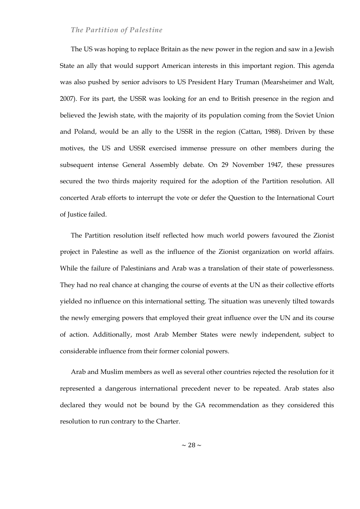#### <span id="page-33-0"></span>*The Partition of Palestine*

The US was hoping to replace Britain as the new power in the region and saw in a Jewish State an ally that would support American interests in this important region. This agenda was also pushed by senior advisors to US President Hary Truman (Mearsheimer and Walt, 2007). For its part, the USSR was looking for an end to British presence in the region and believed the Jewish state, with the majority of its population coming from the Soviet Union and Poland, would be an ally to the USSR in the region (Cattan, 1988). Driven by these motives, the US and USSR exercised immense pressure on other members during the subsequent intense General Assembly debate. On 29 November 1947, these pressures secured the two thirds majority required for the adoption of the Partition resolution. All concerted Arab efforts to interrupt the vote or defer the Question to the International Court of Justice failed.

The Partition resolution itself reflected how much world powers favoured the Zionist project in Palestine as well as the influence of the Zionist organization on world affairs. While the failure of Palestinians and Arab was a translation of their state of powerlessness. They had no real chance at changing the course of events at the UN as their collective efforts yielded no influence on this international setting. The situation was unevenly tilted towards the newly emerging powers that employed their great influence over the UN and its course of action. Additionally, most Arab Member States were newly independent, subject to considerable influence from their former colonial powers.

Arab and Muslim members as well as several other countries rejected the resolution for it represented a dangerous international precedent never to be repeated. Arab states also declared they would not be bound by the GA recommendation as they considered this resolution to run contrary to the Charter.

 $\sim$  28  $\sim$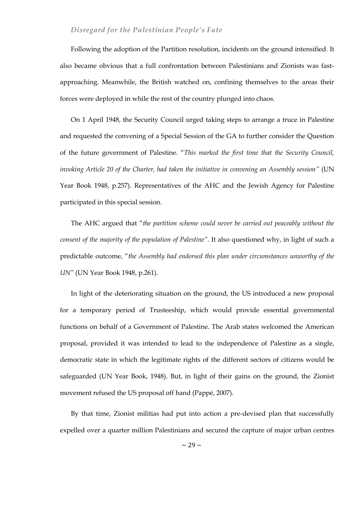#### <span id="page-34-0"></span>*Disregard for the Palestinian People's Fate*

Following the adoption of the Partition resolution, incidents on the ground intensified. It also became obvious that a full confrontation between Palestinians and Zionists was fastapproaching. Meanwhile, the British watched on, confining themselves to the areas their forces were deployed in while the rest of the country plunged into chaos.

On 1 April 1948, the Security Council urged taking steps to arrange a truce in Palestine and requested the convening of a Special Session of the GA to further consider the Question of the future government of Palestine. "This marked the first time that the Security Council, *invoking Article 20 of the Charter, had taken the initiative in convening an Assembly session"* (UN Year Book 1948, p.257). Representatives of the AHC and the Jewish Agency for Palestine participated in this special session.

The AHC argued that "the partition scheme could never be carried out peaceably without the *consent of the majority of the population of Palestine"*. It also questioned why, in light of such a predictable outcome, "the Assembly had endorsed this plan under circumstances unworthy of the *UN"* (UN Year Book 1948, p.261).

In light of the deteriorating situation on the ground, the US introduced a new proposal for a temporary period of Trusteeship, which would provide essential governmental functions on behalf of a Government of Palestine. The Arab states welcomed the American proposal, provided it was intended to lead to the independence of Palestine as a single, democratic state in which the legitimate rights of the different sectors of citizens would be safeguarded (UN Year Book, 1948). But, in light of their gains on the ground, the Zionist movement refused the US proposal off hand (Pappé, 2007).

By that time, Zionist militias had put into action a pre-devised plan that successfully expelled over a quarter million Palestinians and secured the capture of major urban centres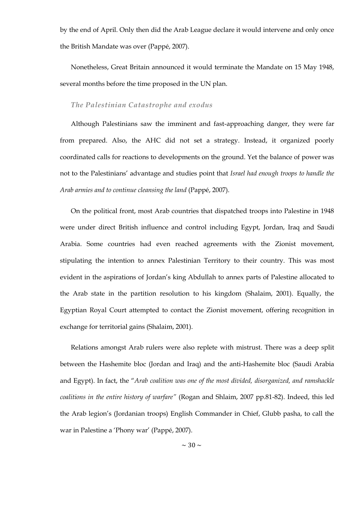by the end of April. Only then did the Arab League declare it would intervene and only once the British Mandate was over (Pappé, 2007).

Nonetheless, Great Britain announced it would terminate the Mandate on 15 May 1948, several months before the time proposed in the UN plan.

#### <span id="page-35-0"></span>*The Palestinian Catastrophe and exodus*

Although Palestinians saw the imminent and fast-approaching danger, they were far from prepared. Also, the AHC did not set a strategy. Instead, it organized poorly coordinated calls for reactions to developments on the ground. Yet the balance of power was not to the Palestinians' advantage and studies point that *Israel had enough troops to handle the Arab armies and to continue cleansing the land* (Pappé, 2007).

On the political front, most Arab countries that dispatched troops into Palestine in 1948 were under direct British influence and control including Egypt, Jordan, Iraq and Saudi Arabia. Some countries had even reached agreements with the Zionist movement, stipulating the intention to annex Palestinian Territory to their country. This was most evident in the aspirations of Jordan's king Abdullah to annex parts of Palestine allocated to the Arab state in the partition resolution to his kingdom (Shalaim, 2001). Equally, the Egyptian Royal Court attempted to contact the Zionist movement, offering recognition in exchange for territorial gains (Shalaim, 2001).

Relations amongst Arab rulers were also replete with mistrust. There was a deep split between the Hashemite bloc (Jordan and Iraq) and the anti-Hashemite bloc (Saudi Arabia and Egypt). In fact, the "Arab coalition was one of the most divided, disorganized, and ramshackle *coalitions in the entire history of warfare"* (Rogan and Shlaim, 2007 pp.81-82). Indeed, this led the Arab legion's (Jordanian troops) English Commander in Chief, Glubb pasha, to call the war in Palestine a 'Phony war' (Pappé, 2007).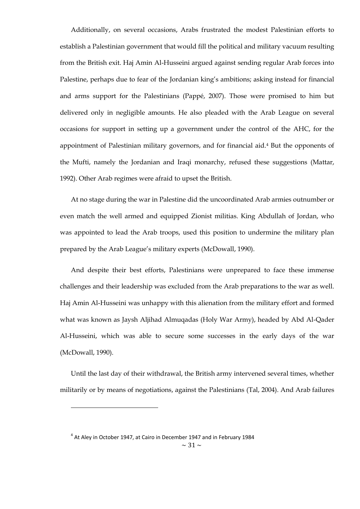Additionally, on several occasions, Arabs frustrated the modest Palestinian efforts to establish a Palestinian government that would fill the political and military vacuum resulting from the British exit. Haj Amin Al-Husseini argued against sending regular Arab forces into Palestine, perhaps due to fear of the Jordanian king's ambitions; asking instead for financial and arms support for the Palestinians (Pappé, 2007). Those were promised to him but delivered only in negligible amounts. He also pleaded with the Arab League on several occasions for support in setting up a government under the control of the AHC, for the appointment of Palestinian military governors, and for financial aid.<sup>4</sup> But the opponents of the Mufti, namely the Jordanian and Iraqi monarchy, refused these suggestions (Mattar, 1992). Other Arab regimes were afraid to upset the British.

At no stage during the war in Palestine did the uncoordinated Arab armies outnumber or even match the well armed and equipped Zionist militias. King Abdullah of Jordan, who was appointed to lead the Arab troops, used this position to undermine the military plan prepared by the Arab League's military experts (McDowall, 1990).

And despite their best efforts, Palestinians were unprepared to face these immense challenges and their leadership was excluded from the Arab preparations to the war as well. Haj Amin Al-Husseini was unhappy with this alienation from the military effort and formed what was known as Jaysh Aljihad Almuqadas (Holy War Army), headed by Abd Al-Qader Al-Husseini, which was able to secure some successes in the early days of the war (McDowall, 1990).

Until the last day of their withdrawal, the British army intervened several times, whether militarily or by means of negotiations, against the Palestinians (Tal, 2004). And Arab failures

 $\overline{a}$ 

 $<sup>4</sup>$  At Aley in October 1947, at Cairo in December 1947 and in February 1984</sup>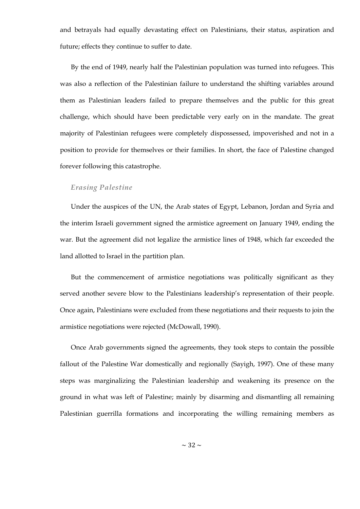and betrayals had equally devastating effect on Palestinians, their status, aspiration and future; effects they continue to suffer to date.

By the end of 1949, nearly half the Palestinian population was turned into refugees. This was also a reflection of the Palestinian failure to understand the shifting variables around them as Palestinian leaders failed to prepare themselves and the public for this great challenge, which should have been predictable very early on in the mandate. The great majority of Palestinian refugees were completely dispossessed, impoverished and not in a position to provide for themselves or their families. In short, the face of Palestine changed forever following this catastrophe.

### *Erasing Palestine*

Under the auspices of the UN, the Arab states of Egypt, Lebanon, Jordan and Syria and the interim Israeli government signed the armistice agreement on January 1949, ending the war. But the agreement did not legalize the armistice lines of 1948, which far exceeded the land allotted to Israel in the partition plan.

But the commencement of armistice negotiations was politically significant as they served another severe blow to the Palestinians leadership's representation of their people. Once again, Palestinians were excluded from these negotiations and their requests to join the armistice negotiations were rejected (McDowall, 1990).

Once Arab governments signed the agreements, they took steps to contain the possible fallout of the Palestine War domestically and regionally (Sayigh, 1997). One of these many steps was marginalizing the Palestinian leadership and weakening its presence on the ground in what was left of Palestine; mainly by disarming and dismantling all remaining Palestinian guerrilla formations and incorporating the willing remaining members as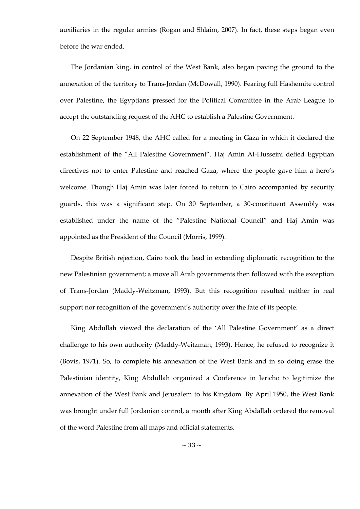auxiliaries in the regular armies (Rogan and Shlaim, 2007). In fact, these steps began even before the war ended.

The Jordanian king, in control of the West Bank, also began paving the ground to the annexation of the territory to Trans-Jordan (McDowall, 1990). Fearing full Hashemite control over Palestine, the Egyptians pressed for the Political Committee in the Arab League to accept the outstanding request of the AHC to establish a Palestine Government.

On 22 September 1948, the AHC called for a meeting in Gaza in which it declared the establishment of the "All Palestine Government". Haj Amin Al-Husseini defied Egyptian directives not to enter Palestine and reached Gaza, where the people gave him a hero's welcome. Though Haj Amin was later forced to return to Cairo accompanied by security guards, this was a significant step. On 30 September, a 30-constituent Assembly was established under the name of the "Palestine National Council" and Haj Amin was appointed as the President of the Council (Morris, 1999).

Despite British rejection, Cairo took the lead in extending diplomatic recognition to the new Palestinian government; a move all Arab governments then followed with the exception of Trans-Jordan (Maddy-Weitzman, 1993). But this recognition resulted neither in real support nor recognition of the government's authority over the fate of its people.

King Abdullah viewed the declaration of the 'All Palestine Government' as a direct challenge to his own authority (Maddy-Weitzman, 1993). Hence, he refused to recognize it (Bovis, 1971). So, to complete his annexation of the West Bank and in so doing erase the Palestinian identity, King Abdullah organized a Conference in Jericho to legitimize the annexation of the West Bank and Jerusalem to his Kingdom. By April 1950, the West Bank was brought under full Jordanian control, a month after King Abdallah ordered the removal of the word Palestine from all maps and official statements.

 $\sim$  33  $\sim$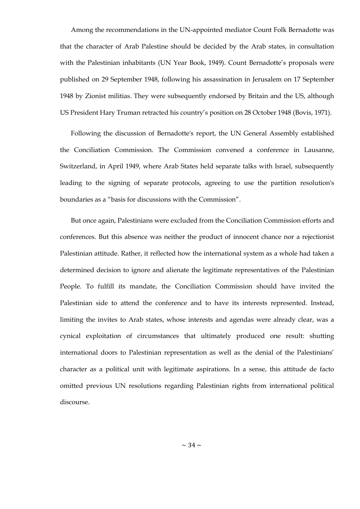Among the recommendations in the UN-appointed mediator Count Folk Bernadotte was that the character of Arab Palestine should be decided by the Arab states, in consultation with the Palestinian inhabitants (UN Year Book, 1949). Count Bernadotte's proposals were published on 29 September 1948, following his assassination in Jerusalem on 17 September 1948 by Zionist militias. They were subsequently endorsed by Britain and the US, although US President Hary Truman retracted his country's position on 28 October 1948 (Bovis, 1971).

Following the discussion of Bernadotte's report, the UN General Assembly established the Conciliation Commission. The Commission convened a conference in Lausanne, Switzerland, in April 1949, where Arab States held separate talks with Israel, subsequently leading to the signing of separate protocols, agreeing to use the partition resolution's boundaries as a "basis for discussions with the Commission".

But once again, Palestinians were excluded from the Conciliation Commission efforts and conferences. But this absence was neither the product of innocent chance nor a rejectionist Palestinian attitude. Rather, it reflected how the international system as a whole had taken a determined decision to ignore and alienate the legitimate representatives of the Palestinian People. To fulfill its mandate, the Conciliation Commission should have invited the Palestinian side to attend the conference and to have its interests represented. Instead, limiting the invites to Arab states, whose interests and agendas were already clear, was a cynical exploitation of circumstances that ultimately produced one result: shutting international doors to Palestinian representation as well as the denial of the Palestinians' character as a political unit with legitimate aspirations. In a sense, this attitude de facto omitted previous UN resolutions regarding Palestinian rights from international political discourse.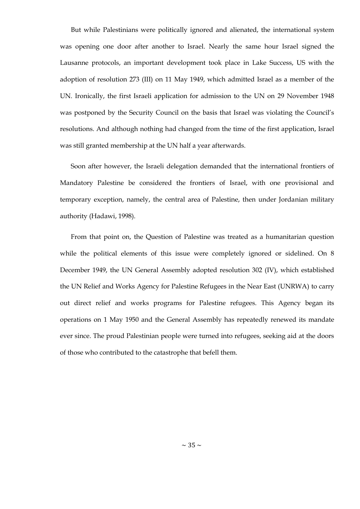But while Palestinians were politically ignored and alienated, the international system was opening one door after another to Israel. Nearly the same hour Israel signed the Lausanne protocols, an important development took place in Lake Success, US with the adoption of resolution 273 (III) on 11 May 1949, which admitted Israel as a member of the UN. Ironically, the first Israeli application for admission to the UN on 29 November 1948 was postponed by the Security Council on the basis that Israel was violating the Council's resolutions. And although nothing had changed from the time of the first application, Israel was still granted membership at the UN half a year afterwards.

Soon after however, the Israeli delegation demanded that the international frontiers of Mandatory Palestine be considered the frontiers of Israel, with one provisional and temporary exception, namely, the central area of Palestine, then under Jordanian military authority (Hadawi, 1998).

From that point on, the Question of Palestine was treated as a humanitarian question while the political elements of this issue were completely ignored or sidelined. On 8 December 1949, the UN General Assembly adopted resolution 302 (IV), which established the UN Relief and Works Agency for Palestine Refugees in the Near East (UNRWA) to carry out direct relief and works programs for Palestine refugees. This Agency began its operations on 1 May 1950 and the General Assembly has repeatedly renewed its mandate ever since. The proud Palestinian people were turned into refugees, seeking aid at the doors of those who contributed to the catastrophe that befell them.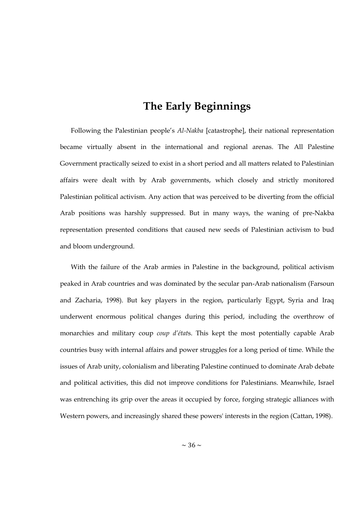# **The Early Beginnings**

Following the Palestinian people's *Al-Nakba* [catastrophe], their national representation became virtually absent in the international and regional arenas. The All Palestine Government practically seized to exist in a short period and all matters related to Palestinian affairs were dealt with by Arab governments, which closely and strictly monitored Palestinian political activism. Any action that was perceived to be diverting from the official Arab positions was harshly suppressed. But in many ways, the waning of pre-Nakba representation presented conditions that caused new seeds of Palestinian activism to bud and bloom underground.

With the failure of the Arab armies in Palestine in the background, political activism peaked in Arab countries and was dominated by the secular pan-Arab nationalism (Farsoun and Zacharia, 1998). But key players in the region, particularly Egypt, Syria and Iraq underwent enormous political changes during this period, including the overthrow of monarchies and military coup *coup d'état*s. This kept the most potentially capable Arab countries busy with internal affairs and power struggles for a long period of time. While the issues of Arab unity, colonialism and liberating Palestine continued to dominate Arab debate and political activities, this did not improve conditions for Palestinians. Meanwhile, Israel was entrenching its grip over the areas it occupied by force, forging strategic alliances with Western powers, and increasingly shared these powers' interests in the region (Cattan, 1998).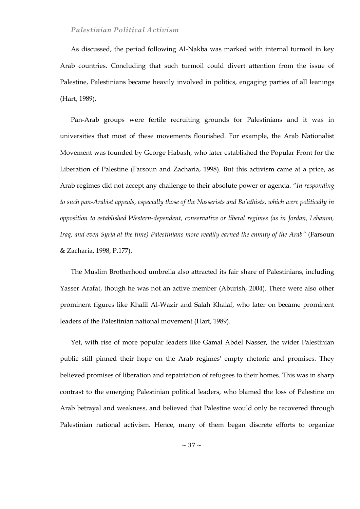## *Palestinian Political Activism*

As discussed, the period following Al-Nakba was marked with internal turmoil in key Arab countries. Concluding that such turmoil could divert attention from the issue of Palestine, Palestinians became heavily involved in politics, engaging parties of all leanings (Hart, 1989).

Pan-Arab groups were fertile recruiting grounds for Palestinians and it was in universities that most of these movements flourished. For example, the Arab Nationalist Movement was founded by George Habash, who later established the Popular Front for the Liberation of Palestine (Farsoun and Zacharia, 1998). But this activism came at a price, as Arab regimes did not accept any challenge to their absolute power or agenda. "In responding *to such pan-Arabist appeals, especially those of the Nasserists and Ba'athists, which were politically in opposition to established Western-dependent, conservative or liberal regimes (as in Jordan, Lebanon, Iraq, and even Syria at the time) Palestinians more readily earned the enmity of the Arab"* (Farsoun & Zacharia, 1998, P.177).

The Muslim Brotherhood umbrella also attracted its fair share of Palestinians, including Yasser Arafat, though he was not an active member (Aburish, 2004). There were also other prominent figures like Khalil Al-Wazir and Salah Khalaf, who later on became prominent leaders of the Palestinian national movement (Hart, 1989).

Yet, with rise of more popular leaders like Gamal Abdel Nasser, the wider Palestinian public still pinned their hope on the Arab regimes' empty rhetoric and promises. They believed promises of liberation and repatriation of refugees to their homes. This was in sharp contrast to the emerging Palestinian political leaders, who blamed the loss of Palestine on Arab betrayal and weakness, and believed that Palestine would only be recovered through Palestinian national activism. Hence, many of them began discrete efforts to organize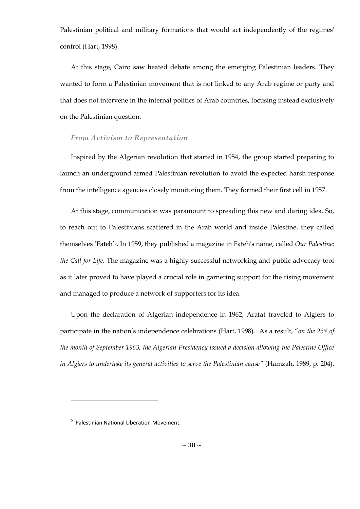Palestinian political and military formations that would act independently of the regimes' control (Hart, 1998).

At this stage, Cairo saw heated debate among the emerging Palestinian leaders. They wanted to form a Palestinian movement that is not linked to any Arab regime or party and that does not intervene in the internal politics of Arab countries, focusing instead exclusively on the Palestinian question.

### *From Activism to Representation*

Inspired by the Algerian revolution that started in 1954, the group started preparing to launch an underground armed Palestinian revolution to avoid the expected harsh response from the intelligence agencies closely monitoring them. They formed their first cell in 1957.

At this stage, communication was paramount to spreading this new and daring idea. So, to reach out to Palestinians scattered in the Arab world and inside Palestine, they called themselves ‗Fateh'5. In 1959, they published a magazine in Fateh's name, called *Our Palestine: the Call for Life*. The magazine was a highly successful networking and public advocacy tool as it later proved to have played a crucial role in garnering support for the rising movement and managed to produce a network of supporters for its idea.

Upon the declaration of Algerian independence in 1962, Arafat traveled to Algiers to participate in the nation's independence celebrations (Hart, 1998). As a result, "on the 23<sup>rd</sup> of *the month of September 1963, the Algerian Presidency issued a decision allowing the Palestine Office in Algiers to undertake its general activities to serve the Palestinian cause"* (Hamzah, 1989, p. 204).

 $\overline{a}$ 

<sup>&</sup>lt;sup>5</sup> Palestinian National Liberation Movement.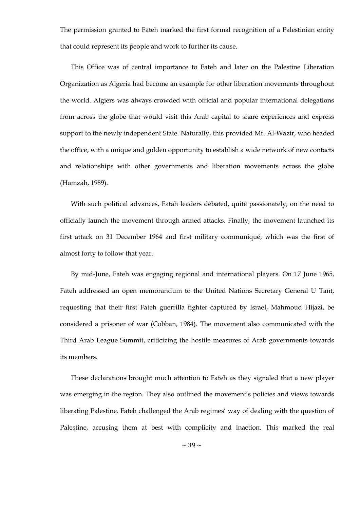The permission granted to Fateh marked the first formal recognition of a Palestinian entity that could represent its people and work to further its cause.

This Office was of central importance to Fateh and later on the Palestine Liberation Organization as Algeria had become an example for other liberation movements throughout the world. Algiers was always crowded with official and popular international delegations from across the globe that would visit this Arab capital to share experiences and express support to the newly independent State. Naturally, this provided Mr. Al-Wazir, who headed the office, with a unique and golden opportunity to establish a wide network of new contacts and relationships with other governments and liberation movements across the globe (Hamzah, 1989).

With such political advances, Fatah leaders debated, quite passionately, on the need to officially launch the movement through armed attacks. Finally, the movement launched its first attack on 31 December 1964 and first military communiqué, which was the first of almost forty to follow that year.

By mid-June, Fateh was engaging regional and international players. On 17 June 1965, Fateh addressed an open memorandum to the United Nations Secretary General U Tant, requesting that their first Fateh guerrilla fighter captured by Israel, Mahmoud Hijazi, be considered a prisoner of war (Cobban, 1984). The movement also communicated with the Third Arab League Summit, criticizing the hostile measures of Arab governments towards its members.

These declarations brought much attention to Fateh as they signaled that a new player was emerging in the region. They also outlined the movement's policies and views towards liberating Palestine. Fateh challenged the Arab regimes' way of dealing with the question of Palestine, accusing them at best with complicity and inaction. This marked the real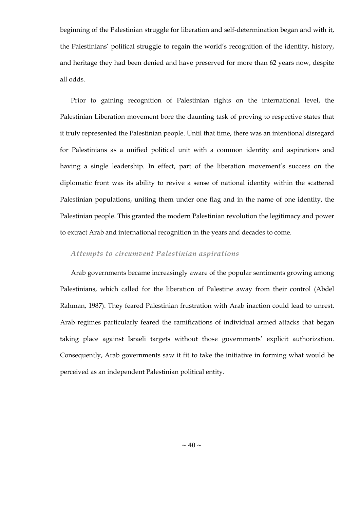beginning of the Palestinian struggle for liberation and self-determination began and with it, the Palestinians' political struggle to regain the world's recognition of the identity, history, and heritage they had been denied and have preserved for more than 62 years now, despite all odds.

Prior to gaining recognition of Palestinian rights on the international level, the Palestinian Liberation movement bore the daunting task of proving to respective states that it truly represented the Palestinian people. Until that time, there was an intentional disregard for Palestinians as a unified political unit with a common identity and aspirations and having a single leadership. In effect, part of the liberation movement's success on the diplomatic front was its ability to revive a sense of national identity within the scattered Palestinian populations, uniting them under one flag and in the name of one identity, the Palestinian people. This granted the modern Palestinian revolution the legitimacy and power to extract Arab and international recognition in the years and decades to come.

### *Attempts to circumvent Palestinian aspirations*

Arab governments became increasingly aware of the popular sentiments growing among Palestinians, which called for the liberation of Palestine away from their control (Abdel Rahman, 1987). They feared Palestinian frustration with Arab inaction could lead to unrest. Arab regimes particularly feared the ramifications of individual armed attacks that began taking place against Israeli targets without those governments' explicit authorization. Consequently, Arab governments saw it fit to take the initiative in forming what would be perceived as an independent Palestinian political entity.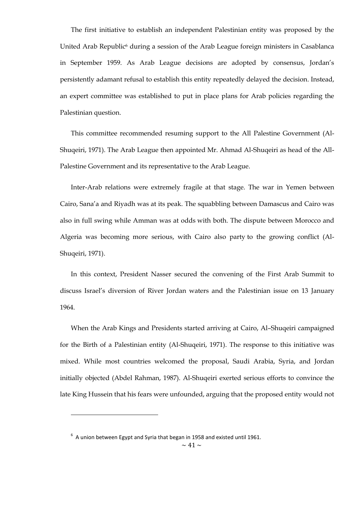The first initiative to establish an independent Palestinian entity was proposed by the United Arab Republic<sup>6</sup> during a session of the Arab League foreign ministers in Casablanca in September 1959. As Arab League decisions are adopted by consensus, Jordan's persistently adamant refusal to establish this entity repeatedly delayed the decision. Instead, an expert committee was established to put in place plans for Arab policies regarding the Palestinian question.

This committee recommended resuming support to the All Palestine Government (Al-Shuqeiri, 1971). The Arab League then appointed Mr. Ahmad Al-Shuqeiri as head of the All-Palestine Government and its representative to the Arab League.

Inter-Arab relations were extremely fragile at that stage. The war in Yemen between Cairo, Sana'a and Riyadh was at its peak. The squabbling between Damascus and Cairo was also in full swing while Amman was at odds with both. The dispute between Morocco and Algeria was becoming more serious, with Cairo also party to the growing conflict (Al-Shuqeiri, 1971).

In this context, President Nasser secured the convening of the First Arab Summit to discuss Israel's diversion of River Jordan waters and the Palestinian issue on 13 January 1964.

When the Arab Kings and Presidents started arriving at Cairo, Al–Shuqeiri campaigned for the Birth of a Palestinian entity (Al-Shuqeiri, 1971). The response to this initiative was mixed. While most countries welcomed the proposal, Saudi Arabia, Syria, and Jordan initially objected (Abdel Rahman, 1987). Al-Shuqeiri exerted serious efforts to convince the late King Hussein that his fears were unfounded, arguing that the proposed entity would not

 $\overline{a}$ 

 $^6$  A union between Egypt and Syria that began in 1958 and existed until 1961.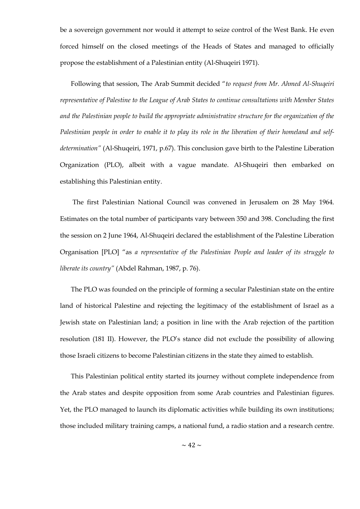be a sovereign government nor would it attempt to seize control of the West Bank. He even forced himself on the closed meetings of the Heads of States and managed to officially propose the establishment of a Palestinian entity (Al-Shuqeiri 1971).

Following that session, The Arab Summit decided "to request from Mr. Ahmed Al-Shuqeiri *representative of Palestine to the League of Arab States to continue consultations with Member States and the Palestinian people to build the appropriate administrative structure for the organization of the Palestinian people in order to enable it to play its role in the liberation of their homeland and selfdetermination"* (Al-Shuqeiri, 1971, p.67). This conclusion gave birth to the Palestine Liberation Organization (PLO), albeit with a vague mandate. Al-Shuqeiri then embarked on establishing this Palestinian entity.

The first Palestinian National Council was convened in Jerusalem on 28 May 1964. Estimates on the total number of participants vary between 350 and 398. Concluding the first the session on 2 June 1964, Al-Shuqeiri declared the establishment of the Palestine Liberation Organisation [PLO] "as a representative of the Palestinian People and leader of its struggle to *liberate its country"* (Abdel Rahman, 1987, p. 76).

The PLO was founded on the principle of forming a secular Palestinian state on the entire land of historical Palestine and rejecting the legitimacy of the establishment of Israel as a Jewish state on Palestinian land; a position in line with the Arab rejection of the partition resolution (181 II). However, the PLO's stance did not exclude the possibility of allowing those Israeli citizens to become Palestinian citizens in the state they aimed to establish.

This Palestinian political entity started its journey without complete independence from the Arab states and despite opposition from some Arab countries and Palestinian figures. Yet, the PLO managed to launch its diplomatic activities while building its own institutions; those included military training camps, a national fund, a radio station and a research centre.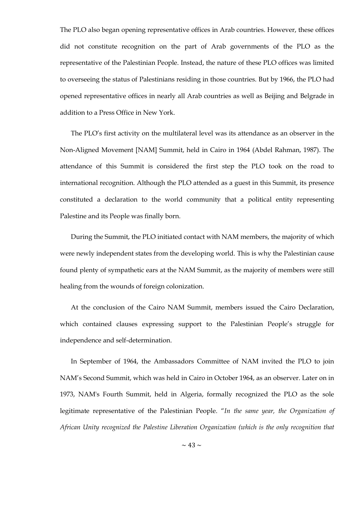The PLO also began opening representative offices in Arab countries. However, these offices did not constitute recognition on the part of Arab governments of the PLO as the representative of the Palestinian People. Instead, the nature of these PLO offices was limited to overseeing the status of Palestinians residing in those countries. But by 1966, the PLO had opened representative offices in nearly all Arab countries as well as Beijing and Belgrade in addition to a Press Office in New York.

The PLO's first activity on the multilateral level was its attendance as an observer in the Non-Aligned Movement [NAM] Summit, held in Cairo in 1964 (Abdel Rahman, 1987). The attendance of this Summit is considered the first step the PLO took on the road to international recognition. Although the PLO attended as a guest in this Summit, its presence constituted a declaration to the world community that a political entity representing Palestine and its People was finally born.

During the Summit, the PLO initiated contact with NAM members, the majority of which were newly independent states from the developing world. This is why the Palestinian cause found plenty of sympathetic ears at the NAM Summit, as the majority of members were still healing from the wounds of foreign colonization.

At the conclusion of the Cairo NAM Summit, members issued the Cairo Declaration, which contained clauses expressing support to the Palestinian People's struggle for independence and self-determination.

In September of 1964, the Ambassadors Committee of NAM invited the PLO to join NAM's Second Summit, which was held in Cairo in October 1964, as an observer. Later on in 1973, NAM's Fourth Summit, held in Algeria, formally recognized the PLO as the sole legitimate representative of the Palestinian People. "In the same year, the Organization of *African Unity recognized the Palestine Liberation Organization (which is the only recognition that*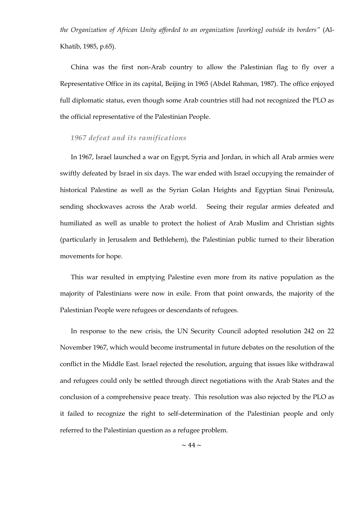*the Organization of African Unity afforded to an organization [working] outside its borders"* (Al-Khatib, 1985, p.65).

China was the first non-Arab country to allow the Palestinian flag to fly over a Representative Office in its capital, Beijing in 1965 (Abdel Rahman, 1987). The office enjoyed full diplomatic status, even though some Arab countries still had not recognized the PLO as the official representative of the Palestinian People.

#### *1967 defeat and its ramifications*

In 1967, Israel launched a war on Egypt, Syria and Jordan, in which all Arab armies were swiftly defeated by Israel in six days. The war ended with Israel occupying the remainder of historical Palestine as well as the Syrian Golan Heights and Egyptian Sinai Peninsula, sending shockwaves across the Arab world. Seeing their regular armies defeated and humiliated as well as unable to protect the holiest of Arab Muslim and Christian sights (particularly in Jerusalem and Bethlehem), the Palestinian public turned to their liberation movements for hope.

This war resulted in emptying Palestine even more from its native population as the majority of Palestinians were now in exile. From that point onwards, the majority of the Palestinian People were refugees or descendants of refugees.

In response to the new crisis, the UN Security Council adopted resolution 242 on 22 November 1967, which would become instrumental in future debates on the resolution of the conflict in the Middle East. Israel rejected the resolution, arguing that issues like withdrawal and refugees could only be settled through direct negotiations with the Arab States and the conclusion of a comprehensive peace treaty. This resolution was also rejected by the PLO as it failed to recognize the right to self-determination of the Palestinian people and only referred to the Palestinian question as a refugee problem.

 $\sim$  44  $\sim$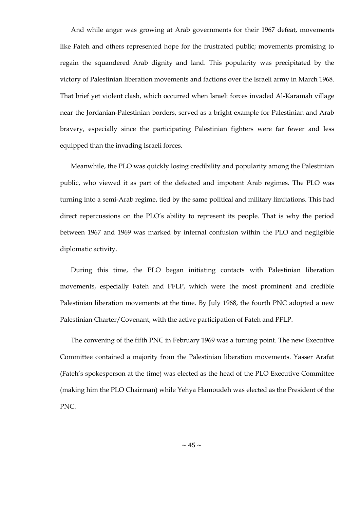And while anger was growing at Arab governments for their 1967 defeat, movements like Fateh and others represented hope for the frustrated public; movements promising to regain the squandered Arab dignity and land. This popularity was precipitated by the victory of Palestinian liberation movements and factions over the Israeli army in March 1968. That brief yet violent clash, which occurred when Israeli forces invaded Al-Karamah village near the Jordanian-Palestinian borders, served as a bright example for Palestinian and Arab bravery, especially since the participating Palestinian fighters were far fewer and less equipped than the invading Israeli forces.

Meanwhile, the PLO was quickly losing credibility and popularity among the Palestinian public, who viewed it as part of the defeated and impotent Arab regimes. The PLO was turning into a semi-Arab regime, tied by the same political and military limitations. This had direct repercussions on the PLO's ability to represent its people. That is why the period between 1967 and 1969 was marked by internal confusion within the PLO and negligible diplomatic activity.

During this time, the PLO began initiating contacts with Palestinian liberation movements, especially Fateh and PFLP, which were the most prominent and credible Palestinian liberation movements at the time. By July 1968, the fourth PNC adopted a new Palestinian Charter/Covenant, with the active participation of Fateh and PFLP.

The convening of the fifth PNC in February 1969 was a turning point. The new Executive Committee contained a majority from the Palestinian liberation movements. Yasser Arafat (Fateh's spokesperson at the time) was elected as the head of the PLO Executive Committee (making him the PLO Chairman) while Yehya Hamoudeh was elected as the President of the PNC.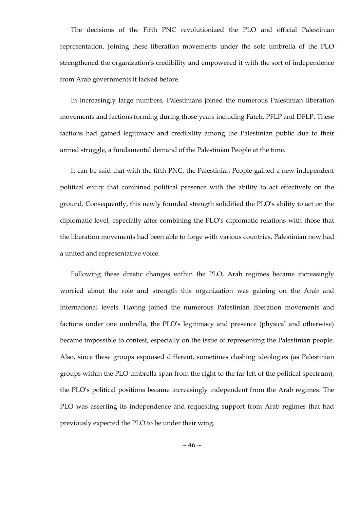The decisions of the Fifth PNC revolutionized the PLO and official Palestinian representation. Joining these liberation movements under the sole umbrella of the PLO strengthened the organization's credibility and empowered it with the sort of independence from Arab governments it lacked before.

In increasingly large numbers, Palestinians joined the numerous Palestinian liberation movements and factions forming during those years including Fateh, PFLP and DFLP. These factions had gained legitimacy and credibility among the Palestinian public due to their armed struggle, a fundamental demand of the Palestinian People at the time.

It can be said that with the fifth PNC, the Palestinian People gained a new independent political entity that combined political presence with the ability to act effectively on the ground. Consequently, this newly founded strength solidified the PLO's ability to act on the diplomatic level, especially after combining the PLO's diplomatic relations with those that the liberation movements had been able to forge with various countries. Palestinian now had a united and representative voice.

Following these drastic changes within the PLO, Arab regimes became increasingly worried about the role and strength this organization was gaining on the Arab and international levels. Having joined the numerous Palestinian liberation movements and factions under one umbrella, the PLO's legitimacy and presence (physical and otherwise) became impossible to contest, especially on the issue of representing the Palestinian people. Also, since these groups espoused different, sometimes clashing ideologies (as Palestinian groups within the PLO umbrella span from the right to the far left of the political spectrum), the PLO's political positions became increasingly independent from the Arab regimes. The PLO was asserting its independence and requesting support from Arab regimes that had previously expected the PLO to be under their wing.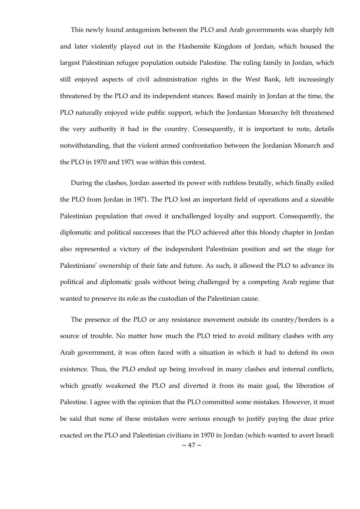This newly found antagonism between the PLO and Arab governments was sharply felt and later violently played out in the Hashemite Kingdom of Jordan, which housed the largest Palestinian refugee population outside Palestine. The ruling family in Jordan, which still enjoyed aspects of civil administration rights in the West Bank, felt increasingly threatened by the PLO and its independent stances. Based mainly in Jordan at the time, the PLO naturally enjoyed wide public support, which the Jordanian Monarchy felt threatened the very authority it had in the country. Consequently, it is important to note, details notwithstanding, that the violent armed confrontation between the Jordanian Monarch and the PLO in 1970 and 1971 was within this context.

During the clashes, Jordan asserted its power with ruthless brutally, which finally exiled the PLO from Jordan in 1971. The PLO lost an important field of operations and a sizeable Palestinian population that owed it unchallenged loyalty and support. Consequently, the diplomatic and political successes that the PLO achieved after this bloody chapter in Jordan also represented a victory of the independent Palestinian position and set the stage for Palestinians' ownership of their fate and future. As such, it allowed the PLO to advance its political and diplomatic goals without being challenged by a competing Arab regime that wanted to preserve its role as the custodian of the Palestinian cause.

 $\sim$  47  $\sim$ The presence of the PLO or any resistance movement outside its country/borders is a source of trouble. No matter how much the PLO tried to avoid military clashes with any Arab government, it was often faced with a situation in which it had to defend its own existence. Thus, the PLO ended up being involved in many clashes and internal conflicts, which greatly weakened the PLO and diverted it from its main goal, the liberation of Palestine. I agree with the opinion that the PLO committed some mistakes. However, it must be said that none of these mistakes were serious enough to justify paying the dear price exacted on the PLO and Palestinian civilians in 1970 in Jordan (which wanted to avert Israeli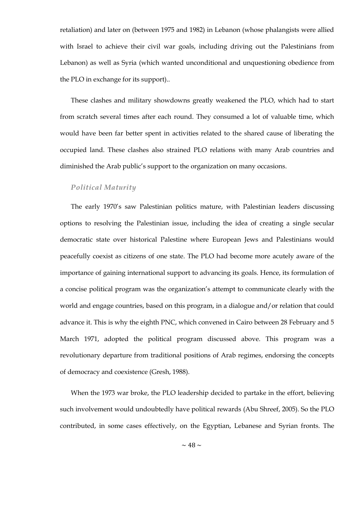retaliation) and later on (between 1975 and 1982) in Lebanon (whose phalangists were allied with Israel to achieve their civil war goals, including driving out the Palestinians from Lebanon) as well as Syria (which wanted unconditional and unquestioning obedience from the PLO in exchange for its support)..

These clashes and military showdowns greatly weakened the PLO, which had to start from scratch several times after each round. They consumed a lot of valuable time, which would have been far better spent in activities related to the shared cause of liberating the occupied land. These clashes also strained PLO relations with many Arab countries and diminished the Arab public's support to the organization on many occasions.

### *Political Maturity*

The early 1970's saw Palestinian politics mature, with Palestinian leaders discussing options to resolving the Palestinian issue, including the idea of creating a single secular democratic state over historical Palestine where European Jews and Palestinians would peacefully coexist as citizens of one state. The PLO had become more acutely aware of the importance of gaining international support to advancing its goals. Hence, its formulation of a concise political program was the organization's attempt to communicate clearly with the world and engage countries, based on this program, in a dialogue and/or relation that could advance it. This is why the eighth PNC, which convened in Cairo between 28 February and 5 March 1971, adopted the political program discussed above. This program was a revolutionary departure from traditional positions of Arab regimes, endorsing the concepts of democracy and coexistence (Gresh, 1988).

When the 1973 war broke, the PLO leadership decided to partake in the effort, believing such involvement would undoubtedly have political rewards (Abu Shreef, 2005). So the PLO contributed, in some cases effectively, on the Egyptian, Lebanese and Syrian fronts. The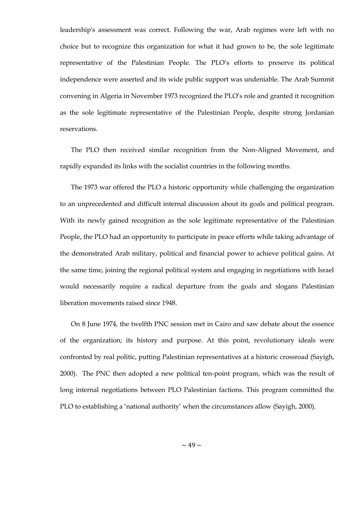leadership's assessment was correct. Following the war, Arab regimes were left with no choice but to recognize this organization for what it had grown to be, the sole legitimate representative of the Palestinian People. The PLO's efforts to preserve its political independence were asserted and its wide public support was undeniable. The Arab Summit convening in Algeria in November 1973 recognized the PLO's role and granted it recognition as the sole legitimate representative of the Palestinian People, despite strong Jordanian reservations.

The PLO then received similar recognition from the Non-Aligned Movement, and rapidly expanded its links with the socialist countries in the following months.

The 1973 war offered the PLO a historic opportunity while challenging the organization to an unprecedented and difficult internal discussion about its goals and political program. With its newly gained recognition as the sole legitimate representative of the Palestinian People, the PLO had an opportunity to participate in peace efforts while taking advantage of the demonstrated Arab military, political and financial power to achieve political gains. At the same time, joining the regional political system and engaging in negotiations with Israel would necessarily require a radical departure from the goals and slogans Palestinian liberation movements raised since 1948.

On 8 June 1974, the twelfth PNC session met in Cairo and saw debate about the essence of the organization; its history and purpose. At this point, revolutionary ideals were confronted by real politic, putting Palestinian representatives at a historic crossroad (Sayigh, 2000). The PNC then adopted a new political ten-point program, which was the result of long internal negotiations between PLO Palestinian factions. This program committed the PLO to establishing a 'national authority' when the circumstances allow (Sayigh, 2000).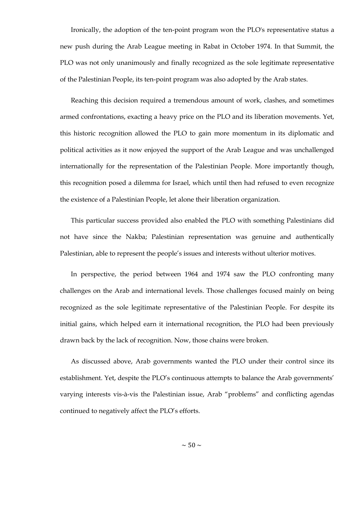Ironically, the adoption of the ten-point program won the PLO's representative status a new push during the Arab League meeting in Rabat in October 1974. In that Summit, the PLO was not only unanimously and finally recognized as the sole legitimate representative of the Palestinian People, its ten-point program was also adopted by the Arab states.

Reaching this decision required a tremendous amount of work, clashes, and sometimes armed confrontations, exacting a heavy price on the PLO and its liberation movements. Yet, this historic recognition allowed the PLO to gain more momentum in its diplomatic and political activities as it now enjoyed the support of the Arab League and was unchallenged internationally for the representation of the Palestinian People. More importantly though, this recognition posed a dilemma for Israel, which until then had refused to even recognize the existence of a Palestinian People, let alone their liberation organization.

This particular success provided also enabled the PLO with something Palestinians did not have since the Nakba; Palestinian representation was genuine and authentically Palestinian, able to represent the people's issues and interests without ulterior motives.

In perspective, the period between 1964 and 1974 saw the PLO confronting many challenges on the Arab and international levels. Those challenges focused mainly on being recognized as the sole legitimate representative of the Palestinian People. For despite its initial gains, which helped earn it international recognition, the PLO had been previously drawn back by the lack of recognition. Now, those chains were broken.

As discussed above, Arab governments wanted the PLO under their control since its establishment. Yet, despite the PLO's continuous attempts to balance the Arab governments' varying interests vis-à-vis the Palestinian issue, Arab "problems" and conflicting agendas continued to negatively affect the PLO's efforts.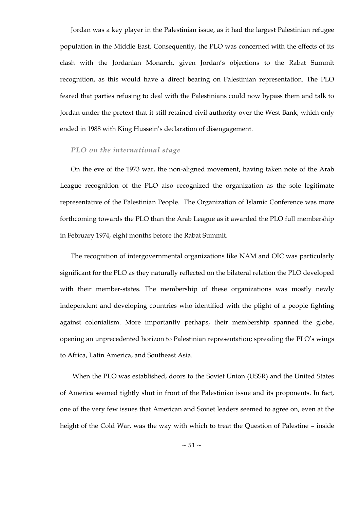Jordan was a key player in the Palestinian issue, as it had the largest Palestinian refugee population in the Middle East. Consequently, the PLO was concerned with the effects of its clash with the Jordanian Monarch, given Jordan's objections to the Rabat Summit recognition, as this would have a direct bearing on Palestinian representation. The PLO feared that parties refusing to deal with the Palestinians could now bypass them and talk to Jordan under the pretext that it still retained civil authority over the West Bank, which only ended in 1988 with King Hussein's declaration of disengagement.

### *PLO on the international stage*

On the eve of the 1973 war, the non-aligned movement, having taken note of the Arab League recognition of the PLO also recognized the organization as the sole legitimate representative of the Palestinian People. The Organization of Islamic Conference was more forthcoming towards the PLO than the Arab League as it awarded the PLO full membership in February 1974, eight months before the Rabat Summit.

The recognition of intergovernmental organizations like NAM and OIC was particularly significant for the PLO as they naturally reflected on the bilateral relation the PLO developed with their member-states. The membership of these organizations was mostly newly independent and developing countries who identified with the plight of a people fighting against colonialism. More importantly perhaps, their membership spanned the globe, opening an unprecedented horizon to Palestinian representation; spreading the PLO's wings to Africa, Latin America, and Southeast Asia.

When the PLO was established, doors to the Soviet Union (USSR) and the United States of America seemed tightly shut in front of the Palestinian issue and its proponents. In fact, one of the very few issues that American and Soviet leaders seemed to agree on, even at the height of the Cold War, was the way with which to treat the Question of Palestine – inside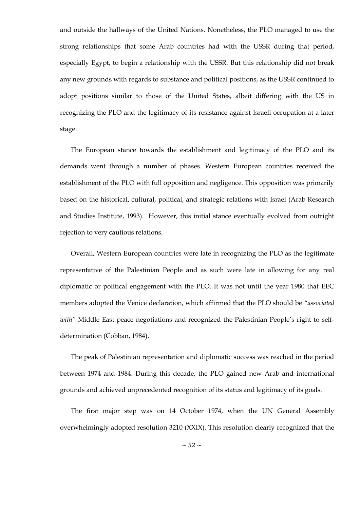and outside the hallways of the United Nations. Nonetheless, the PLO managed to use the strong relationships that some Arab countries had with the USSR during that period, especially Egypt, to begin a relationship with the USSR. But this relationship did not break any new grounds with regards to substance and political positions, as the USSR continued to adopt positions similar to those of the United States, albeit differing with the US in recognizing the PLO and the legitimacy of its resistance against Israeli occupation at a later stage.

The European stance towards the establishment and legitimacy of the PLO and its demands went through a number of phases. Western European countries received the establishment of the PLO with full opposition and negligence. This opposition was primarily based on the historical, cultural, political, and strategic relations with Israel (Arab Research and Studies Institute, 1993). However, this initial stance eventually evolved from outright rejection to very cautious relations.

Overall, Western European countries were late in recognizing the PLO as the legitimate representative of the Palestinian People and as such were late in allowing for any real diplomatic or political engagement with the PLO. It was not until the year 1980 that EEC members adopted the Venice declaration, which affirmed that the PLO should be *"associated with"* Middle East peace negotiations and recognized the Palestinian People's right to selfdetermination (Cobban, 1984).

The peak of Palestinian representation and diplomatic success was reached in the period between 1974 and 1984. During this decade, the PLO gained new Arab and international grounds and achieved unprecedented recognition of its status and legitimacy of its goals.

The first major step was on 14 October 1974, when the UN General Assembly overwhelmingly adopted resolution 3210 (XXIX). This resolution clearly recognized that the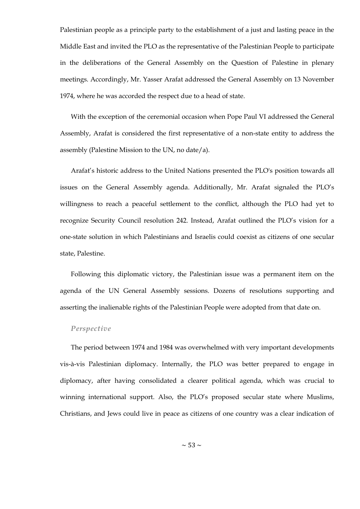Palestinian people as a principle party to the establishment of a just and lasting peace in the Middle East and invited the PLO as the representative of the Palestinian People to participate in the deliberations of the General Assembly on the Question of Palestine in plenary meetings. Accordingly, Mr. Yasser Arafat addressed the General Assembly on 13 November 1974, where he was accorded the respect due to a head of state.

With the exception of the ceremonial occasion when Pope Paul VI addressed the General Assembly, Arafat is considered the first representative of a non-state entity to address the assembly (Palestine Mission to the UN, no date/a).

Arafat's historic address to the United Nations presented the PLO's position towards all issues on the General Assembly agenda. Additionally, Mr. Arafat signaled the PLO's willingness to reach a peaceful settlement to the conflict, although the PLO had yet to recognize Security Council resolution 242. Instead, Arafat outlined the PLO's vision for a one-state solution in which Palestinians and Israelis could coexist as citizens of one secular state, Palestine.

Following this diplomatic victory, the Palestinian issue was a permanent item on the agenda of the UN General Assembly sessions. Dozens of resolutions supporting and asserting the inalienable rights of the Palestinian People were adopted from that date on.

### *Perspective*

The period between 1974 and 1984 was overwhelmed with very important developments vis-à-vis Palestinian diplomacy. Internally, the PLO was better prepared to engage in diplomacy, after having consolidated a clearer political agenda, which was crucial to winning international support. Also, the PLO's proposed secular state where Muslims, Christians, and Jews could live in peace as citizens of one country was a clear indication of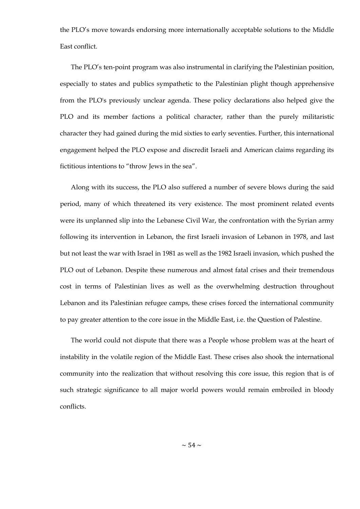the PLO's move towards endorsing more internationally acceptable solutions to the Middle East conflict.

The PLO's ten-point program was also instrumental in clarifying the Palestinian position, especially to states and publics sympathetic to the Palestinian plight though apprehensive from the PLO's previously unclear agenda. These policy declarations also helped give the PLO and its member factions a political character, rather than the purely militaristic character they had gained during the mid sixties to early seventies. Further, this international engagement helped the PLO expose and discredit Israeli and American claims regarding its fictitious intentions to "throw Jews in the sea".

Along with its success, the PLO also suffered a number of severe blows during the said period, many of which threatened its very existence. The most prominent related events were its unplanned slip into the Lebanese Civil War, the confrontation with the Syrian army following its intervention in Lebanon, the first Israeli invasion of Lebanon in 1978, and last but not least the war with Israel in 1981 as well as the 1982 Israeli invasion, which pushed the PLO out of Lebanon. Despite these numerous and almost fatal crises and their tremendous cost in terms of Palestinian lives as well as the overwhelming destruction throughout Lebanon and its Palestinian refugee camps, these crises forced the international community to pay greater attention to the core issue in the Middle East, i.e. the Question of Palestine.

The world could not dispute that there was a People whose problem was at the heart of instability in the volatile region of the Middle East. These crises also shook the international community into the realization that without resolving this core issue, this region that is of such strategic significance to all major world powers would remain embroiled in bloody conflicts.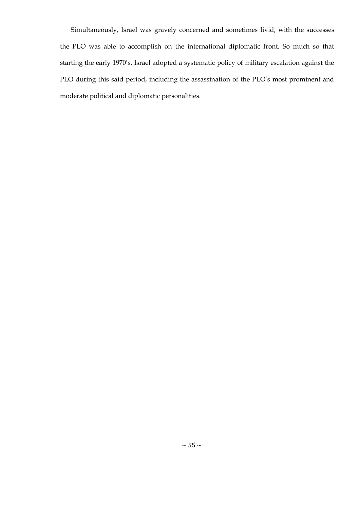Simultaneously, Israel was gravely concerned and sometimes livid, with the successes the PLO was able to accomplish on the international diplomatic front. So much so that starting the early 1970's, Israel adopted a systematic policy of military escalation against the PLO during this said period, including the assassination of the PLO's most prominent and moderate political and diplomatic personalities.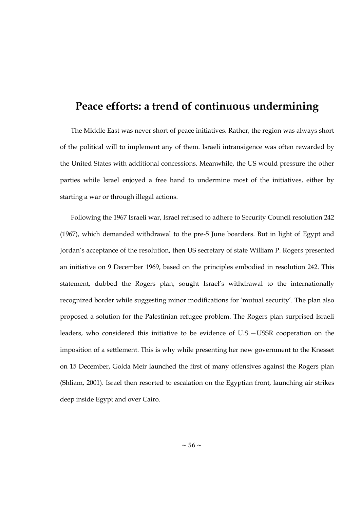## **Peace efforts: a trend of continuous undermining**

The Middle East was never short of peace initiatives. Rather, the region was always short of the political will to implement any of them. Israeli intransigence was often rewarded by the United States with additional concessions. Meanwhile, the US would pressure the other parties while Israel enjoyed a free hand to undermine most of the initiatives, either by starting a war or through illegal actions.

Following the 1967 Israeli war, Israel refused to adhere to Security Council resolution 242 (1967), which demanded withdrawal to the pre-5 June boarders. But in light of Egypt and Jordan's acceptance of the resolution, then US secretary of state William P. Rogers presented an initiative on 9 December 1969, based on the principles embodied in resolution 242. This statement, dubbed the Rogers plan, sought Israel's withdrawal to the internationally recognized border while suggesting minor modifications for 'mutual security'. The plan also proposed a solution for the Palestinian refugee problem. The Rogers plan surprised Israeli leaders, who considered this initiative to be evidence of U.S.—USSR cooperation on the imposition of a settlement. This is why while presenting her new government to the Knesset on 15 December, Golda Meir launched the first of many offensives against the Rogers plan (Shliam, 2001). Israel then resorted to escalation on the Egyptian front, launching air strikes deep inside Egypt and over Cairo.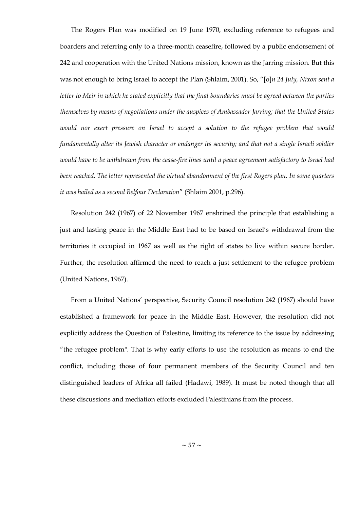The Rogers Plan was modified on 19 June 1970, excluding reference to refugees and boarders and referring only to a three-month ceasefire, followed by a public endorsement of 242 and cooperation with the United Nations mission, known as the Jarring mission. But this was not enough to bring Israel to accept the Plan (Shlaim, 2001). So, "[o]n 24 July, Nixon sent a *letter to Meir in which he stated explicitly that the final boundaries must be agreed between the parties themselves by means of negotiations under the auspices of Ambassador Jarring; that the United States*  would nor exert pressure on Israel to accept a solution to the refugee problem that would *fundamentally alter its Jewish character or endanger its security; and that not a single Israeli soldier would have to be withdrawn from the cease-fire lines until a peace agreement satisfactory to Israel had been reached. The letter represented the virtual abandonment of the first Rogers plan. In some quarters it was hailed as a second Belfour Declaration*‖ (Shlaim 2001, p.296).

Resolution 242 (1967) of 22 November 1967 enshrined the principle that establishing a just and lasting peace in the Middle East had to be based on Israel's withdrawal from the territories it occupied in 1967 as well as the right of states to live within secure border. Further, the resolution affirmed the need to reach a just settlement to the refugee problem (United Nations, 1967).

From a United Nations' perspective, Security Council resolution 242 (1967) should have established a framework for peace in the Middle East. However, the resolution did not explicitly address the Question of Palestine, limiting its reference to the issue by addressing "the refugee problem". That is why early efforts to use the resolution as means to end the conflict, including those of four permanent members of the Security Council and ten distinguished leaders of Africa all failed (Hadawi, 1989). It must be noted though that all these discussions and mediation efforts excluded Palestinians from the process.

 $\sim$  57  $\sim$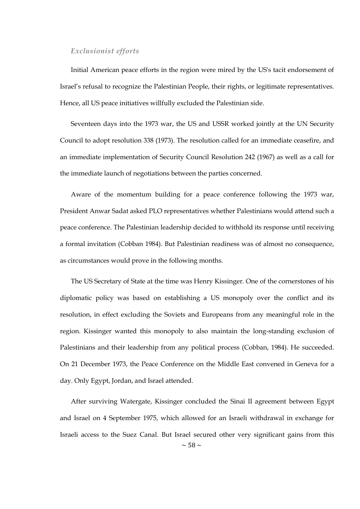### *Exclusionist efforts*

Initial American peace efforts in the region were mired by the US's tacit endorsement of Israel's refusal to recognize the Palestinian People, their rights, or legitimate representatives. Hence, all US peace initiatives willfully excluded the Palestinian side.

Seventeen days into the 1973 war, the US and USSR worked jointly at the UN Security Council to adopt resolution 338 (1973). The resolution called for an immediate ceasefire, and an immediate implementation of Security Council Resolution 242 (1967) as well as a call for the immediate launch of negotiations between the parties concerned.

Aware of the momentum building for a peace conference following the 1973 war, President Anwar Sadat asked PLO representatives whether Palestinians would attend such a peace conference. The Palestinian leadership decided to withhold its response until receiving a formal invitation (Cobban 1984). But Palestinian readiness was of almost no consequence, as circumstances would prove in the following months.

The US Secretary of State at the time was Henry Kissinger. One of the cornerstones of his diplomatic policy was based on establishing a US monopoly over the conflict and its resolution, in effect excluding the Soviets and Europeans from any meaningful role in the region. Kissinger wanted this monopoly to also maintain the long-standing exclusion of Palestinians and their leadership from any political process (Cobban, 1984). He succeeded. On 21 December 1973, the Peace Conference on the Middle East convened in Geneva for a day. Only Egypt, Jordan, and Israel attended.

 $\sim$  58  $\sim$ After surviving Watergate, Kissinger concluded the Sinai II agreement between Egypt and Israel on 4 September 1975, which allowed for an Israeli withdrawal in exchange for Israeli access to the Suez Canal. But Israel secured other very significant gains from this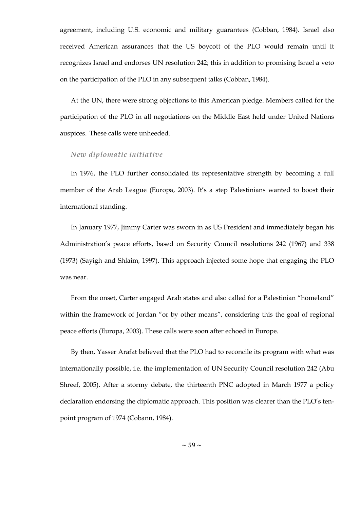agreement, including U.S. economic and military guarantees (Cobban, 1984). Israel also received American assurances that the US boycott of the PLO would remain until it recognizes Israel and endorses UN resolution 242; this in addition to promising Israel a veto on the participation of the PLO in any subsequent talks (Cobban, 1984).

At the UN, there were strong objections to this American pledge. Members called for the participation of the PLO in all negotiations on the Middle East held under United Nations auspices. These calls were unheeded.

### *New diplomatic initiative*

In 1976, the PLO further consolidated its representative strength by becoming a full member of the Arab League (Europa, 2003). It's a step Palestinians wanted to boost their international standing.

In January 1977, Jimmy Carter was sworn in as US President and immediately began his Administration's peace efforts, based on Security Council resolutions 242 (1967) and 338 (1973) (Sayigh and Shlaim, 1997). This approach injected some hope that engaging the PLO was near.

From the onset, Carter engaged Arab states and also called for a Palestinian "homeland" within the framework of Jordan "or by other means", considering this the goal of regional peace efforts (Europa, 2003). These calls were soon after echoed in Europe.

By then, Yasser Arafat believed that the PLO had to reconcile its program with what was internationally possible, i.e. the implementation of UN Security Council resolution 242 (Abu Shreef, 2005). After a stormy debate, the thirteenth PNC adopted in March 1977 a policy declaration endorsing the diplomatic approach. This position was clearer than the PLO's tenpoint program of 1974 (Cobann, 1984).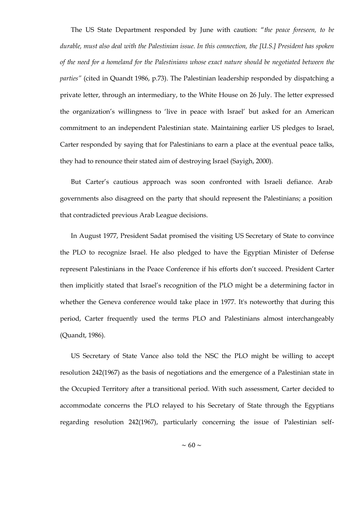The US State Department responded by June with caution: "the peace foreseen, to be *durable, must also deal with the Palestinian issue. In this connection, the [U.S.] President has spoken of the need for a homeland for the Palestinians whose exact nature should be negotiated between the parties"* (cited in Quandt 1986, p.73). The Palestinian leadership responded by dispatching a private letter, through an intermediary, to the White House on 26 July. The letter expressed the organization's willingness to 'live in peace with Israel' but asked for an American commitment to an independent Palestinian state. Maintaining earlier US pledges to Israel, Carter responded by saying that for Palestinians to earn a place at the eventual peace talks, they had to renounce their stated aim of destroying Israel (Sayigh, 2000).

But Carter's cautious approach was soon confronted with Israeli defiance. Arab governments also disagreed on the party that should represent the Palestinians; a position that contradicted previous Arab League decisions.

In August 1977, President Sadat promised the visiting US Secretary of State to convince the PLO to recognize Israel. He also pledged to have the Egyptian Minister of Defense represent Palestinians in the Peace Conference if his efforts don't succeed. President Carter then implicitly stated that Israel's recognition of the PLO might be a determining factor in whether the Geneva conference would take place in 1977. It's noteworthy that during this period, Carter frequently used the terms PLO and Palestinians almost interchangeably (Quandt, 1986).

US Secretary of State Vance also told the NSC the PLO might be willing to accept resolution 242(1967) as the basis of negotiations and the emergence of a Palestinian state in the Occupied Territory after a transitional period. With such assessment, Carter decided to accommodate concerns the PLO relayed to his Secretary of State through the Egyptians regarding resolution 242(1967), particularly concerning the issue of Palestinian self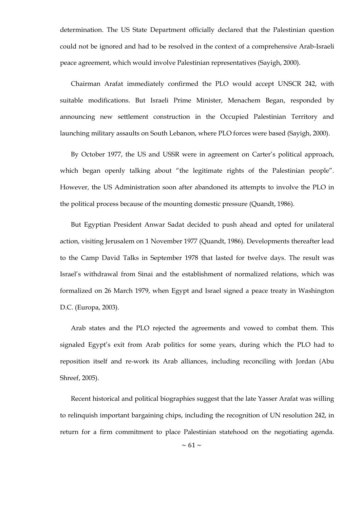determination. The US State Department officially declared that the Palestinian question could not be ignored and had to be resolved in the context of a comprehensive Arab-Israeli peace agreement, which would involve Palestinian representatives (Sayigh, 2000).

Chairman Arafat immediately confirmed the PLO would accept UNSCR 242, with suitable modifications. But Israeli Prime Minister, Menachem Began, responded by announcing new settlement construction in the Occupied Palestinian Territory and launching military assaults on South Lebanon, where PLO forces were based (Sayigh, 2000).

By October 1977, the US and USSR were in agreement on Carter's political approach, which began openly talking about "the legitimate rights of the Palestinian people". However, the US Administration soon after abandoned its attempts to involve the PLO in the political process because of the mounting domestic pressure (Quandt, 1986).

But Egyptian President Anwar Sadat decided to push ahead and opted for unilateral action, visiting Jerusalem on 1 November 1977 (Quandt, 1986). Developments thereafter lead to the Camp David Talks in September 1978 that lasted for twelve days. The result was Israel's withdrawal from Sinai and the establishment of normalized relations, which was formalized on 26 March 1979, when Egypt and Israel signed a peace treaty in Washington D.C. (Europa, 2003).

Arab states and the PLO rejected the agreements and vowed to combat them. This signaled Egypt's exit from Arab politics for some years, during which the PLO had to reposition itself and re-work its Arab alliances, including reconciling with Jordan (Abu Shreef, 2005).

Recent historical and political biographies suggest that the late Yasser Arafat was willing to relinquish important bargaining chips, including the recognition of UN resolution 242, in return for a firm commitment to place Palestinian statehood on the negotiating agenda.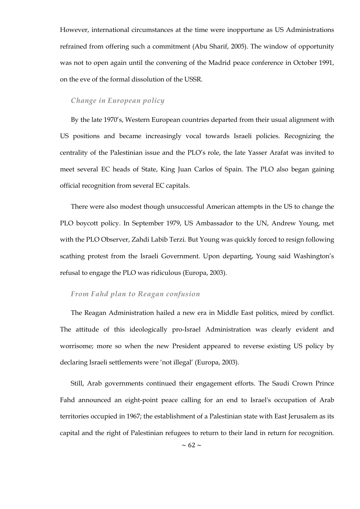However, international circumstances at the time were inopportune as US Administrations refrained from offering such a commitment (Abu Sharif, 2005). The window of opportunity was not to open again until the convening of the Madrid peace conference in October 1991, on the eve of the formal dissolution of the USSR.

### *Change in European policy*

By the late 1970's, Western European countries departed from their usual alignment with US positions and became increasingly vocal towards Israeli policies. Recognizing the centrality of the Palestinian issue and the PLO's role, the late Yasser Arafat was invited to meet several EC heads of State, King Juan Carlos of Spain. The PLO also began gaining official recognition from several EC capitals.

There were also modest though unsuccessful American attempts in the US to change the PLO boycott policy. In September 1979, US Ambassador to the UN, Andrew Young, met with the PLO Observer, Zahdi Labib Terzi. But Young was quickly forced to resign following scathing protest from the Israeli Government. Upon departing, Young said Washington's refusal to engage the PLO was ridiculous (Europa, 2003).

## *From Fahd plan to Reagan confusion*

The Reagan Administration hailed a new era in Middle East politics, mired by conflict. The attitude of this ideologically pro-Israel Administration was clearly evident and worrisome; more so when the new President appeared to reverse existing US policy by declaring Israeli settlements were 'not illegal' (Europa, 2003).

Still, Arab governments continued their engagement efforts. The Saudi Crown Prince Fahd announced an eight-point peace calling for an end to Israel's occupation of Arab territories occupied in 1967; the establishment of a Palestinian state with East Jerusalem as its capital and the right of Palestinian refugees to return to their land in return for recognition.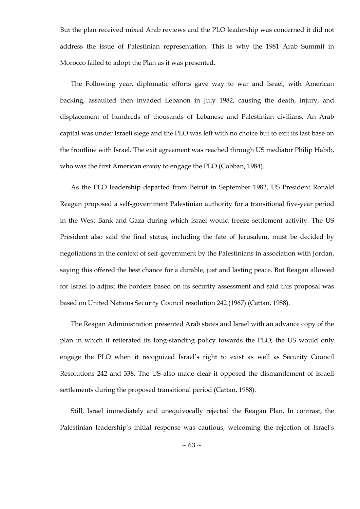But the plan received mixed Arab reviews and the PLO leadership was concerned it did not address the issue of Palestinian representation. This is why the 1981 Arab Summit in Morocco failed to adopt the Plan as it was presented.

The Following year, diplomatic efforts gave way to war and Israel, with American backing, assaulted then invaded Lebanon in July 1982, causing the death, injury, and displacement of hundreds of thousands of Lebanese and Palestinian civilians. An Arab capital was under Israeli siege and the PLO was left with no choice but to exit its last base on the frontline with Israel. The exit agreement was reached through US mediator Philip Habib, who was the first American envoy to engage the PLO (Cobban, 1984).

As the PLO leadership departed from Beirut in September 1982, US President Ronald Reagan proposed a self-government Palestinian authority for a transitional five-year period in the West Bank and Gaza during which Israel would freeze settlement activity. The US President also said the final status, including the fate of Jerusalem, must be decided by negotiations in the context of self-government by the Palestinians in association with Jordan, saying this offered the best chance for a durable, just and lasting peace. But Reagan allowed for Israel to adjust the borders based on its security assessment and said this proposal was based on United Nations Security Council resolution 242 (1967) (Cattan, 1988).

The Reagan Administration presented Arab states and Israel with an advance copy of the plan in which it reiterated its long-standing policy towards the PLO; the US would only engage the PLO when it recognized Israel's right to exist as well as Security Council Resolutions 242 and 338. The US also made clear it opposed the dismantlement of Israeli settlements during the proposed transitional period (Cattan, 1988).

Still, Israel immediately and unequivocally rejected the Reagan Plan. In contrast, the Palestinian leadership's initial response was cautious, welcoming the rejection of Israel's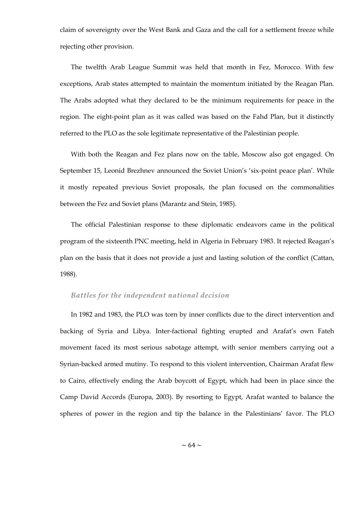claim of sovereignty over the West Bank and Gaza and the call for a settlement freeze while rejecting other provision.

The twelfth Arab League Summit was held that month in Fez, Morocco. With few exceptions, Arab states attempted to maintain the momentum initiated by the Reagan Plan. The Arabs adopted what they declared to be the minimum requirements for peace in the region. The eight-point plan as it was called was based on the Fahd Plan, but it distinctly referred to the PLO as the sole legitimate representative of the Palestinian people.

With both the Reagan and Fez plans now on the table, Moscow also got engaged. On September 15, Leonid Brezhnev announced the Soviet Union's 'six-point peace plan'. While it mostly repeated previous Soviet proposals, the plan focused on the commonalities between the Fez and Soviet plans (Marantz and Stein, 1985).

The official Palestinian response to these diplomatic endeavors came in the political program of the sixteenth PNC meeting, held in Algeria in February 1983. It rejected Reagan's plan on the basis that it does not provide a just and lasting solution of the conflict (Cattan, 1988).

## *Battles for the independent national decision*

In 1982 and 1983, the PLO was torn by inner conflicts due to the direct intervention and backing of Syria and Libya. Inter-factional fighting erupted and Arafat's own Fateh movement faced its most serious sabotage attempt, with senior members carrying out a Syrian-backed armed mutiny. To respond to this violent intervention, Chairman Arafat flew to Cairo, effectively ending the Arab boycott of Egypt, which had been in place since the Camp David Accords (Europa, 2003). By resorting to Egypt, Arafat wanted to balance the spheres of power in the region and tip the balance in the Palestinians' favor. The PLO

 $\sim$  64  $\sim$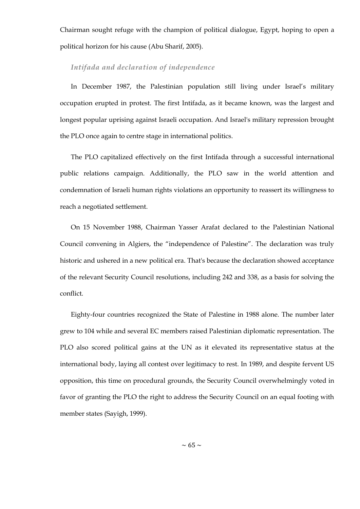Chairman sought refuge with the champion of political dialogue, Egypt, hoping to open a political horizon for his cause (Abu Sharif, 2005).

### *Intifada and declaration of independence*

In December 1987, the Palestinian population still living under Israel's military occupation erupted in protest. The first Intifada, as it became known, was the largest and longest popular uprising against Israeli occupation. And Israel's military repression brought the PLO once again to centre stage in international politics.

The PLO capitalized effectively on the first Intifada through a successful international public relations campaign. Additionally, the PLO saw in the world attention and condemnation of Israeli human rights violations an opportunity to reassert its willingness to reach a negotiated settlement.

On 15 November 1988, Chairman Yasser Arafat declared to the Palestinian National Council convening in Algiers, the "independence of Palestine". The declaration was truly historic and ushered in a new political era. That's because the declaration showed acceptance of the relevant Security Council resolutions, including 242 and 338, as a basis for solving the conflict.

Eighty-four countries recognized the State of Palestine in 1988 alone. The number later grew to 104 while and several EC members raised Palestinian diplomatic representation. The PLO also scored political gains at the UN as it elevated its representative status at the international body, laying all contest over legitimacy to rest. In 1989, and despite fervent US opposition, this time on procedural grounds, the Security Council overwhelmingly voted in favor of granting the PLO the right to address the Security Council on an equal footing with member states (Sayigh, 1999).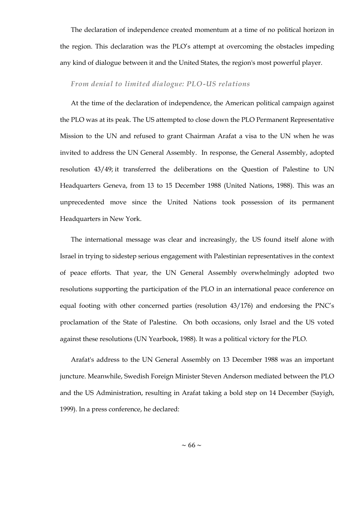The declaration of independence created momentum at a time of no political horizon in the region. This declaration was the PLO's attempt at overcoming the obstacles impeding any kind of dialogue between it and the United States, the region's most powerful player.

## *From denial to limited dialogue: PLO-US relations*

At the time of the declaration of independence, the American political campaign against the PLO was at its peak. The US attempted to close down the PLO Permanent Representative Mission to the UN and refused to grant Chairman Arafat a visa to the UN when he was invited to address the UN General Assembly. In response, the General Assembly, adopted resolution 43/49; it transferred the deliberations on the Question of Palestine to UN Headquarters Geneva, from 13 to 15 December 1988 (United Nations, 1988). This was an unprecedented move since the United Nations took possession of its permanent Headquarters in New York.

The international message was clear and increasingly, the US found itself alone with Israel in trying to sidestep serious engagement with Palestinian representatives in the context of peace efforts. That year, the UN General Assembly overwhelmingly adopted two resolutions supporting the participation of the PLO in an international peace conference on equal footing with other concerned parties (resolution 43/176) and endorsing the PNC's proclamation of the State of Palestine. On both occasions, only Israel and the US voted against these resolutions (UN Yearbook, 1988). It was a political victory for the PLO.

Arafat's address to the UN General Assembly on 13 December 1988 was an important juncture. Meanwhile, Swedish Foreign Minister Steven Anderson mediated between the PLO and the US Administration, resulting in Arafat taking a bold step on 14 December (Sayigh, 1999). In a press conference, he declared: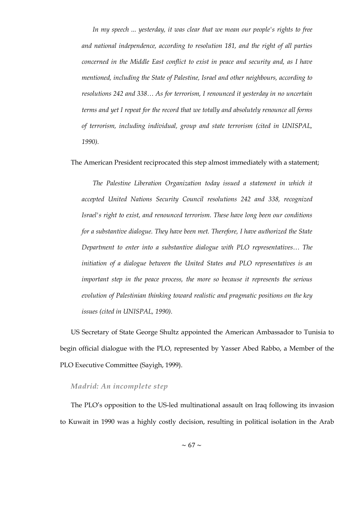*In my speech ... yesterday, it was clear that we mean our people's rights to free and national independence, according to resolution 181, and the right of all parties concerned in the Middle East conflict to exist in peace and security and, as I have mentioned, including the State of Palestine, Israel and other neighbours, according to resolutions 242 and 338… As for terrorism, I renounced it yesterday in no uncertain terms and yet I repeat for the record that we totally and absolutely renounce all forms of terrorism, including individual, group and state terrorism (cited in UNISPAL, 1990).*

#### The American President reciprocated this step almost immediately with a statement;

The Palestine Liberation Organization today issued a statement in which it *accepted United Nations Security Council resolutions 242 and 338, recognized Israel's right to exist, and renounced terrorism. These have long been our conditions for a substantive dialogue. They have been met. Therefore, I have authorized the State Department to enter into a substantive dialogue with PLO representatives… The initiation of a dialogue between the United States and PLO representatives is an important step in the peace process, the more so because it represents the serious evolution of Palestinian thinking toward realistic and pragmatic positions on the key issues (cited in UNISPAL, 1990).*

US Secretary of State George Shultz appointed the American Ambassador to Tunisia to begin official dialogue with the PLO, represented by Yasser Abed Rabbo, a Member of the PLO Executive Committee (Sayigh, 1999).

### *Madrid: An incomplete step*

The PLO's opposition to the US-led multinational assault on Iraq following its invasion to Kuwait in 1990 was a highly costly decision, resulting in political isolation in the Arab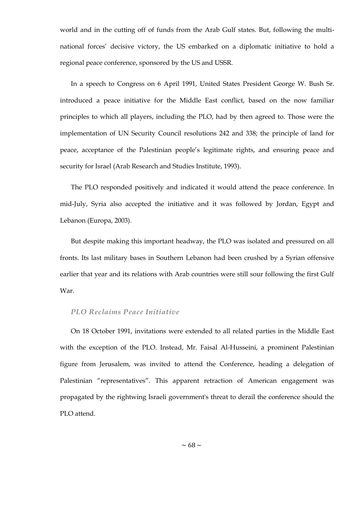world and in the cutting off of funds from the Arab Gulf states. But, following the multinational forces' decisive victory, the US embarked on a diplomatic initiative to hold a regional peace conference, sponsored by the US and USSR.

In a speech to Congress on 6 April 1991, United States President George W. Bush Sr. introduced a peace initiative for the Middle East conflict, based on the now familiar principles to which all players, including the PLO, had by then agreed to. Those were the implementation of UN Security Council resolutions 242 and 338; the principle of land for peace, acceptance of the Palestinian people's legitimate rights, and ensuring peace and security for Israel (Arab Research and Studies Institute, 1993).

The PLO responded positively and indicated it would attend the peace conference. In mid-July, Syria also accepted the initiative and it was followed by Jordan, Egypt and Lebanon (Europa, 2003).

But despite making this important headway, the PLO was isolated and pressured on all fronts. Its last military bases in Southern Lebanon had been crushed by a Syrian offensive earlier that year and its relations with Arab countries were still sour following the first Gulf War.

## *PLO Reclaims Peace Initiative*

On 18 October 1991, invitations were extended to all related parties in the Middle East with the exception of the PLO. Instead, Mr. Faisal Al-Husseini, a prominent Palestinian figure from Jerusalem, was invited to attend the Conference, heading a delegation of Palestinian "representatives". This apparent retraction of American engagement was propagated by the rightwing Israeli government's threat to derail the conference should the PLO attend.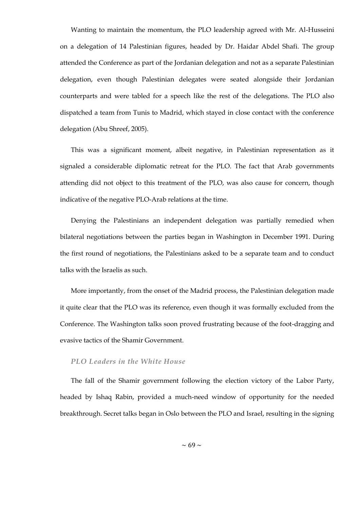Wanting to maintain the momentum, the PLO leadership agreed with Mr. Al-Husseini on a delegation of 14 Palestinian figures, headed by Dr. Haidar Abdel Shafi. The group attended the Conference as part of the Jordanian delegation and not as a separate Palestinian delegation, even though Palestinian delegates were seated alongside their Jordanian counterparts and were tabled for a speech like the rest of the delegations. The PLO also dispatched a team from Tunis to Madrid, which stayed in close contact with the conference delegation (Abu Shreef, 2005).

This was a significant moment, albeit negative, in Palestinian representation as it signaled a considerable diplomatic retreat for the PLO. The fact that Arab governments attending did not object to this treatment of the PLO, was also cause for concern, though indicative of the negative PLO-Arab relations at the time.

Denying the Palestinians an independent delegation was partially remedied when bilateral negotiations between the parties began in Washington in December 1991. During the first round of negotiations, the Palestinians asked to be a separate team and to conduct talks with the Israelis as such.

More importantly, from the onset of the Madrid process, the Palestinian delegation made it quite clear that the PLO was its reference, even though it was formally excluded from the Conference. The Washington talks soon proved frustrating because of the foot-dragging and evasive tactics of the Shamir Government.

#### *PLO Leaders in the White House*

The fall of the Shamir government following the election victory of the Labor Party, headed by Ishaq Rabin, provided a much-need window of opportunity for the needed breakthrough. Secret talks began in Oslo between the PLO and Israel, resulting in the signing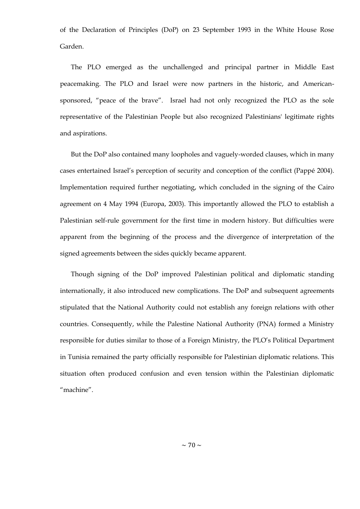of the Declaration of Principles (DoP) on 23 September 1993 in the White House Rose Garden.

The PLO emerged as the unchallenged and principal partner in Middle East peacemaking. The PLO and Israel were now partners in the historic, and Americansponsored, "peace of the brave". Israel had not only recognized the PLO as the sole representative of the Palestinian People but also recognized Palestinians' legitimate rights and aspirations.

But the DoP also contained many loopholes and vaguely-worded clauses, which in many cases entertained Israel's perception of security and conception of the conflict (Pappé 2004). Implementation required further negotiating, which concluded in the signing of the Cairo agreement on 4 May 1994 (Europa, 2003). This importantly allowed the PLO to establish a Palestinian self-rule government for the first time in modern history. But difficulties were apparent from the beginning of the process and the divergence of interpretation of the signed agreements between the sides quickly became apparent.

Though signing of the DoP improved Palestinian political and diplomatic standing internationally, it also introduced new complications. The DoP and subsequent agreements stipulated that the National Authority could not establish any foreign relations with other countries. Consequently, while the Palestine National Authority (PNA) formed a Ministry responsible for duties similar to those of a Foreign Ministry, the PLO's Political Department in Tunisia remained the party officially responsible for Palestinian diplomatic relations. This situation often produced confusion and even tension within the Palestinian diplomatic "machine".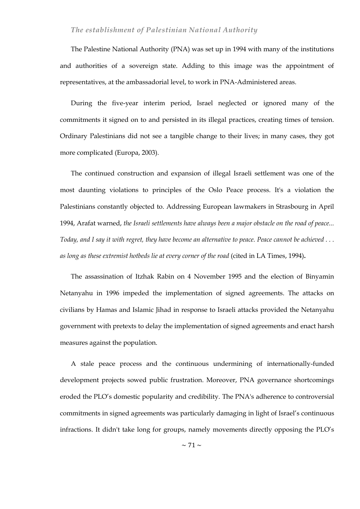# *The establishment of Palestinian National Authority*

The Palestine National Authority (PNA) was set up in 1994 with many of the institutions and authorities of a sovereign state. Adding to this image was the appointment of representatives, at the ambassadorial level, to work in PNA-Administered areas.

During the five-year interim period, Israel neglected or ignored many of the commitments it signed on to and persisted in its illegal practices, creating times of tension. Ordinary Palestinians did not see a tangible change to their lives; in many cases, they got more complicated (Europa, 2003).

The continued construction and expansion of illegal Israeli settlement was one of the most daunting violations to principles of the Oslo Peace process. It's a violation the Palestinians constantly objected to. Addressing European lawmakers in Strasbourg in April 1994, Arafat warned, *the Israeli settlements have always been a major obstacle on the road of peace... Today, and I say it with regret, they have become an alternative to peace. Peace cannot be achieved . . . as long as these extremist hotbeds lie at every corner of the road* (cited in LA Times, 1994)**.**

The assassination of Itzhak Rabin on 4 November 1995 and the election of Binyamin Netanyahu in 1996 impeded the implementation of signed agreements. The attacks on civilians by Hamas and Islamic Jihad in response to Israeli attacks provided the Netanyahu government with pretexts to delay the implementation of signed agreements and enact harsh measures against the population.

A stale peace process and the continuous undermining of internationally-funded development projects sowed public frustration. Moreover, PNA governance shortcomings eroded the PLO's domestic popularity and credibility. The PNA's adherence to controversial commitments in signed agreements was particularly damaging in light of Israel's continuous infractions. It didn't take long for groups, namely movements directly opposing the PLO's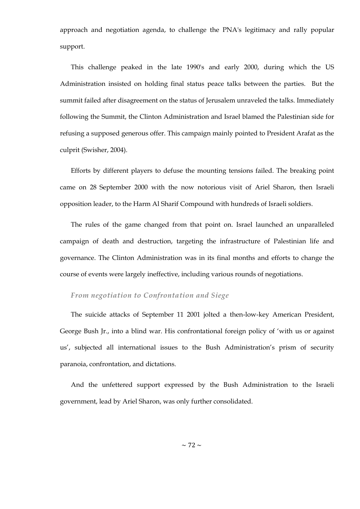approach and negotiation agenda, to challenge the PNA's legitimacy and rally popular support.

This challenge peaked in the late 1990's and early 2000, during which the US Administration insisted on holding final status peace talks between the parties. But the summit failed after disagreement on the status of Jerusalem unraveled the talks. Immediately following the Summit, the Clinton Administration and Israel blamed the Palestinian side for refusing a supposed generous offer. This campaign mainly pointed to President Arafat as the culprit (Swisher, 2004).

Efforts by different players to defuse the mounting tensions failed. The breaking point came on 28 September 2000 with the now notorious visit of Ariel Sharon, then Israeli opposition leader, to the Harm Al Sharif Compound with hundreds of Israeli soldiers.

The rules of the game changed from that point on. Israel launched an unparalleled campaign of death and destruction, targeting the infrastructure of Palestinian life and governance. The Clinton Administration was in its final months and efforts to change the course of events were largely ineffective, including various rounds of negotiations.

# *From negotiation to Confrontation and Siege*

The suicide attacks of September 11 2001 jolted a then-low-key American President, George Bush Jr., into a blind war. His confrontational foreign policy of 'with us or against us', subjected all international issues to the Bush Administration's prism of security paranoia, confrontation, and dictations.

And the unfettered support expressed by the Bush Administration to the Israeli government, lead by Ariel Sharon, was only further consolidated.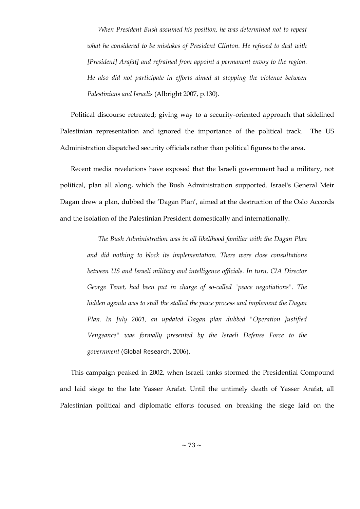*When President Bush assumed his position, he was determined not to repeat what he considered to be mistakes of President Clinton. He refused to deal with [President] Arafat] and refrained from appoint a permanent envoy to the region. He also did not participate in efforts aimed at stopping the violence between Palestinians and Israelis* (Albright 2007, p.130).

Political discourse retreated; giving way to a security-oriented approach that sidelined Palestinian representation and ignored the importance of the political track. The US Administration dispatched security officials rather than political figures to the area.

Recent media revelations have exposed that the Israeli government had a military, not political, plan all along, which the Bush Administration supported. Israel's General Meir Dagan drew a plan, dubbed the 'Dagan Plan', aimed at the destruction of the Oslo Accords and the isolation of the Palestinian President domestically and internationally.

*The Bush Administration was in all likelihood familiar with the Dagan Plan and did nothing to block its implementation. There were close consultations between US and Israeli military and intelligence officials. In turn, CIA Director George Tenet, had been put in charge of so-called "peace negotiations". The hidden agenda was to stall the stalled the peace process and implement the Dagan Plan. In July 2001, an updated Dagan plan dubbed "Operation Justified Vengeance" was formally presented by the Israeli Defense Force to the government* (Global Research, 2006).

This campaign peaked in 2002, when Israeli tanks stormed the Presidential Compound and laid siege to the late Yasser Arafat. Until the untimely death of Yasser Arafat, all Palestinian political and diplomatic efforts focused on breaking the siege laid on the

 $\sim$  73  $\sim$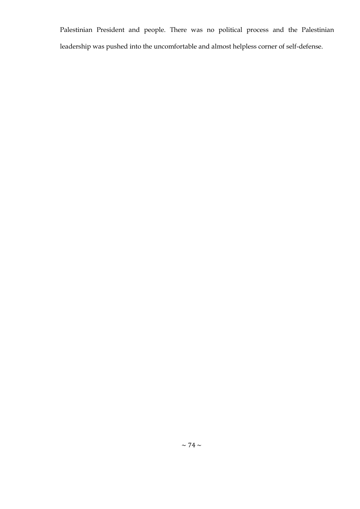Palestinian President and people. There was no political process and the Palestinian leadership was pushed into the uncomfortable and almost helpless corner of self-defense.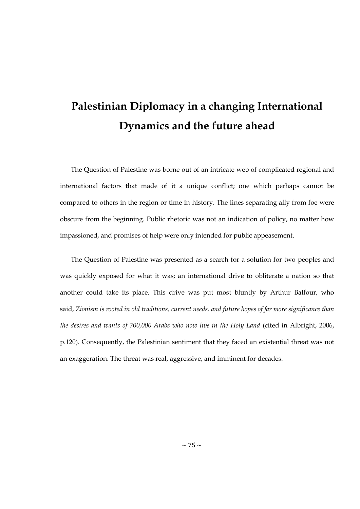# **Palestinian Diplomacy in a changing International Dynamics and the future ahead**

The Question of Palestine was borne out of an intricate web of complicated regional and international factors that made of it a unique conflict; one which perhaps cannot be compared to others in the region or time in history. The lines separating ally from foe were obscure from the beginning. Public rhetoric was not an indication of policy, no matter how impassioned, and promises of help were only intended for public appeasement.

The Question of Palestine was presented as a search for a solution for two peoples and was quickly exposed for what it was; an international drive to obliterate a nation so that another could take its place. This drive was put most bluntly by Arthur Balfour, who said, *Zionism is rooted in old traditions, current needs, and future hopes of far more significance than the desires and wants of 700,000 Arabs who now live in the Holy Land* (cited in Albright, 2006, p.120). Consequently, the Palestinian sentiment that they faced an existential threat was not an exaggeration. The threat was real, aggressive, and imminent for decades.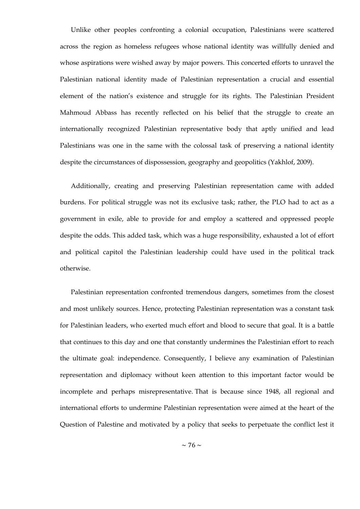Unlike other peoples confronting a colonial occupation, Palestinians were scattered across the region as homeless refugees whose national identity was willfully denied and whose aspirations were wished away by major powers. This concerted efforts to unravel the Palestinian national identity made of Palestinian representation a crucial and essential element of the nation's existence and struggle for its rights. The Palestinian President Mahmoud Abbass has recently reflected on his belief that the struggle to create an internationally recognized Palestinian representative body that aptly unified and lead Palestinians was one in the same with the colossal task of preserving a national identity despite the circumstances of dispossession, geography and geopolitics (Yakhlof, 2009).

Additionally, creating and preserving Palestinian representation came with added burdens. For political struggle was not its exclusive task; rather, the PLO had to act as a government in exile, able to provide for and employ a scattered and oppressed people despite the odds. This added task, which was a huge responsibility, exhausted a lot of effort and political capitol the Palestinian leadership could have used in the political track otherwise.

Palestinian representation confronted tremendous dangers, sometimes from the closest and most unlikely sources. Hence, protecting Palestinian representation was a constant task for Palestinian leaders, who exerted much effort and blood to secure that goal. It is a battle that continues to this day and one that constantly undermines the Palestinian effort to reach the ultimate goal: independence. Consequently, I believe any examination of Palestinian representation and diplomacy without keen attention to this important factor would be incomplete and perhaps misrepresentative. That is because since 1948, all regional and international efforts to undermine Palestinian representation were aimed at the heart of the Question of Palestine and motivated by a policy that seeks to perpetuate the conflict lest it

 $\sim$  76  $\sim$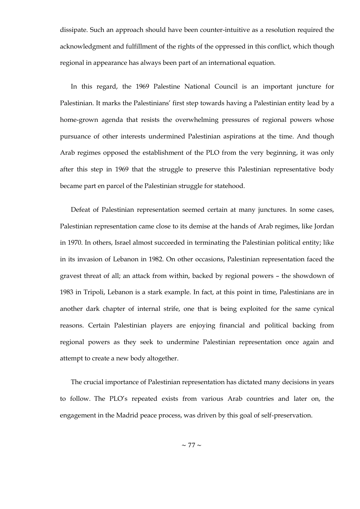dissipate. Such an approach should have been counter-intuitive as a resolution required the acknowledgment and fulfillment of the rights of the oppressed in this conflict, which though regional in appearance has always been part of an international equation.

In this regard, the 1969 Palestine National Council is an important juncture for Palestinian. It marks the Palestinians' first step towards having a Palestinian entity lead by a home-grown agenda that resists the overwhelming pressures of regional powers whose pursuance of other interests undermined Palestinian aspirations at the time. And though Arab regimes opposed the establishment of the PLO from the very beginning, it was only after this step in 1969 that the struggle to preserve this Palestinian representative body became part en parcel of the Palestinian struggle for statehood.

Defeat of Palestinian representation seemed certain at many junctures. In some cases, Palestinian representation came close to its demise at the hands of Arab regimes, like Jordan in 1970. In others, Israel almost succeeded in terminating the Palestinian political entity; like in its invasion of Lebanon in 1982. On other occasions, Palestinian representation faced the gravest threat of all; an attack from within, backed by regional powers – the showdown of 1983 in Tripoli, Lebanon is a stark example. In fact, at this point in time, Palestinians are in another dark chapter of internal strife, one that is being exploited for the same cynical reasons. Certain Palestinian players are enjoying financial and political backing from regional powers as they seek to undermine Palestinian representation once again and attempt to create a new body altogether.

The crucial importance of Palestinian representation has dictated many decisions in years to follow. The PLO's repeated exists from various Arab countries and later on, the engagement in the Madrid peace process, was driven by this goal of self-preservation.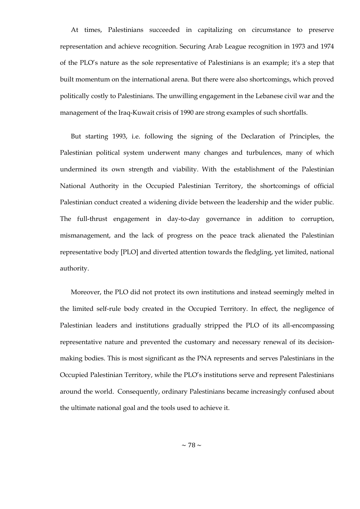At times, Palestinians succeeded in capitalizing on circumstance to preserve representation and achieve recognition. Securing Arab League recognition in 1973 and 1974 of the PLO's nature as the sole representative of Palestinians is an example; it's a step that built momentum on the international arena. But there were also shortcomings, which proved politically costly to Palestinians. The unwilling engagement in the Lebanese civil war and the management of the Iraq-Kuwait crisis of 1990 are strong examples of such shortfalls.

But starting 1993, i.e. following the signing of the Declaration of Principles, the Palestinian political system underwent many changes and turbulences, many of which undermined its own strength and viability. With the establishment of the Palestinian National Authority in the Occupied Palestinian Territory, the shortcomings of official Palestinian conduct created a widening divide between the leadership and the wider public. The full-thrust engagement in day-to-day governance in addition to corruption, mismanagement, and the lack of progress on the peace track alienated the Palestinian representative body [PLO] and diverted attention towards the fledgling, yet limited, national authority.

Moreover, the PLO did not protect its own institutions and instead seemingly melted in the limited self-rule body created in the Occupied Territory. In effect, the negligence of Palestinian leaders and institutions gradually stripped the PLO of its all-encompassing representative nature and prevented the customary and necessary renewal of its decisionmaking bodies. This is most significant as the PNA represents and serves Palestinians in the Occupied Palestinian Territory, while the PLO's institutions serve and represent Palestinians around the world. Consequently, ordinary Palestinians became increasingly confused about the ultimate national goal and the tools used to achieve it.

 $\sim$  78  $\sim$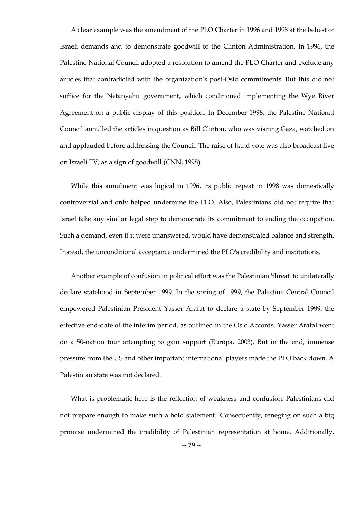A clear example was the amendment of the PLO Charter in 1996 and 1998 at the behest of Israeli demands and to demonstrate goodwill to the Clinton Administration. In 1996, the Palestine National Council adopted a resolution to amend the PLO Charter and exclude any articles that contradicted with the organization's post-Oslo commitments. But this did not suffice for the Netanyahu government, which conditioned implementing the Wye River Agreement on a public display of this position. In December 1998, the Palestine National Council annulled the articles in question as Bill Clinton, who was visiting Gaza, watched on and applauded before addressing the Council. The raise of hand vote was also broadcast live on Israeli TV, as a sign of goodwill (CNN, 1998).

While this annulment was logical in 1996, its public repeat in 1998 was domestically controversial and only helped undermine the PLO. Also, Palestinians did not require that Israel take any similar legal step to demonstrate its commitment to ending the occupation. Such a demand, even if it were unanswered, would have demonstrated balance and strength. Instead, the unconditional acceptance undermined the PLO's credibility and institutions.

Another example of confusion in political effort was the Palestinian 'threat' to unilaterally declare statehood in September 1999. In the spring of 1999, the Palestine Central Council empowered Palestinian President Yasser Arafat to declare a state by September 1999, the effective end-date of the interim period, as outlined in the Oslo Accords. Yasser Arafat went on a 50-nation tour attempting to gain support (Europa, 2003). But in the end, immense pressure from the US and other important international players made the PLO back down. A Palestinian state was not declared.

What is problematic here is the reflection of weakness and confusion. Palestinians did not prepare enough to make such a bold statement. Consequently, reneging on such a big promise undermined the credibility of Palestinian representation at home. Additionally,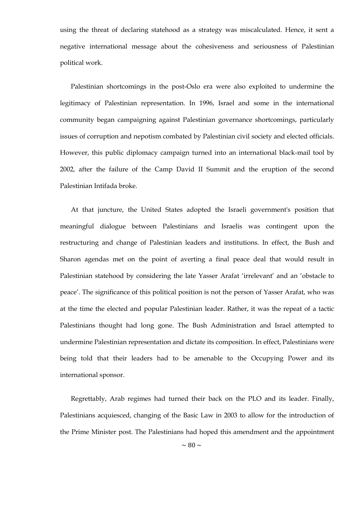using the threat of declaring statehood as a strategy was miscalculated. Hence, it sent a negative international message about the cohesiveness and seriousness of Palestinian political work.

Palestinian shortcomings in the post-Oslo era were also exploited to undermine the legitimacy of Palestinian representation. In 1996, Israel and some in the international community began campaigning against Palestinian governance shortcomings, particularly issues of corruption and nepotism combated by Palestinian civil society and elected officials. However, this public diplomacy campaign turned into an international black-mail tool by 2002, after the failure of the Camp David II Summit and the eruption of the second Palestinian Intifada broke.

At that juncture, the United States adopted the Israeli government's position that meaningful dialogue between Palestinians and Israelis was contingent upon the restructuring and change of Palestinian leaders and institutions. In effect, the Bush and Sharon agendas met on the point of averting a final peace deal that would result in Palestinian statehood by considering the late Yasser Arafat 'irrelevant' and an 'obstacle to peace'. The significance of this political position is not the person of Yasser Arafat, who was at the time the elected and popular Palestinian leader. Rather, it was the repeat of a tactic Palestinians thought had long gone. The Bush Administration and Israel attempted to undermine Palestinian representation and dictate its composition. In effect, Palestinians were being told that their leaders had to be amenable to the Occupying Power and its international sponsor.

Regrettably, Arab regimes had turned their back on the PLO and its leader. Finally, Palestinians acquiesced, changing of the Basic Law in 2003 to allow for the introduction of the Prime Minister post. The Palestinians had hoped this amendment and the appointment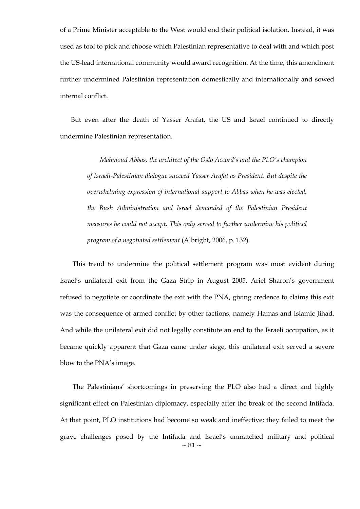of a Prime Minister acceptable to the West would end their political isolation. Instead, it was used as tool to pick and choose which Palestinian representative to deal with and which post the US-lead international community would award recognition. At the time, this amendment further undermined Palestinian representation domestically and internationally and sowed internal conflict.

But even after the death of Yasser Arafat, the US and Israel continued to directly undermine Palestinian representation.

*Mahmoud Abbas, the architect of the Oslo Accord's and the PLO's champion of Israeli-Palestinian dialogue succeed Yasser Arafat as President. But despite the overwhelming expression of international support to Abbas when he was elected, the Bush Administration and Israel demanded of the Palestinian President measures he could not accept. This only served to further undermine his political program of a negotiated settlement* (Albright, 2006, p. 132).

This trend to undermine the political settlement program was most evident during Israel's unilateral exit from the Gaza Strip in August 2005. Ariel Sharon's government refused to negotiate or coordinate the exit with the PNA, giving credence to claims this exit was the consequence of armed conflict by other factions, namely Hamas and Islamic Jihad. And while the unilateral exit did not legally constitute an end to the Israeli occupation, as it became quickly apparent that Gaza came under siege, this unilateral exit served a severe blow to the PNA's image.

 $\sim$  81  $\sim$ The Palestinians' shortcomings in preserving the PLO also had a direct and highly significant effect on Palestinian diplomacy, especially after the break of the second Intifada. At that point, PLO institutions had become so weak and ineffective; they failed to meet the grave challenges posed by the Intifada and Israel's unmatched military and political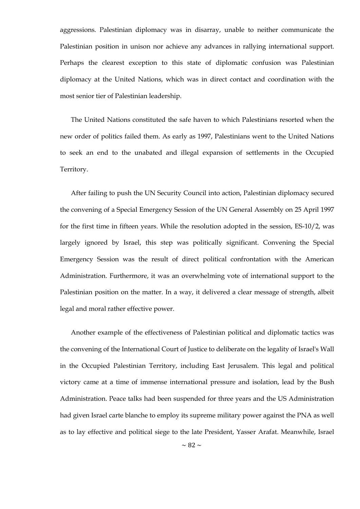aggressions. Palestinian diplomacy was in disarray, unable to neither communicate the Palestinian position in unison nor achieve any advances in rallying international support. Perhaps the clearest exception to this state of diplomatic confusion was Palestinian diplomacy at the United Nations, which was in direct contact and coordination with the most senior tier of Palestinian leadership.

The United Nations constituted the safe haven to which Palestinians resorted when the new order of politics failed them. As early as 1997, Palestinians went to the United Nations to seek an end to the unabated and illegal expansion of settlements in the Occupied Territory.

After failing to push the UN Security Council into action, Palestinian diplomacy secured the convening of a Special Emergency Session of the UN General Assembly on 25 April 1997 for the first time in fifteen years. While the resolution adopted in the session, ES-10/2, was largely ignored by Israel, this step was politically significant. Convening the Special Emergency Session was the result of direct political confrontation with the American Administration. Furthermore, it was an overwhelming vote of international support to the Palestinian position on the matter. In a way, it delivered a clear message of strength, albeit legal and moral rather effective power.

Another example of the effectiveness of Palestinian political and diplomatic tactics was the convening of the International Court of Justice to deliberate on the legality of Israel's Wall in the Occupied Palestinian Territory, including East Jerusalem. This legal and political victory came at a time of immense international pressure and isolation, lead by the Bush Administration. Peace talks had been suspended for three years and the US Administration had given Israel carte blanche to employ its supreme military power against the PNA as well as to lay effective and political siege to the late President, Yasser Arafat. Meanwhile, Israel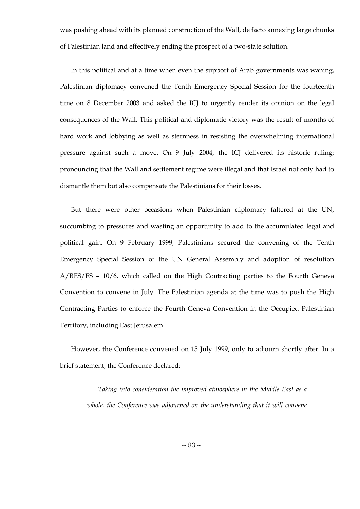was pushing ahead with its planned construction of the Wall, de facto annexing large chunks of Palestinian land and effectively ending the prospect of a two-state solution.

In this political and at a time when even the support of Arab governments was waning, Palestinian diplomacy convened the Tenth Emergency Special Session for the fourteenth time on 8 December 2003 and asked the ICJ to urgently render its opinion on the legal consequences of the Wall. This political and diplomatic victory was the result of months of hard work and lobbying as well as sternness in resisting the overwhelming international pressure against such a move. On 9 July 2004, the ICJ delivered its historic ruling; pronouncing that the Wall and settlement regime were illegal and that Israel not only had to dismantle them but also compensate the Palestinians for their losses.

But there were other occasions when Palestinian diplomacy faltered at the UN, succumbing to pressures and wasting an opportunity to add to the accumulated legal and political gain. On 9 February 1999, Palestinians secured the convening of the Tenth Emergency Special Session of the UN General Assembly and adoption of resolution A/RES/ES – 10/6, which called on the High Contracting parties to the Fourth Geneva Convention to convene in July. The Palestinian agenda at the time was to push the High Contracting Parties to enforce the Fourth Geneva Convention in the Occupied Palestinian Territory, including East Jerusalem.

However, the Conference convened on 15 July 1999, only to adjourn shortly after. In a brief statement, the Conference declared:

*Taking into consideration the improved atmosphere in the Middle East as a whole, the Conference was adjourned on the understanding that it will convene*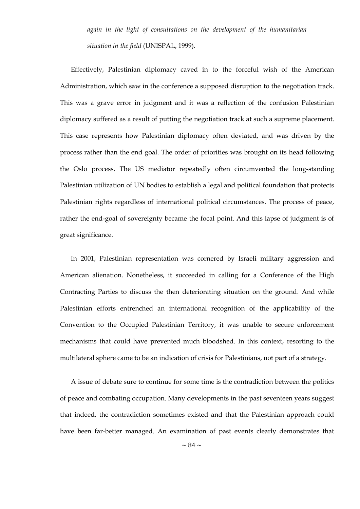*again in the light of consultations on the development of the humanitarian situation in the field* (UNISPAL, 1999).

Effectively, Palestinian diplomacy caved in to the forceful wish of the American Administration, which saw in the conference a supposed disruption to the negotiation track. This was a grave error in judgment and it was a reflection of the confusion Palestinian diplomacy suffered as a result of putting the negotiation track at such a supreme placement. This case represents how Palestinian diplomacy often deviated, and was driven by the process rather than the end goal. The order of priorities was brought on its head following the Oslo process. The US mediator repeatedly often circumvented the long-standing Palestinian utilization of UN bodies to establish a legal and political foundation that protects Palestinian rights regardless of international political circumstances. The process of peace, rather the end-goal of sovereignty became the focal point. And this lapse of judgment is of great significance.

In 2001, Palestinian representation was cornered by Israeli military aggression and American alienation. Nonetheless, it succeeded in calling for a Conference of the High Contracting Parties to discuss the then deteriorating situation on the ground. And while Palestinian efforts entrenched an international recognition of the applicability of the Convention to the Occupied Palestinian Territory, it was unable to secure enforcement mechanisms that could have prevented much bloodshed. In this context, resorting to the multilateral sphere came to be an indication of crisis for Palestinians, not part of a strategy.

A issue of debate sure to continue for some time is the contradiction between the politics of peace and combating occupation. Many developments in the past seventeen years suggest that indeed, the contradiction sometimes existed and that the Palestinian approach could have been far-better managed. An examination of past events clearly demonstrates that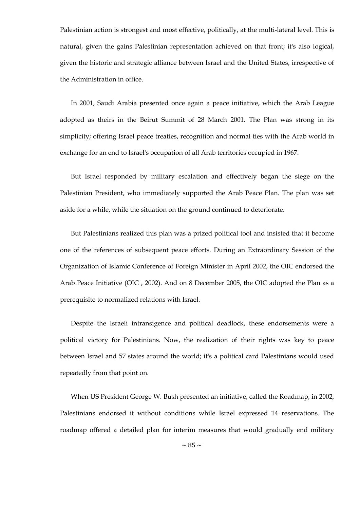Palestinian action is strongest and most effective, politically, at the multi-lateral level. This is natural, given the gains Palestinian representation achieved on that front; it's also logical, given the historic and strategic alliance between Israel and the United States, irrespective of the Administration in office.

In 2001, Saudi Arabia presented once again a peace initiative, which the Arab League adopted as theirs in the Beirut Summit of 28 March 2001. The Plan was strong in its simplicity; offering Israel peace treaties, recognition and normal ties with the Arab world in exchange for an end to Israel's occupation of all Arab territories occupied in 1967.

But Israel responded by military escalation and effectively began the siege on the Palestinian President, who immediately supported the Arab Peace Plan. The plan was set aside for a while, while the situation on the ground continued to deteriorate.

But Palestinians realized this plan was a prized political tool and insisted that it become one of the references of subsequent peace efforts. During an Extraordinary Session of the Organization of Islamic Conference of Foreign Minister in April 2002, the OIC endorsed the Arab Peace Initiative [\(OIC ,](http://www.oic-oci.org/english/conf/fm/11_extraordinary/declaration.htm) 2002). And on 8 December 2005, the OIC adopted the Plan as a prerequisite to normalized relations with Israel.

Despite the Israeli intransigence and political deadlock, these endorsements were a political victory for Palestinians. Now, the realization of their rights was key to peace between Israel and 57 states around the world; it's a political card Palestinians would used repeatedly from that point on.

When US President George W. Bush presented an initiative, called the Roadmap, in 2002, Palestinians endorsed it without conditions while Israel expressed 14 reservations. The roadmap offered a detailed plan for interim measures that would gradually end military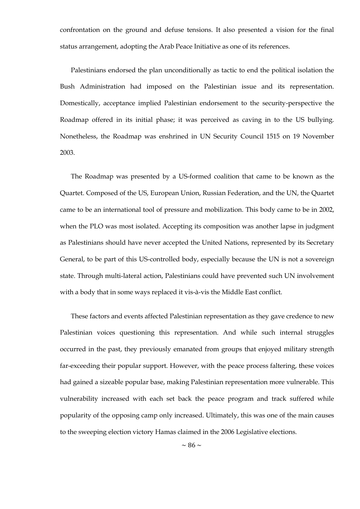confrontation on the ground and defuse tensions. It also presented a vision for the final status arrangement, adopting the Arab Peace Initiative as one of its references.

Palestinians endorsed the plan unconditionally as tactic to end the political isolation the Bush Administration had imposed on the Palestinian issue and its representation. Domestically, acceptance implied Palestinian endorsement to the security-perspective the Roadmap offered in its initial phase; it was perceived as caving in to the US bullying. Nonetheless, the Roadmap was enshrined in UN Security Council 1515 on 19 November 2003.

The Roadmap was presented by a US-formed coalition that came to be known as the Quartet. Composed of the US, European Union, Russian Federation, and the UN, the Quartet came to be an international tool of pressure and mobilization. This body came to be in 2002, when the PLO was most isolated. Accepting its composition was another lapse in judgment as Palestinians should have never accepted the United Nations, represented by its Secretary General, to be part of this US-controlled body, especially because the UN is not a sovereign state. Through multi-lateral action, Palestinians could have prevented such UN involvement with a body that in some ways replaced it vis-à-vis the Middle East conflict.

These factors and events affected Palestinian representation as they gave credence to new Palestinian voices questioning this representation. And while such internal struggles occurred in the past, they previously emanated from groups that enjoyed military strength far-exceeding their popular support. However, with the peace process faltering, these voices had gained a sizeable popular base, making Palestinian representation more vulnerable. This vulnerability increased with each set back the peace program and track suffered while popularity of the opposing camp only increased. Ultimately, this was one of the main causes to the sweeping election victory Hamas claimed in the 2006 Legislative elections.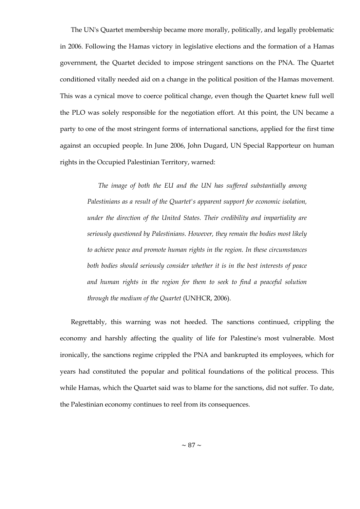The UN's Quartet membership became more morally, politically, and legally problematic in 2006. Following the Hamas victory in legislative elections and the formation of a Hamas government, the Quartet decided to impose stringent sanctions on the PNA. The Quartet conditioned vitally needed aid on a change in the political position of the Hamas movement. This was a cynical move to coerce political change, even though the Quartet knew full well the PLO was solely responsible for the negotiation effort. At this point, the UN became a party to one of the most stringent forms of international sanctions, applied for the first time against an occupied people. In June 2006, John Dugard, UN Special Rapporteur on human rights in the Occupied Palestinian Territory, warned:

*The image of both the EU and the UN has suffered substantially among Palestinians as a result of the Quartet's apparent support for economic isolation, under the direction of the United States. Their credibility and impartiality are seriously questioned by Palestinians. However, they remain the bodies most likely to achieve peace and promote human rights in the region. In these circumstances both bodies should seriously consider whether it is in the best interests of peace and human rights in the region for them to seek to find a peaceful solution through the medium of the Quartet* (UNHCR, 2006).

Regrettably, this warning was not heeded. The sanctions continued, crippling the economy and harshly affecting the quality of life for Palestine's most vulnerable. Most ironically, the sanctions regime crippled the PNA and bankrupted its employees, which for years had constituted the popular and political foundations of the political process. This while Hamas, which the Quartet said was to blame for the sanctions, did not suffer. To date, the Palestinian economy continues to reel from its consequences.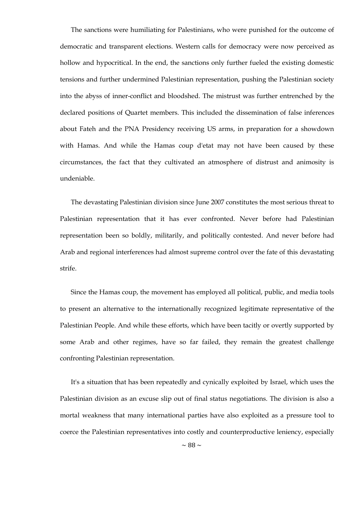The sanctions were humiliating for Palestinians, who were punished for the outcome of democratic and transparent elections. Western calls for democracy were now perceived as hollow and hypocritical. In the end, the sanctions only further fueled the existing domestic tensions and further undermined Palestinian representation, pushing the Palestinian society into the abyss of inner-conflict and bloodshed. The mistrust was further entrenched by the declared positions of Quartet members. This included the dissemination of false inferences about Fateh and the PNA Presidency receiving US arms, in preparation for a showdown with Hamas. And while the Hamas coup d'etat may not have been caused by these circumstances, the fact that they cultivated an atmosphere of distrust and animosity is undeniable.

The devastating Palestinian division since June 2007 constitutes the most serious threat to Palestinian representation that it has ever confronted. Never before had Palestinian representation been so boldly, militarily, and politically contested. And never before had Arab and regional interferences had almost supreme control over the fate of this devastating strife.

Since the Hamas coup, the movement has employed all political, public, and media tools to present an alternative to the internationally recognized legitimate representative of the Palestinian People. And while these efforts, which have been tacitly or overtly supported by some Arab and other regimes, have so far failed, they remain the greatest challenge confronting Palestinian representation.

It's a situation that has been repeatedly and cynically exploited by Israel, which uses the Palestinian division as an excuse slip out of final status negotiations. The division is also a mortal weakness that many international parties have also exploited as a pressure tool to coerce the Palestinian representatives into costly and counterproductive leniency, especially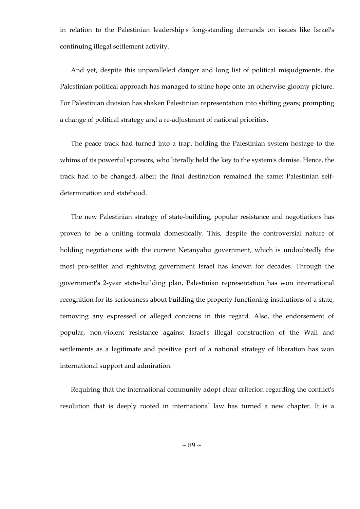in relation to the Palestinian leadership's long-standing demands on issues like Israel's continuing illegal settlement activity.

And yet, despite this unparalleled danger and long list of political misjudgments, the Palestinian political approach has managed to shine hope onto an otherwise gloomy picture. For Palestinian division has shaken Palestinian representation into shifting gears; prompting a change of political strategy and a re-adjustment of national priorities.

The peace track had turned into a trap, holding the Palestinian system hostage to the whims of its powerful sponsors, who literally held the key to the system's demise. Hence, the track had to be changed, albeit the final destination remained the same: Palestinian selfdetermination and statehood.

The new Palestinian strategy of state-building, popular resistance and negotiations has proven to be a uniting formula domestically. This, despite the controversial nature of holding negotiations with the current Netanyahu government, which is undoubtedly the most pro-settler and rightwing government Israel has known for decades. Through the government's 2-year state-building plan, Palestinian representation has won international recognition for its seriousness about building the properly functioning institutions of a state, removing any expressed or alleged concerns in this regard. Also, the endorsement of popular, non-violent resistance against Israel's illegal construction of the Wall and settlements as a legitimate and positive part of a national strategy of liberation has won international support and admiration.

Requiring that the international community adopt clear criterion regarding the conflict's resolution that is deeply rooted in international law has turned a new chapter. It is a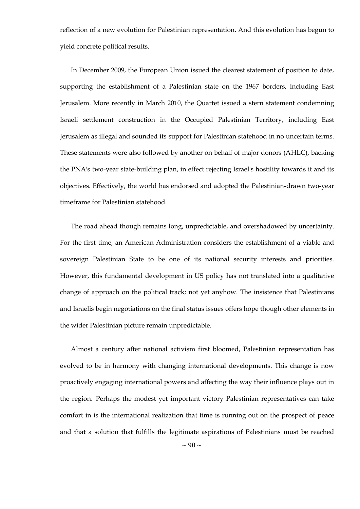reflection of a new evolution for Palestinian representation. And this evolution has begun to yield concrete political results.

In December 2009, the European Union issued the clearest statement of position to date, supporting the establishment of a Palestinian state on the 1967 borders, including East Jerusalem. More recently in March 2010, the Quartet issued a stern statement condemning Israeli settlement construction in the Occupied Palestinian Territory, including East Jerusalem as illegal and sounded its support for Palestinian statehood in no uncertain terms. These statements were also followed by another on behalf of major donors (AHLC), backing the PNA's two-year state-building plan, in effect rejecting Israel's hostility towards it and its objectives. Effectively, the world has endorsed and adopted the Palestinian-drawn two-year timeframe for Palestinian statehood.

The road ahead though remains long, unpredictable, and overshadowed by uncertainty. For the first time, an American Administration considers the establishment of a viable and sovereign Palestinian State to be one of its national security interests and priorities. However, this fundamental development in US policy has not translated into a qualitative change of approach on the political track; not yet anyhow. The insistence that Palestinians and Israelis begin negotiations on the final status issues offers hope though other elements in the wider Palestinian picture remain unpredictable.

Almost a century after national activism first bloomed, Palestinian representation has evolved to be in harmony with changing international developments. This change is now proactively engaging international powers and affecting the way their influence plays out in the region. Perhaps the modest yet important victory Palestinian representatives can take comfort in is the international realization that time is running out on the prospect of peace and that a solution that fulfills the legitimate aspirations of Palestinians must be reached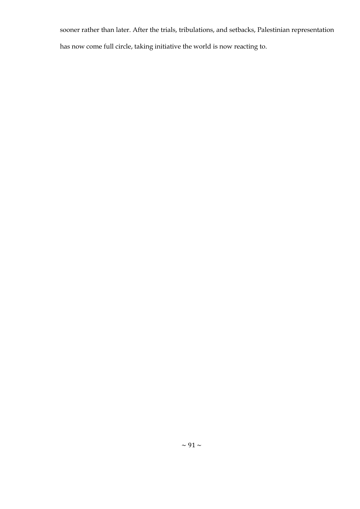sooner rather than later. After the trials, tribulations, and setbacks, Palestinian representation has now come full circle, taking initiative the world is now reacting to.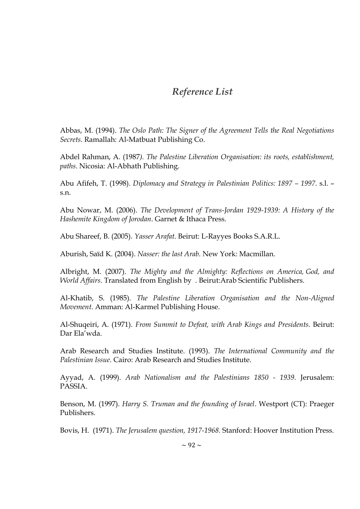# *Reference List*

Abbas, M. (1994). *The Oslo Path: The Signer of the Agreement Tells the Real Negotiations Secrets*. Ramallah: Al-Matbuat Publishing Co.

Abdel Rahman, A. (1987*). The Palestine Liberation Organisation: its roots, establishment, paths*. Nicosia: Al-Abhath Publishing.

Abu Afifeh, T. (1998). *Diplomacy and Strategy in Palestinian Politics: 1897 – 1997*. s.l. – s.n.

Abu Nowar, M. (2006). *The Development of Trans-Jordan 1929-1939: A History of the Hashemite Kingdom of Jorodan*. Garnet & Ithaca Press.

Abu Shareef, B. (2005). *Yasser Arafat*. Beirut: L-Rayyes Books S.A.R.L.

Aburish, Saïd K. (2004). *Nasser: the last Arab*. New York: Macmillan.

Albright, M. (2007). *The Mighty and the Almighty: Reflections on America, God, and World Affairs*. Translated from English by . Beirut:Arab Scientific Publishers.

Al-Khatib, S. (1985). *The Palestine Liberation Organisation and the Non-Aligned Movement*. Amman: Al-Karmel Publishing House.

Al-Shuqeiri, A. (1971). *From Summit to Defeat, with Arab Kings and Presidents*. Beirut: Dar Ela'wda.

Arab Research and Studies Institute. (1993). *The International Community and the Palestinian Issue*. Cairo: Arab Research and Studies Institute.

Ayyad, A. (1999). *Arab Nationalism and the Palestinians 1850 - 1939*. Jerusalem: PASSIA.

Benson, M. (1997). *Harry S. Truman and the founding of Israel*. Westport (CT): Praeger Publishers.

Bovis, H. (1971). *The Jerusalem question, 1917-1968.* Stanford: Hoover Institution Press.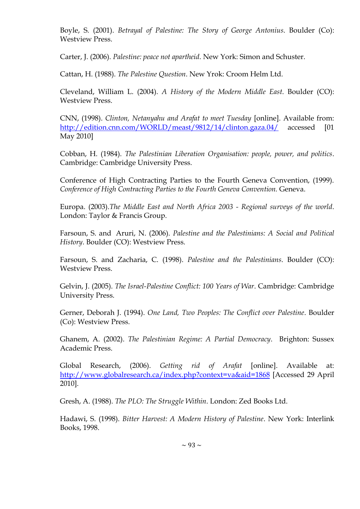Boyle, S. (2001). *Betrayal of Palestine: The Story of George Antonius*. Boulder (Co): Westview Press.

Carter, J. (2006). *Palestine: peace not apartheid*. New York: Simon and Schuster.

Cattan, H. (1988). *The Palestine Question*. New Yrok: Croom Helm Ltd.

Cleveland, William L. (2004). *A History of the Modern Middle East*. Boulder (CO): Westview Press.

CNN, (1998). *Clinton, Netanyahu and Arafat to meet Tuesday* [online]. Available from: <http://edition.cnn.com/WORLD/meast/9812/14/clinton.gaza.04/> accessed [01 May 2010]

Cobban, H. (1984). *The Palestinian Liberation Organisation: people, power, and politics*. Cambridge: Cambridge University Press.

Conference of High Contracting Parties to the Fourth Geneva Convention, (1999). *Conference of High Contracting Parties to the Fourth Geneva Convention.* Geneva.

Europa. (2003).*The Middle East and North Africa 2003 - Regional surveys of the world*. London: Taylor & Francis Group.

Farsoun, S. and Aruri, N. (2006). *Palestine and the Palestinians: A Social and Political History*. Boulder (CO): Westview Press.

Farsoun, [S. a](http://books.google.com/books?q=+inauthor:%22Samih+K.+Farsoun%22&source=gbs_metadata_r&cad=11)nd Zacharia, C. (1998). *Palestine and the Palestinians*. Boulder (CO): Westview Press.

Gelvin, J. (2005). *The Israel-Palestine Conflict: 100 Years of War*. Cambridge: Cambridge University Press.

Gerner, Deborah J. (1994). *One Land, Two Peoples: The Conflict over Palestine*. Boulder (Co): Westview Press.

Ghanem, A. (2002). *The Palestinian Regime: A Partial Democracy*. Brighton: Sussex Academic Press.

Global Research, (2006). *Getting rid of Arafat* [online]. Available at: <http://www.globalresearch.ca/index.php?context=va&aid=1868> [Accessed 29 April 2010].

Gresh, A. (1988). *The PLO: The Struggle Within*. London: Zed Books Ltd.

Hadawi, S. (1998). *Bitter Harvest: A Modern History of Palestine*. New York: Interlink Books, 1998.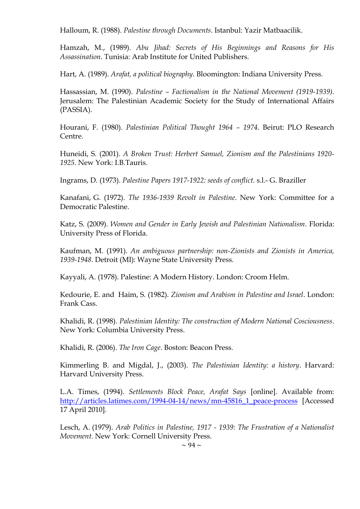Halloum, R. (1988). *Palestine through Documents*. Istanbul: Yazir Matbaacilik.

Hamzah, M., (1989). *Abu Jihad: Secrets of His Beginnings and Reasons for His Assassination*. Tunisia: Arab Institute for United Publishers.

Hart, A. (1989). *Arafat, a political biography*. Bloomington: Indiana University Press.

Hassassian, M. (1990). *Palestine – Factionalism in the National Movement (1919-1939)*. Jerusalem: The Palestinian Academic Society for the Study of International Affairs (PASSIA).

Hourani, F. (1980). *Palestinian Political Thought 1964 – 1974*. Beirut: PLO Research Centre.

Huneidi, S. (2001). *A Broken Trust: Herbert Samuel, Zionism and the Palestinians 1920- 1925*. New York: I.B.Tauris.

Ingrams, D. (1973). *Palestine Papers 1917-1922: seeds of conflict*. s.l.- G. Braziller

Kanafani, G. (1972). *The 1936-1939 Revolt in Palestine*. New York: Committee for a Democratic Palestine.

Katz, S. (2009). *Women and Gender in Early Jewish and Palestinian Nationalism*. Florida: University Press of Florida.

Kaufman, M. (1991). *An ambiguous partnership: non-Zionists and Zionists in America, 1939-1948*. Detroit (MI): Wayne State University Press.

Kayyali, A. (1978). Palestine: A Modern History. London: Croom Helm.

Kedourie, E. and Haim, S. (1982). *Zionism and Arabism in Palestine and Israel*. London: Frank Cass.

Khalidi, R. (1998). *Palestinian Identity: The construction of Modern National Cosciousness*. New York: Columbia University Press.

Khalidi, R. (2006). *The Iron Cage*. Boston: Beacon Press.

Kimmerling B. and Migdal, J., (2003). *The Palestinian Identity: a history*. Harvard: Harvard University Press.

L.A. Times, (1994). *Settlements Block Peace, Arafat Says* [online]. Available from: [http://articles.latimes.com/1994-04-14/news/mn-45816\\_1\\_peace-process](http://articles.latimes.com/1994-04-14/news/mn-45816_1_peace-process) [Accessed] 17 April 2010].

Lesch, A. (1979). *Arab Politics in Palestine, 1917 - 1939: The Frustration of a Nationalist Movement.* New York: Cornell University Press.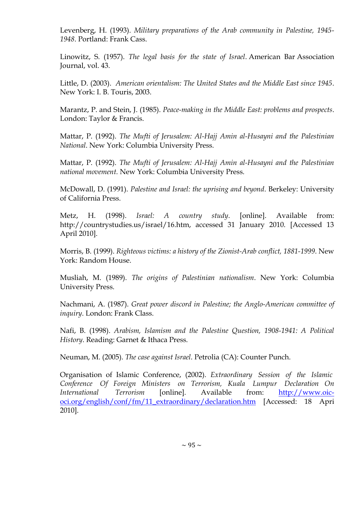Levenberg, H. (1993). *Military preparations of the Arab community in Palestine, 1945- 1948*. Portland: Frank Cass.

Linowitz, S. (1957). *The legal basis for the state of Israel*. American Bar Association Journal, vol. 43.

Little, D. (2003). *American orientalism: The United States and the Middle East since 1945*. New York: I. B. Touris, 2003.

Marantz, P. and Stein, J. (1985). *Peace-making in the Middle East: problems and prospects*. London: Taylor & Francis.

Mattar, P. (1992). *The Mufti of Jerusalem: Al-Hajj Amin al-Husayni and the Palestinian National*. New York: Columbia University Press.

Mattar, P. (1992). *The Mufti of Jerusalem: Al-Hajj Amin al-Husayni and the Palestinian national movement.* New York: Columbia University Press.

McDowall, D. (1991). *Palestine and Israel: the uprising and beyond*. Berkeley: University of California Press.

Metz, H. (1998). *Israel: A country study*. [online]. Available from: http://countrystudies.us/israel/16.htm, accessed 31 January 2010. [Accessed 13 April 2010].

Morris, B. (1999). *Righteous victims: a history of the Zionist-Arab conflict, 1881-1999*. New York: Random House.

Musliah, M. (1989). *The origins of Palestinian nationalism*. New York: Columbia University Press.

Nachmani, A. (1987). *Great power discord in Palestine; the Anglo-American committee of inquiry*. London: Frank Class.

Nafi, B. (1998). *Arabism, Islamism and the Palestine Question, 1908-1941: A Political History*. Reading: Garnet & Ithaca Press.

Neuman, M. (2005). *The case against Israel*. Petrolia (CA): Counter Punch.

Organisation of Islamic Conference, (2002). *Extraordinary Session of the Islamic Conference Of Foreign Ministers on Terrorism, Kuala Lumpur Declaration On International Terrorism* [online]. Available from: [http://www.oic](http://www.oic-oci.org/english/conf/fm/11_extraordinary/declaration.htm)[oci.org/english/conf/fm/11\\_extraordinary/declaration.htm](http://www.oic-oci.org/english/conf/fm/11_extraordinary/declaration.htm) [Accessed: 18 Apri 2010].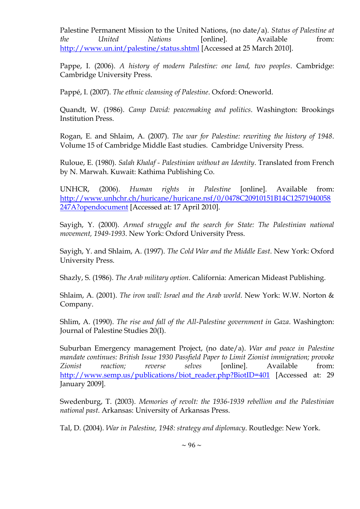Palestine Permanent Mission to the United Nations, (no date/a). *Status of Palestine at the United Nations* [online]. Available from: <http://www.un.int/palestine/status.shtml> [Accessed at 25 March 2010].

Pappe, I. (2006). *A history of modern Palestine: one land, two peoples*. Cambridge: Cambridge University Press.

Pappé, I. (2007). *The ethnic cleansing of Palestine*. Oxford: Oneworld.

Quandt, W. (1986). *Camp David: peacemaking and politics*. Washington: Brookings Institution Press.

Rogan, E. and Shlaim, A. (2007). *The war for Palestine: rewriting the history of 1948*. Volume 15 of Cambridge Middle East studies. Cambridge University Press.

Ruloue, E. (1980). *Salah Khalaf - Palestinian without an Identity*. Translated from French by N. Marwah. Kuwait: Kathima Publishing Co.

UNHCR, (2006). *Human rights in Palestine* [online]. Available from: [http://www.unhchr.ch/huricane/huricane.nsf/0/0478C20910151B14C12571940058](http://www.unhchr.ch/huricane/huricane.nsf/0/0478C20910151B14C12571940058247A?opendocument) [247A?opendocument](http://www.unhchr.ch/huricane/huricane.nsf/0/0478C20910151B14C12571940058247A?opendocument) [Accessed at: 17 April 2010].

Sayigh, Y. (2000)*. Armed struggle and the search for State: The Palestinian national movement, 1949-1993*. New York: Oxford University Press.

Sayigh, Y. and Shlaim, A. (1997). *The Cold War and the Middle East*. New York: Oxford University Press.

Shazly, S. (1986). *The Arab military option*. California: American Mideast Publishing.

Shlaim, A. (2001). *The iron wall: Israel and the Arab world*. New York: W.W. Norton & Company.

Shlim, A. (1990). *The rise and fall of the All-Palestine government in Gaza*. Washington: Journal of Palestine Studies 20(I).

Suburban Emergency management Project, (no date/a). *War and peace in Palestine mandate continues: British Issue 1930 Passfield Paper to Limit Zionist immigration; provoke Zionist reaction; reverse selves* [online]. Available from: [http://www.semp.us/publications/biot\\_reader.php?BiotID=401](http://www.semp.us/publications/biot_reader.php?BiotID=401) [Accessed at: 29 January 2009].

Swedenburg, T. (2003). *Memories of revolt: the 1936-1939 rebellion and the Palestinian national past*. Arkansas: University of Arkansas Press.

Tal, D. (2004). *War in Palestine, 1948: strategy and diplomacy*. Routledge: New York.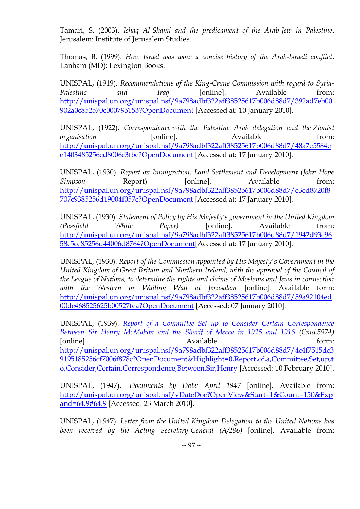Tamari, S. (2003). *Ishaq Al-Shami and the predicament of the Arab-Jew in Palestine*. Jerusalem: Institute of Jerusalem Studies.

Thomas, B. (1999). *How Israel was won: a concise history of the Arab-Israeli conflict*. Lanham (MD): Lexington Books.

UNISPAL, (1919). *Recommendations of the King-Crane Commission with regard to Syria-Palestine* and *Iraq* [online]. Available from: [http://unispal.un.org/unispal.nsf/9a798adbf322aff38525617b006d88d7/392ad7eb00](http://unispal.un.org/unispal.nsf/9a798adbf322aff38525617b006d88d7/392ad7eb00902a0c852570c000795153?OpenDocument) [902a0c852570c000795153?OpenDocument](http://unispal.un.org/unispal.nsf/9a798adbf322aff38525617b006d88d7/392ad7eb00902a0c852570c000795153?OpenDocument) [Accessed at: 10 January 2010].

UNISPAL, (1922). *Correspondence with the Palestine Arab delegation and the Zionist organisation* [online]. Available from: [http://unispal.un.org/unispal.nsf/9a798adbf322aff38525617b006d88d7/48a7e5584e](http://unispal.un.org/unispal.nsf/9a798adbf322aff38525617b006d88d7/48a7e5584ee1403485256cd8006c3fbe?OpenDocument) [e1403485256cd8006c3fbe?OpenDocument](http://unispal.un.org/unispal.nsf/9a798adbf322aff38525617b006d88d7/48a7e5584ee1403485256cd8006c3fbe?OpenDocument) [Accessed at: 17 January 2010].

UNISPAL, (1930). *Report on Immigration, Land Settlement and Development (John Hope Simpson* Report) [online]. Available from: [http://unispal.un.org/unispal.nsf/9a798adbf322aff38525617b006d88d7/e3ed8720f8](http://unispal.un.org/unispal.nsf/9a798adbf322aff38525617b006d88d7/e3ed8720f8707c9385256d19004f057c?OpenDocument) [707c9385256d19004f057c?OpenDocument](http://unispal.un.org/unispal.nsf/9a798adbf322aff38525617b006d88d7/e3ed8720f8707c9385256d19004f057c?OpenDocument) [Accessed at: 17 January 2010].

UNISPAL, (1930). *Statement of Policy by His Majesty's government in the United Kingdom (Passfield White Paper)* [online]. Available from: [http://unispal.un.org/unispal.nsf/9a798adbf322aff38525617b006d88d7/1942d93e96](http://unispal.un.org/unispal.nsf/9a798adbf322aff38525617b006d88d7/1942d93e9658c5ce85256d44006d8764?OpenDocument) [58c5ce85256d44006d8764?OpenDocument\[](http://unispal.un.org/unispal.nsf/9a798adbf322aff38525617b006d88d7/1942d93e9658c5ce85256d44006d8764?OpenDocument)Accessed at: 17 January 2010].

UNISPAL, (1930). *Report of the Commission appointed by His Majesty's Government in the United Kingdom of Great Britain and Northern Ireland, with the approval of the Council of the League of Nations, to determine the rights and claims of Moslems and Jews in connection with the Western or Wailing Wall at Jerusalem* [online]. Available form: [http://unispal.un.org/unispal.nsf/9a798adbf322aff38525617b006d88d7/59a92104ed](http://unispal.un.org/unispal.nsf/9a798adbf322aff38525617b006d88d7/59a92104ed00dc468525625b00527fea?OpenDocument) [00dc468525625b00527fea?OpenDocument](http://unispal.un.org/unispal.nsf/9a798adbf322aff38525617b006d88d7/59a92104ed00dc468525625b00527fea?OpenDocument) [Accessed: 07 January 2010].

UNISPAL, (1939). *[Report of a Committee Set up to Consider Certain Correspondence](http://domino.un.org/unispal.nsf/3d14c9e5cdaa296d85256cbf005aa3eb/4c4f7515dc39195185256cf7006f878c!OpenDocument)  [Between Sir Henry McMahon and the Sharif of Mecca in 1915 and 1916](http://domino.un.org/unispal.nsf/3d14c9e5cdaa296d85256cbf005aa3eb/4c4f7515dc39195185256cf7006f878c!OpenDocument) (Cmd.5974)* [online]. The contract of the contract of the contract of the form:  $\Delta$  available form: [http://unispal.un.org/unispal.nsf/9a798adbf322aff38525617b006d88d7/4c4f7515dc3](http://unispal.un.org/unispal.nsf/9a798adbf322aff38525617b006d88d7/4c4f7515dc39195185256cf7006f878c?OpenDocument&Highlight=0,Report,of,a,Committee,Set,up,to,Consider,Certain,Correspondence,Between,Sir,Henry) [9195185256cf7006f878c?OpenDocument&Highlight=0,Report,of,a,Committee,Set,up,t](http://unispal.un.org/unispal.nsf/9a798adbf322aff38525617b006d88d7/4c4f7515dc39195185256cf7006f878c?OpenDocument&Highlight=0,Report,of,a,Committee,Set,up,to,Consider,Certain,Correspondence,Between,Sir,Henry) [o,Consider,Certain,Correspondence,Between,Sir,Henry](http://unispal.un.org/unispal.nsf/9a798adbf322aff38525617b006d88d7/4c4f7515dc39195185256cf7006f878c?OpenDocument&Highlight=0,Report,of,a,Committee,Set,up,to,Consider,Certain,Correspondence,Between,Sir,Henry) [Accessed: 10 February 2010].

UNISPAL, (1947). *Documents by Date: April 1947* [online]. Available from: [http://unispal.un.org/unispal.nsf/vDateDoc?OpenView&Start=1&Count=150&Exp](http://unispal.un.org/unispal.nsf/vDateDoc?OpenView&Start=1&Count=150&Expand=64.9#64.9) [and=64.9#64.9](http://unispal.un.org/unispal.nsf/vDateDoc?OpenView&Start=1&Count=150&Expand=64.9#64.9) [Accessed: 23 March 2010].

UNISPAL, (1947). *Letter from the United Kingdom Delegation to the United Nations has been received by the Acting Secretary-General (A/286)* [online]. Available from: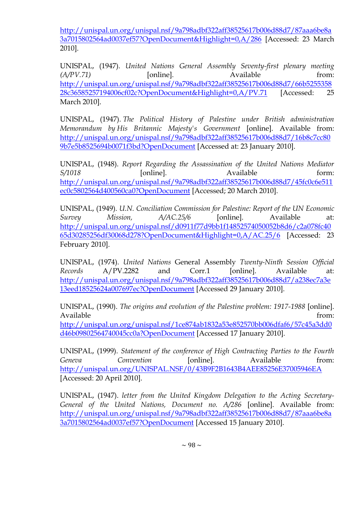[http://unispal.un.org/unispal.nsf/9a798adbf322aff38525617b006d88d7/87aaa6be8a](http://unispal.un.org/unispal.nsf/9a798adbf322aff38525617b006d88d7/87aaa6be8a3a7015802564ad0037ef57?OpenDocument&Highlight=0,A/286) [3a7015802564ad0037ef57?OpenDocument&Highlight=0,A/286](http://unispal.un.org/unispal.nsf/9a798adbf322aff38525617b006d88d7/87aaa6be8a3a7015802564ad0037ef57?OpenDocument&Highlight=0,A/286) [Accessed: 23 March 2010].

UNISPAL, (1947). *United Nations General Assembly Seventy-first plenary meeting (A/PV.71)* [online]. Available from: [http://unispal.un.org/unispal.nsf/9a798adbf322aff38525617b006d88d7/66b5255358](http://unispal.un.org/unispal.nsf/9a798adbf322aff38525617b006d88d7/66b525535828c36585257194006cf02c?OpenDocument&Highlight=0,A/PV.71) [28c36585257194006cf02c?OpenDocument&Highlight=0,A/PV.71](http://unispal.un.org/unispal.nsf/9a798adbf322aff38525617b006d88d7/66b525535828c36585257194006cf02c?OpenDocument&Highlight=0,A/PV.71) [Accessed: 25 March 2010].

UNISPAL, (1947). *The Political History of Palestine under British administration Memorandum by His Britannic Majesty's Government* [online]. Available from: [http://unispal.un.org/unispal.nsf/9a798adbf322aff38525617b006d88d7/16b8c7cc80](http://unispal.un.org/unispal.nsf/9a798adbf322aff38525617b006d88d7/16b8c7cc809b7e5b8525694b0071f3bd?OpenDocument) [9b7e5b8525694b0071f3bd?OpenDocument](http://unispal.un.org/unispal.nsf/9a798adbf322aff38525617b006d88d7/16b8c7cc809b7e5b8525694b0071f3bd?OpenDocument) [Accessed at: 23 January 2010].

UNISPAL, (1948). *Report Regarding the Assassination of the United Nations Mediator S*/1018 **[online]**. Available form: [http://unispal.un.org/unispal.nsf/9a798adbf322aff38525617b006d88d7/45fc0c6e511](http://unispal.un.org/unispal.nsf/9a798adbf322aff38525617b006d88d7/45fc0c6e511ec0c5802564d400560ca0?OpenDocument) [ec0c5802564d400560ca0?OpenDocument](http://unispal.un.org/unispal.nsf/9a798adbf322aff38525617b006d88d7/45fc0c6e511ec0c5802564d400560ca0?OpenDocument) [Accessed; 20 March 2010].

UNISPAL, (1949). *U.N. Conciliation Commission for Palestine: Report of the UN Economic Survey Mission, A/AC.25/6* [online]. Available at: [http://unispal.un.org/unispal.nsf/d0911f77d9bb1f14852574050052b8d6/c2a078fc40](http://unispal.un.org/unispal.nsf/d0911f77d9bb1f14852574050052b8d6/c2a078fc4065d30285256df30068d278?OpenDocument&Highlight=0,A/AC.25/6) [65d30285256df30068d278?OpenDocument&Highlight=0,A/AC.25/6](http://unispal.un.org/unispal.nsf/d0911f77d9bb1f14852574050052b8d6/c2a078fc4065d30285256df30068d278?OpenDocument&Highlight=0,A/AC.25/6) [Accessed: 23 February 2010].

UNISPAL, (1974). *United Nations* General Assembly *Twenty-Ninth Session Official Records* A/PV.2282 and Corr.1 [online]. Available at: [http://unispal.un.org/unispal.nsf/9a798adbf322aff38525617b006d88d7/a238ec7a3e](http://unispal.un.org/unispal.nsf/9a798adbf322aff38525617b006d88d7/a238ec7a3e13eed18525624a007697ec?OpenDocument) [13eed18525624a007697ec?OpenDocument](http://unispal.un.org/unispal.nsf/9a798adbf322aff38525617b006d88d7/a238ec7a3e13eed18525624a007697ec?OpenDocument) [Accessed 29 January 2010].

UNISPAL, (1990). *The origins and evolution of the Palestine problem: 1917-1988* [online]. Available from:

[http://unispal.un.org/unispal.nsf/1ce874ab1832a53e852570bb006dfaf6/57c45a3dd0](http://unispal.un.org/unispal.nsf/1ce874ab1832a53e852570bb006dfaf6/57c45a3dd0d46b09802564740045cc0a?OpenDocument) [d46b09802564740045cc0a?OpenDocument](http://unispal.un.org/unispal.nsf/1ce874ab1832a53e852570bb006dfaf6/57c45a3dd0d46b09802564740045cc0a?OpenDocument) [Accessed 17 January 2010].

UNISPAL, (1999). *Statement of the conference of High Contracting Parties to the Fourth*  Geneva Convention [online]. Available from: <http://unispal.un.org/UNISPAL.NSF/0/43B9F2B1643B4AEE85256E37005946EA> [Accessed: 20 April 2010].

UNISPAL, (1947). *letter from the United Kingdom Delegation to the Acting Secretary-General of the United Nations, Document no. A/286* [online]. Available from: [http://unispal.un.org/unispal.nsf/9a798adbf322aff38525617b006d88d7/87aaa6be8a](http://unispal.un.org/unispal.nsf/9a798adbf322aff38525617b006d88d7/87aaa6be8a3a7015802564ad0037ef57?OpenDocument) [3a7015802564ad0037ef57?OpenDocument](http://unispal.un.org/unispal.nsf/9a798adbf322aff38525617b006d88d7/87aaa6be8a3a7015802564ad0037ef57?OpenDocument) [Accessed 15 January 2010].